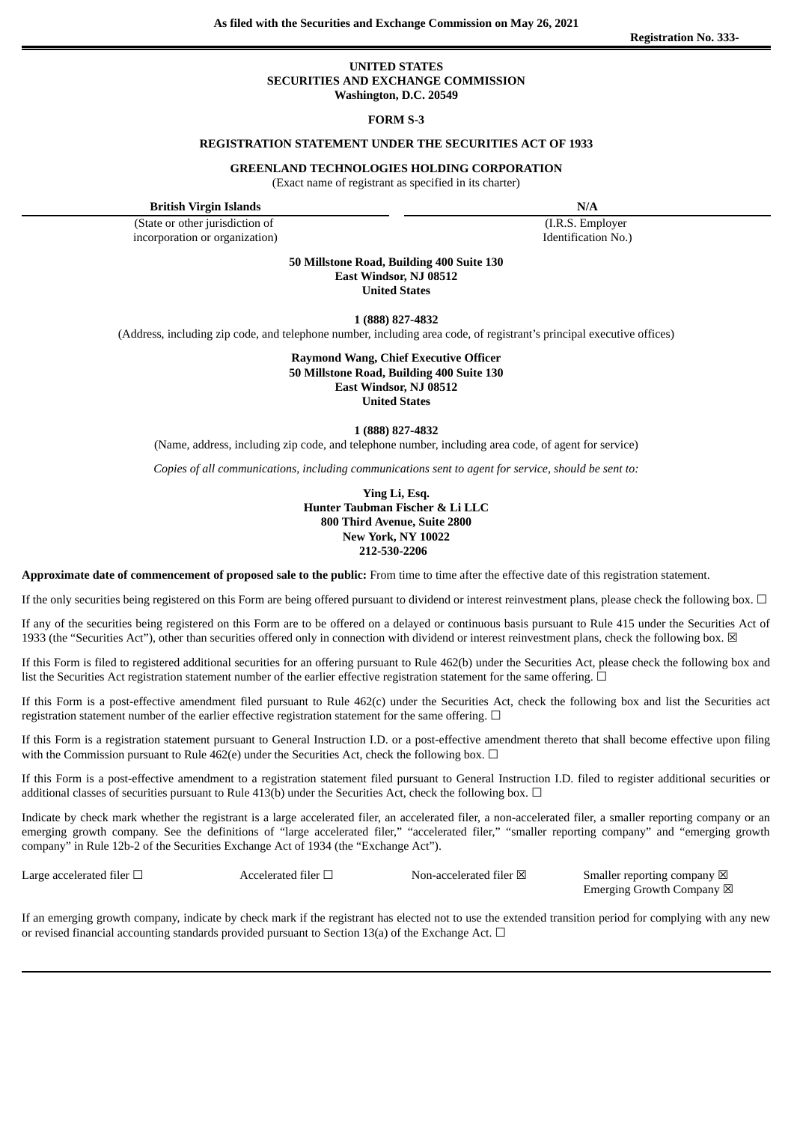### **UNITED STATES SECURITIES AND EXCHANGE COMMISSION Washington, D.C. 20549**

#### **FORM S-3**

#### **REGISTRATION STATEMENT UNDER THE SECURITIES ACT OF 1933**

### **GREENLAND TECHNOLOGIES HOLDING CORPORATION**

(Exact name of registrant as specified in its charter)

| British Virgin Islands          | N/A                 |
|---------------------------------|---------------------|
| (State or other jurisdiction of | (I.R.S. Employer)   |
| incorporation or organization)  | Identification No.) |

### **50 Millstone Road, Building 400 Suite 130 East Windsor, NJ 08512 United States**

**1 (888) 827-4832**

(Address, including zip code, and telephone number, including area code, of registrant's principal executive offices)

**Raymond Wang, Chief Executive Officer 50 Millstone Road, Building 400 Suite 130 East Windsor, NJ 08512 United States**

**1 (888) 827-4832**

(Name, address, including zip code, and telephone number, including area code, of agent for service)

*Copies of all communications, including communications sent to agent for service, should be sent to:*

## **Ying Li, Esq. Hunter Taubman Fischer & Li LLC 800 Third Avenue, Suite 2800 New York, NY 10022 212-530-2206**

**Approximate date of commencement of proposed sale to the public:** From time to time after the effective date of this registration statement.

If the only securities being registered on this Form are being offered pursuant to dividend or interest reinvestment plans, please check the following box. □

If any of the securities being registered on this Form are to be offered on a delayed or continuous basis pursuant to Rule 415 under the Securities Act of 1933 (the "Securities Act"), other than securities offered only in connection with dividend or interest reinvestment plans, check the following box.  $\boxtimes$ 

If this Form is filed to registered additional securities for an offering pursuant to Rule 462(b) under the Securities Act, please check the following box and list the Securities Act registration statement number of the earlier effective registration statement for the same offering.  $\Box$ 

If this Form is a post-effective amendment filed pursuant to Rule 462(c) under the Securities Act, check the following box and list the Securities act registration statement number of the earlier effective registration statement for the same offering. ☐

If this Form is a registration statement pursuant to General Instruction I.D. or a post-effective amendment thereto that shall become effective upon filing with the Commission pursuant to Rule 462(e) under the Securities Act, check the following box.  $\Box$ 

If this Form is a post-effective amendment to a registration statement filed pursuant to General Instruction I.D. filed to register additional securities or additional classes of securities pursuant to Rule 413(b) under the Securities Act, check the following box.  $\Box$ 

Indicate by check mark whether the registrant is a large accelerated filer, an accelerated filer, a non-accelerated filer, a smaller reporting company or an emerging growth company. See the definitions of "large accelerated filer," "accelerated filer," "smaller reporting company" and "emerging growth company" in Rule 12b-2 of the Securities Exchange Act of 1934 (the "Exchange Act").

Large accelerated filer □ Accelerated filer □ Non-accelerated filer ⊠ Smaller reporting company ⊠ Emerging Growth Company  $\boxtimes$ 

If an emerging growth company, indicate by check mark if the registrant has elected not to use the extended transition period for complying with any new or revised financial accounting standards provided pursuant to Section 13(a) of the Exchange Act.  $\Box$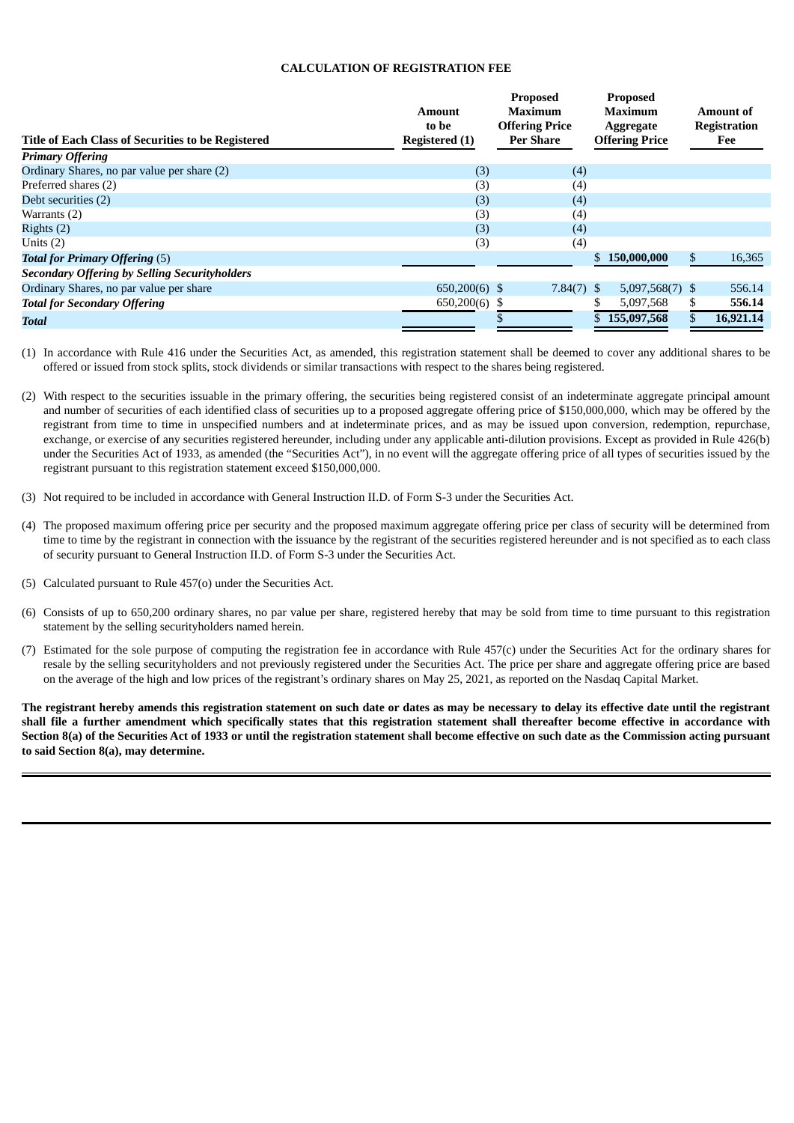### **CALCULATION OF REGISTRATION FEE**

| Title of Each Class of Securities to be Registered<br><b>Primary Offering</b> | <b>Amount</b><br>to be<br>Registered (1) | <b>Proposed</b><br><b>Maximum</b><br><b>Offering Price</b><br><b>Per Share</b> | <b>Proposed</b><br><b>Maximum</b><br>Aggregate<br><b>Offering Price</b> | Amount of<br><b>Registration</b><br>Fee |
|-------------------------------------------------------------------------------|------------------------------------------|--------------------------------------------------------------------------------|-------------------------------------------------------------------------|-----------------------------------------|
| Ordinary Shares, no par value per share (2)                                   | (3)                                      | (4)                                                                            |                                                                         |                                         |
| Preferred shares (2)                                                          | (3)                                      | (4)                                                                            |                                                                         |                                         |
| Debt securities (2)                                                           | (3)                                      | (4)                                                                            |                                                                         |                                         |
| Warrants (2)                                                                  | (3)                                      | $\left( 4\right)$                                                              |                                                                         |                                         |
| Rights $(2)$                                                                  | (3)                                      | (4)                                                                            |                                                                         |                                         |
| Units $(2)$                                                                   | (3)                                      | (4)                                                                            |                                                                         |                                         |
| Total for Primary Offering (5)                                                |                                          |                                                                                | 150,000,000<br>\$                                                       | 16,365<br>\$                            |
| <b>Secondary Offering by Selling Securityholders</b>                          |                                          |                                                                                |                                                                         |                                         |
| Ordinary Shares, no par value per share                                       | $650,200(6)$ \$                          | 7.84 $(7)$ \$                                                                  | $5,097,568(7)$ \$                                                       | 556.14                                  |
| <b>Total for Secondary Offering</b>                                           | $650,200(6)$ \$                          |                                                                                | S<br>5,097,568                                                          | 556.14                                  |
| <b>Total</b>                                                                  |                                          |                                                                                | 155,097,568                                                             | 16,921.14                               |

- (1) In accordance with Rule 416 under the Securities Act, as amended, this registration statement shall be deemed to cover any additional shares to be offered or issued from stock splits, stock dividends or similar transactions with respect to the shares being registered.
- (2) With respect to the securities issuable in the primary offering, the securities being registered consist of an indeterminate aggregate principal amount and number of securities of each identified class of securities up to a proposed aggregate offering price of \$150,000,000, which may be offered by the registrant from time to time in unspecified numbers and at indeterminate prices, and as may be issued upon conversion, redemption, repurchase, exchange, or exercise of any securities registered hereunder, including under any applicable anti-dilution provisions. Except as provided in Rule 426(b) under the Securities Act of 1933, as amended (the "Securities Act"), in no event will the aggregate offering price of all types of securities issued by the registrant pursuant to this registration statement exceed \$150,000,000.
- (3) Not required to be included in accordance with General Instruction II.D. of Form S-3 under the Securities Act.
- (4) The proposed maximum offering price per security and the proposed maximum aggregate offering price per class of security will be determined from time to time by the registrant in connection with the issuance by the registrant of the securities registered hereunder and is not specified as to each class of security pursuant to General Instruction II.D. of Form S-3 under the Securities Act.
- (5) Calculated pursuant to Rule 457(o) under the Securities Act.
- (6) Consists of up to 650,200 ordinary shares, no par value per share, registered hereby that may be sold from time to time pursuant to this registration statement by the selling securityholders named herein.
- (7) Estimated for the sole purpose of computing the registration fee in accordance with Rule 457(c) under the Securities Act for the ordinary shares for resale by the selling securityholders and not previously registered under the Securities Act. The price per share and aggregate offering price are based on the average of the high and low prices of the registrant's ordinary shares on May 25, 2021, as reported on the Nasdaq Capital Market.

The registrant hereby amends this registration statement on such date or dates as may be necessary to delay its effective date until the registrant shall file a further amendment which specifically states that this registration statement shall thereafter become effective in accordance with Section 8(a) of the Securities Act of 1933 or until the registration statement shall become effective on such date as the Commission acting pursuant **to said Section 8(a), may determine.**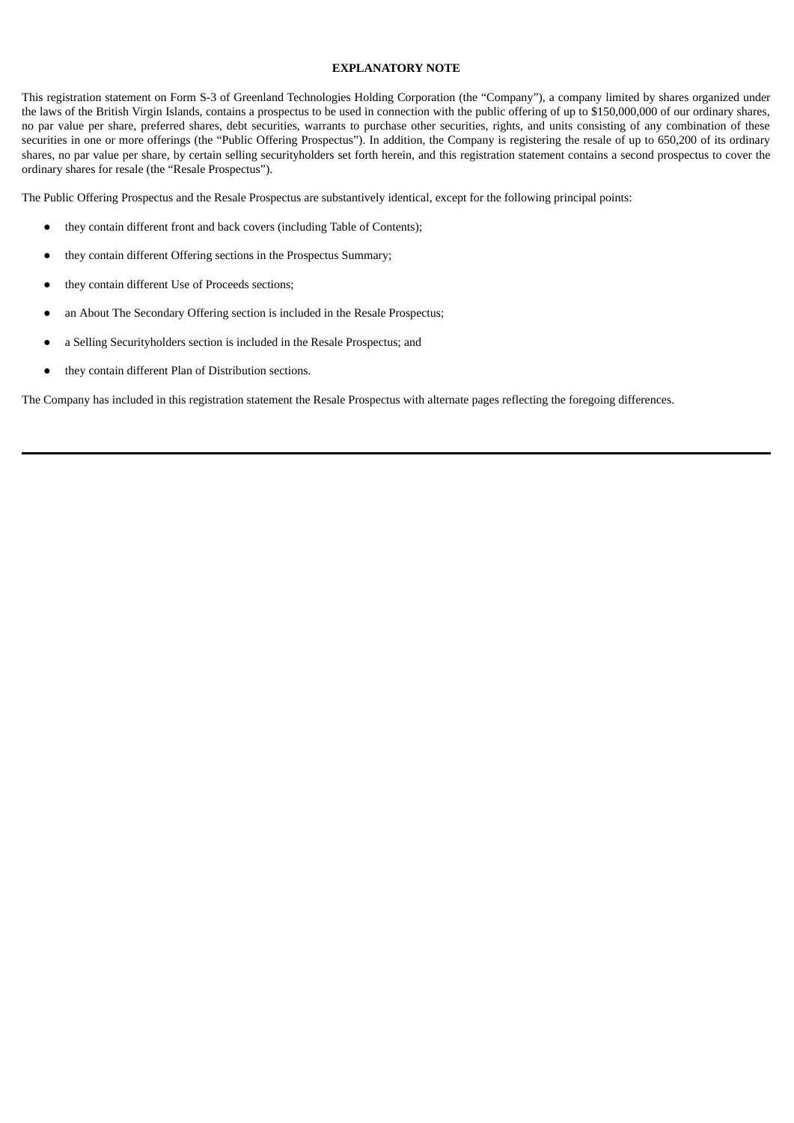## **EXPLANATORY NOTE**

This registration statement on Form S-3 of Greenland Technologies Holding Corporation (the "Company"), a company limited by shares organized under the laws of the British Virgin Islands, contains a prospectus to be used in connection with the public offering of up to \$150,000,000 of our ordinary shares, no par value per share, preferred shares, debt securities, warrants to purchase other securities, rights, and units consisting of any combination of these securities in one or more offerings (the "Public Offering Prospectus"). In addition, the Company is registering the resale of up to 650,200 of its ordinary shares, no par value per share, by certain selling securityholders set forth herein, and this registration statement contains a second prospectus to cover the ordinary shares for resale (the "Resale Prospectus").

The Public Offering Prospectus and the Resale Prospectus are substantively identical, except for the following principal points:

- they contain different front and back covers (including Table of Contents);
- they contain different Offering sections in the Prospectus Summary;
- they contain different Use of Proceeds sections;
- an About The Secondary Offering section is included in the Resale Prospectus;
- a Selling Securityholders section is included in the Resale Prospectus; and
- they contain different Plan of Distribution sections.

The Company has included in this registration statement the Resale Prospectus with alternate pages reflecting the foregoing differences.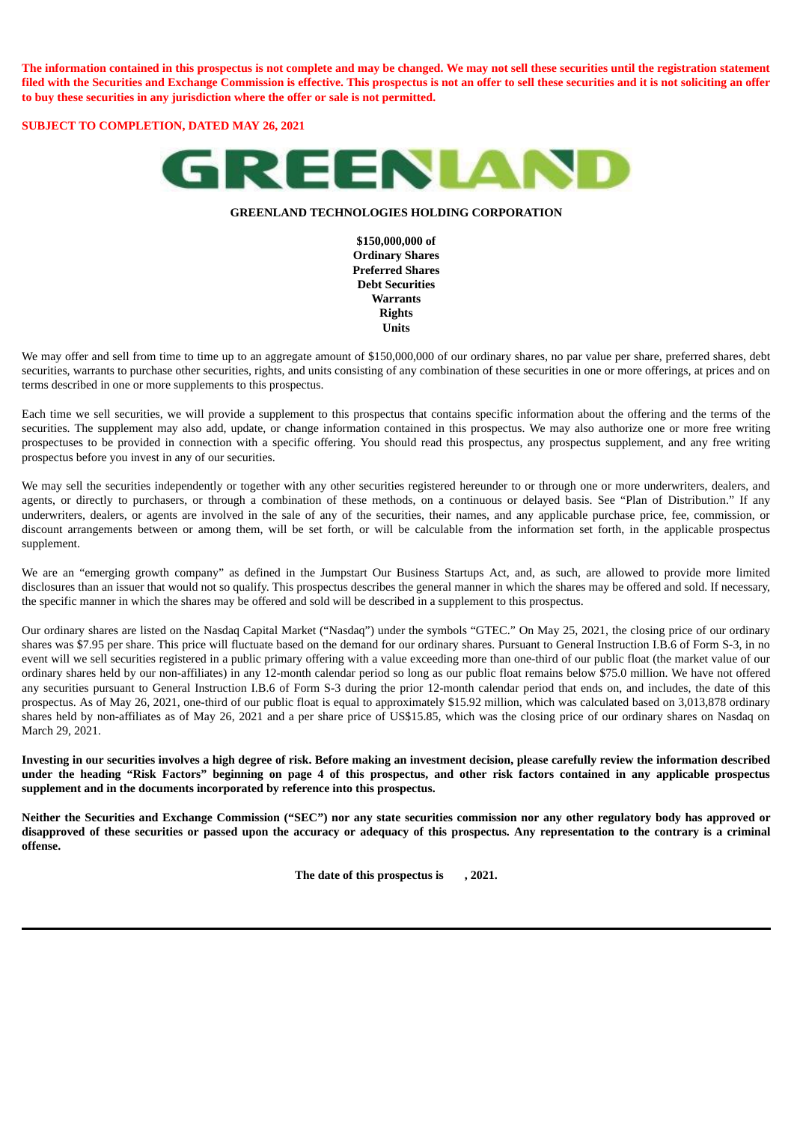The information contained in this prospectus is not complete and may be changed. We may not sell these securities until the registration statement filed with the Securities and Exchange Commission is effective. This prospectus is not an offer to sell these securities and it is not soliciting an offer **to buy these securities in any jurisdiction where the offer or sale is not permitted.**

**SUBJECT TO COMPLETION, DATED MAY 26, 2021**



## **GREENLAND TECHNOLOGIES HOLDING CORPORATION**

**\$150,000,000 of Ordinary Shares Preferred Shares Debt Securities Warrants Rights Units**

We may offer and sell from time to time up to an aggregate amount of \$150,000,000 of our ordinary shares, no par value per share, preferred shares, debt securities, warrants to purchase other securities, rights, and units consisting of any combination of these securities in one or more offerings, at prices and on terms described in one or more supplements to this prospectus.

Each time we sell securities, we will provide a supplement to this prospectus that contains specific information about the offering and the terms of the securities. The supplement may also add, update, or change information contained in this prospectus. We may also authorize one or more free writing prospectuses to be provided in connection with a specific offering. You should read this prospectus, any prospectus supplement, and any free writing prospectus before you invest in any of our securities.

We may sell the securities independently or together with any other securities registered hereunder to or through one or more underwriters, dealers, and agents, or directly to purchasers, or through a combination of these methods, on a continuous or delayed basis. See "Plan of Distribution." If any underwriters, dealers, or agents are involved in the sale of any of the securities, their names, and any applicable purchase price, fee, commission, or discount arrangements between or among them, will be set forth, or will be calculable from the information set forth, in the applicable prospectus supplement.

We are an "emerging growth company" as defined in the Jumpstart Our Business Startups Act, and, as such, are allowed to provide more limited disclosures than an issuer that would not so qualify. This prospectus describes the general manner in which the shares may be offered and sold. If necessary, the specific manner in which the shares may be offered and sold will be described in a supplement to this prospectus.

Our ordinary shares are listed on the Nasdaq Capital Market ("Nasdaq") under the symbols "GTEC." On May 25, 2021, the closing price of our ordinary shares was \$7.95 per share. This price will fluctuate based on the demand for our ordinary shares. Pursuant to General Instruction I.B.6 of Form S-3, in no event will we sell securities registered in a public primary offering with a value exceeding more than one-third of our public float (the market value of our ordinary shares held by our non-affiliates) in any 12-month calendar period so long as our public float remains below \$75.0 million. We have not offered any securities pursuant to General Instruction I.B.6 of Form S-3 during the prior 12-month calendar period that ends on, and includes, the date of this prospectus. As of May 26, 2021, one-third of our public float is equal to approximately \$15.92 million, which was calculated based on 3,013,878 ordinary shares held by non-affiliates as of May 26, 2021 and a per share price of US\$15.85, which was the closing price of our ordinary shares on Nasdaq on March 29, 2021.

Investing in our securities involves a high degree of risk. Before making an investment decision, please carefully review the information described under the heading "Risk Factors" beginning on page 4 of this prospectus, and other risk factors contained in any applicable prospectus **supplement and in the documents incorporated by reference into this prospectus.**

Neither the Securities and Exchange Commission ("SEC") nor any state securities commission nor any other regulatory body has approved or disapproved of these securities or passed upon the accuracy or adequacy of this prospectus. Any representation to the contrary is a criminal **offense.**

**The date of this prospectus is , 2021.**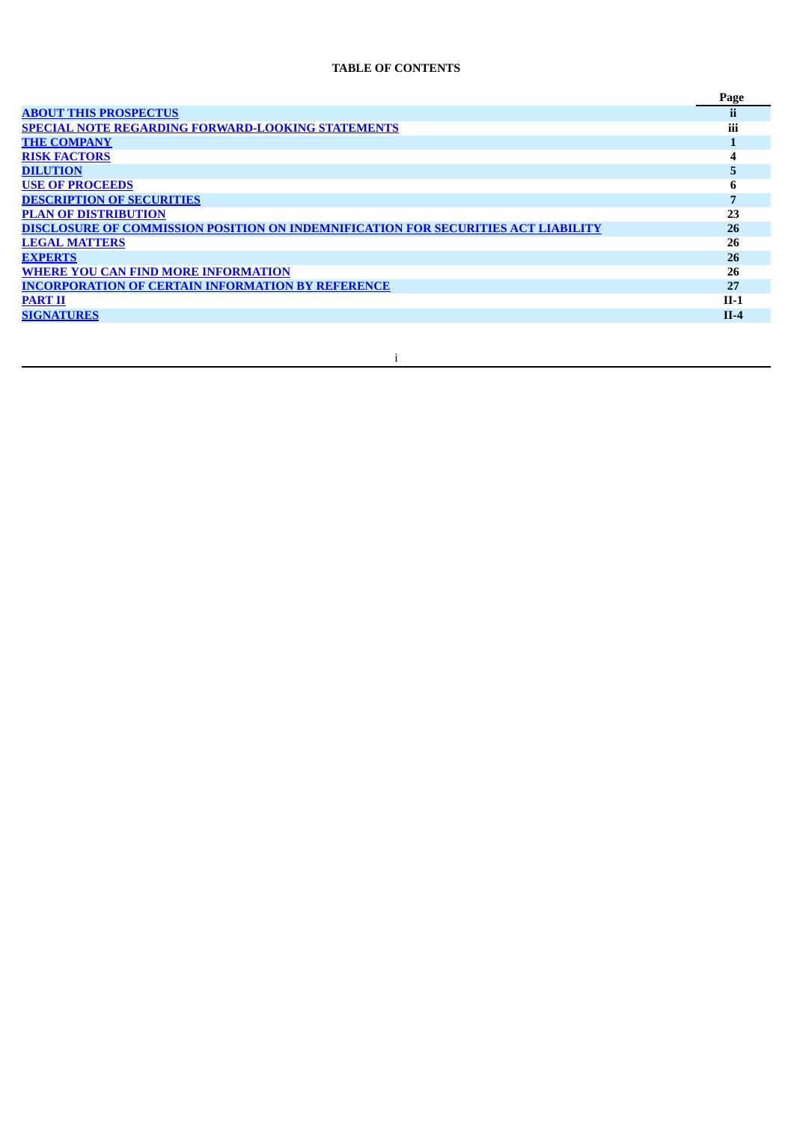# **TABLE OF CONTENTS**

|                                                                                          | Page   |
|------------------------------------------------------------------------------------------|--------|
| <b>ABOUT THIS PROSPECTUS</b>                                                             | n      |
| <b>SPECIAL NOTE REGARDING FORWARD-LOOKING STATEMENTS</b>                                 | <br>Ш  |
| <b>THE COMPANY</b>                                                                       |        |
| <b>RISK FACTORS</b>                                                                      |        |
| <b>DILUTION</b>                                                                          |        |
| <b>USE OF PROCEEDS</b>                                                                   |        |
| <b>DESCRIPTION OF SECURITIES</b>                                                         |        |
| <b>PLAN OF DISTRIBUTION</b>                                                              | 23     |
| <b>DISCLOSURE OF COMMISSION POSITION ON INDEMNIFICATION FOR SECURITIES ACT LIABILITY</b> | 26     |
| <b>LEGAL MATTERS</b>                                                                     | 26     |
| <b>EXPERTS</b>                                                                           | 26     |
| <b>WHERE YOU CAN FIND MORE INFORMATION</b>                                               | 26     |
| <b>INCORPORATION OF CERTAIN INFORMATION BY REFERENCE</b>                                 | 27     |
| <b>PART II</b>                                                                           | $II-1$ |
| <b>SIGNATURES</b>                                                                        | $II-4$ |
|                                                                                          |        |

# i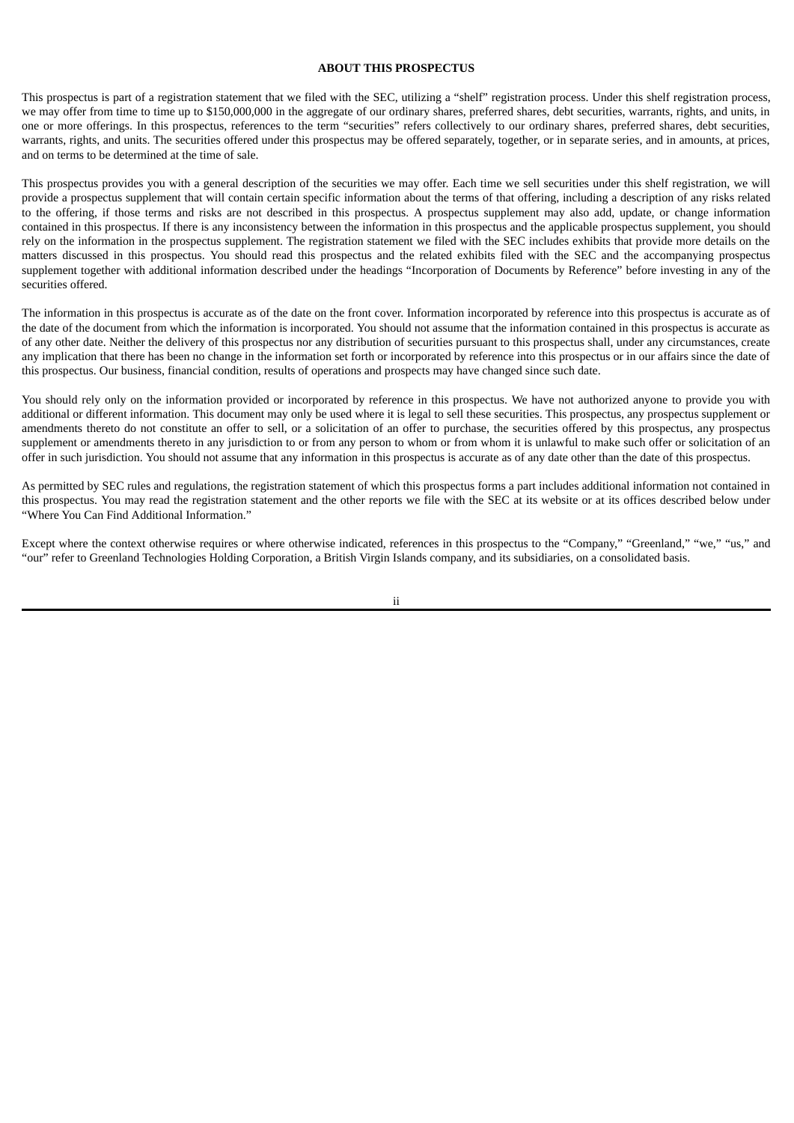### **ABOUT THIS PROSPECTUS**

<span id="page-5-0"></span>This prospectus is part of a registration statement that we filed with the SEC, utilizing a "shelf" registration process. Under this shelf registration process, we may offer from time to time up to \$150,000,000 in the aggregate of our ordinary shares, preferred shares, debt securities, warrants, rights, and units, in one or more offerings. In this prospectus, references to the term "securities" refers collectively to our ordinary shares, preferred shares, debt securities, warrants, rights, and units. The securities offered under this prospectus may be offered separately, together, or in separate series, and in amounts, at prices, and on terms to be determined at the time of sale.

This prospectus provides you with a general description of the securities we may offer. Each time we sell securities under this shelf registration, we will provide a prospectus supplement that will contain certain specific information about the terms of that offering, including a description of any risks related to the offering, if those terms and risks are not described in this prospectus. A prospectus supplement may also add, update, or change information contained in this prospectus. If there is any inconsistency between the information in this prospectus and the applicable prospectus supplement, you should rely on the information in the prospectus supplement. The registration statement we filed with the SEC includes exhibits that provide more details on the matters discussed in this prospectus. You should read this prospectus and the related exhibits filed with the SEC and the accompanying prospectus supplement together with additional information described under the headings "Incorporation of Documents by Reference" before investing in any of the securities offered.

The information in this prospectus is accurate as of the date on the front cover. Information incorporated by reference into this prospectus is accurate as of the date of the document from which the information is incorporated. You should not assume that the information contained in this prospectus is accurate as of any other date. Neither the delivery of this prospectus nor any distribution of securities pursuant to this prospectus shall, under any circumstances, create any implication that there has been no change in the information set forth or incorporated by reference into this prospectus or in our affairs since the date of this prospectus. Our business, financial condition, results of operations and prospects may have changed since such date.

You should rely only on the information provided or incorporated by reference in this prospectus. We have not authorized anyone to provide you with additional or different information. This document may only be used where it is legal to sell these securities. This prospectus, any prospectus supplement or amendments thereto do not constitute an offer to sell, or a solicitation of an offer to purchase, the securities offered by this prospectus, any prospectus supplement or amendments thereto in any jurisdiction to or from any person to whom or from whom it is unlawful to make such offer or solicitation of an offer in such jurisdiction. You should not assume that any information in this prospectus is accurate as of any date other than the date of this prospectus.

As permitted by SEC rules and regulations, the registration statement of which this prospectus forms a part includes additional information not contained in this prospectus. You may read the registration statement and the other reports we file with the SEC at its website or at its offices described below under "Where You Can Find Additional Information."

Except where the context otherwise requires or where otherwise indicated, references in this prospectus to the "Company," "Greenland," "we," "us," and "our" refer to Greenland Technologies Holding Corporation, a British Virgin Islands company, and its subsidiaries, on a consolidated basis.

ii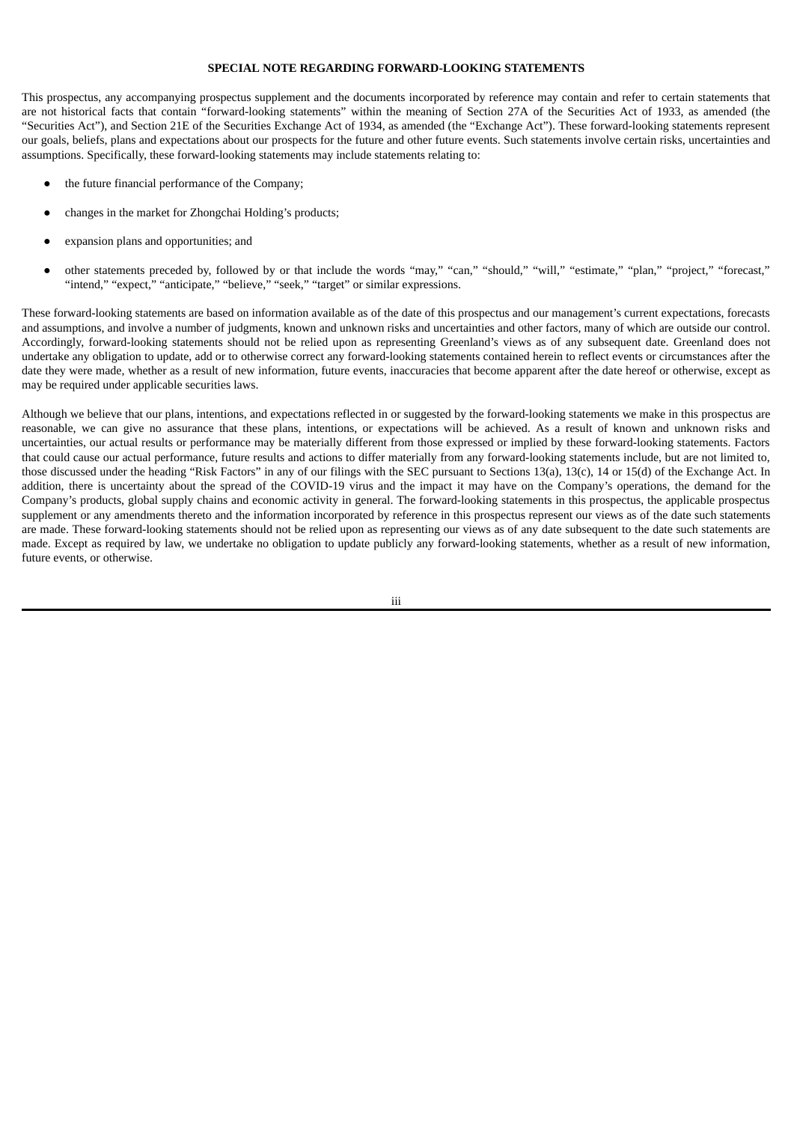## **SPECIAL NOTE REGARDING FORWARD-LOOKING STATEMENTS**

<span id="page-6-0"></span>This prospectus, any accompanying prospectus supplement and the documents incorporated by reference may contain and refer to certain statements that are not historical facts that contain "forward-looking statements" within the meaning of Section 27A of the Securities Act of 1933, as amended (the "Securities Act"), and Section 21E of the Securities Exchange Act of 1934, as amended (the "Exchange Act"). These forward-looking statements represent our goals, beliefs, plans and expectations about our prospects for the future and other future events. Such statements involve certain risks, uncertainties and assumptions. Specifically, these forward-looking statements may include statements relating to:

- the future financial performance of the Company;
- changes in the market for Zhongchai Holding's products;
- expansion plans and opportunities; and
- other statements preceded by, followed by or that include the words "may," "can," "should," "will," "estimate," "plan," "project," "forecast," "intend," "expect," "anticipate," "believe," "seek," "target" or similar expressions.

These forward-looking statements are based on information available as of the date of this prospectus and our management's current expectations, forecasts and assumptions, and involve a number of judgments, known and unknown risks and uncertainties and other factors, many of which are outside our control. Accordingly, forward-looking statements should not be relied upon as representing Greenland's views as of any subsequent date. Greenland does not undertake any obligation to update, add or to otherwise correct any forward-looking statements contained herein to reflect events or circumstances after the date they were made, whether as a result of new information, future events, inaccuracies that become apparent after the date hereof or otherwise, except as may be required under applicable securities laws.

Although we believe that our plans, intentions, and expectations reflected in or suggested by the forward-looking statements we make in this prospectus are reasonable, we can give no assurance that these plans, intentions, or expectations will be achieved. As a result of known and unknown risks and uncertainties, our actual results or performance may be materially different from those expressed or implied by these forward-looking statements. Factors that could cause our actual performance, future results and actions to differ materially from any forward-looking statements include, but are not limited to, those discussed under the heading "Risk Factors" in any of our filings with the SEC pursuant to Sections 13(a), 13(c), 14 or 15(d) of the Exchange Act. In addition, there is uncertainty about the spread of the COVID-19 virus and the impact it may have on the Company's operations, the demand for the Company's products, global supply chains and economic activity in general. The forward-looking statements in this prospectus, the applicable prospectus supplement or any amendments thereto and the information incorporated by reference in this prospectus represent our views as of the date such statements are made. These forward-looking statements should not be relied upon as representing our views as of any date subsequent to the date such statements are made. Except as required by law, we undertake no obligation to update publicly any forward-looking statements, whether as a result of new information, future events, or otherwise.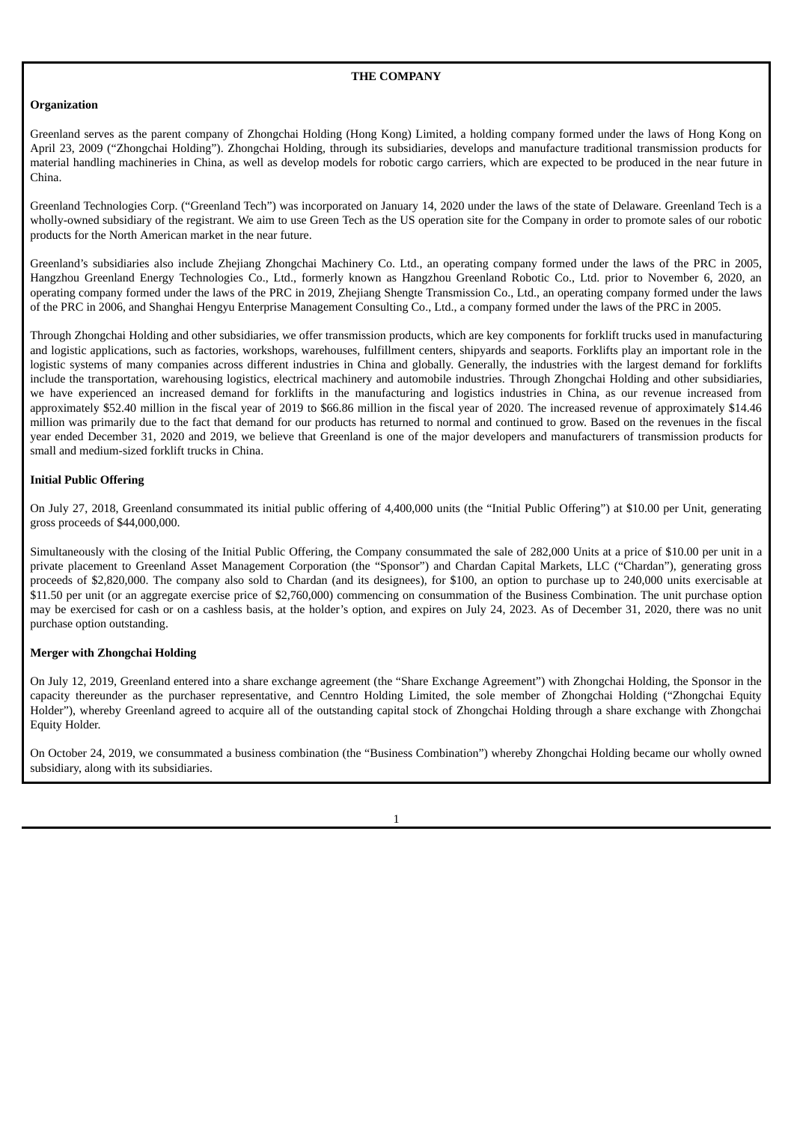## **THE COMPANY**

## <span id="page-7-0"></span>**Organization**

Greenland serves as the parent company of Zhongchai Holding (Hong Kong) Limited, a holding company formed under the laws of Hong Kong on April 23, 2009 ("Zhongchai Holding"). Zhongchai Holding, through its subsidiaries, develops and manufacture traditional transmission products for material handling machineries in China, as well as develop models for robotic cargo carriers, which are expected to be produced in the near future in China.

Greenland Technologies Corp. ("Greenland Tech") was incorporated on January 14, 2020 under the laws of the state of Delaware. Greenland Tech is a wholly-owned subsidiary of the registrant. We aim to use Green Tech as the US operation site for the Company in order to promote sales of our robotic products for the North American market in the near future.

Greenland's subsidiaries also include Zhejiang Zhongchai Machinery Co. Ltd., an operating company formed under the laws of the PRC in 2005, Hangzhou Greenland Energy Technologies Co., Ltd., formerly known as Hangzhou Greenland Robotic Co., Ltd. prior to November 6, 2020, an operating company formed under the laws of the PRC in 2019, Zhejiang Shengte Transmission Co., Ltd., an operating company formed under the laws of the PRC in 2006, and Shanghai Hengyu Enterprise Management Consulting Co., Ltd., a company formed under the laws of the PRC in 2005.

Through Zhongchai Holding and other subsidiaries, we offer transmission products, which are key components for forklift trucks used in manufacturing and logistic applications, such as factories, workshops, warehouses, fulfillment centers, shipyards and seaports. Forklifts play an important role in the logistic systems of many companies across different industries in China and globally. Generally, the industries with the largest demand for forklifts include the transportation, warehousing logistics, electrical machinery and automobile industries. Through Zhongchai Holding and other subsidiaries, we have experienced an increased demand for forklifts in the manufacturing and logistics industries in China, as our revenue increased from approximately \$52.40 million in the fiscal year of 2019 to \$66.86 million in the fiscal year of 2020. The increased revenue of approximately \$14.46 million was primarily due to the fact that demand for our products has returned to normal and continued to grow. Based on the revenues in the fiscal year ended December 31, 2020 and 2019, we believe that Greenland is one of the major developers and manufacturers of transmission products for small and medium-sized forklift trucks in China.

## **Initial Public Offering**

On July 27, 2018, Greenland consummated its initial public offering of 4,400,000 units (the "Initial Public Offering") at \$10.00 per Unit, generating gross proceeds of \$44,000,000.

Simultaneously with the closing of the Initial Public Offering, the Company consummated the sale of 282,000 Units at a price of \$10.00 per unit in a private placement to Greenland Asset Management Corporation (the "Sponsor") and Chardan Capital Markets, LLC ("Chardan"), generating gross proceeds of \$2,820,000. The company also sold to Chardan (and its designees), for \$100, an option to purchase up to 240,000 units exercisable at \$11.50 per unit (or an aggregate exercise price of \$2,760,000) commencing on consummation of the Business Combination. The unit purchase option may be exercised for cash or on a cashless basis, at the holder's option, and expires on July 24, 2023. As of December 31, 2020, there was no unit purchase option outstanding.

## **Merger with Zhongchai Holding**

On July 12, 2019, Greenland entered into a share exchange agreement (the "Share Exchange Agreement") with Zhongchai Holding, the Sponsor in the capacity thereunder as the purchaser representative, and Cenntro Holding Limited, the sole member of Zhongchai Holding ("Zhongchai Equity Holder"), whereby Greenland agreed to acquire all of the outstanding capital stock of Zhongchai Holding through a share exchange with Zhongchai Equity Holder.

On October 24, 2019, we consummated a business combination (the "Business Combination") whereby Zhongchai Holding became our wholly owned subsidiary, along with its subsidiaries.

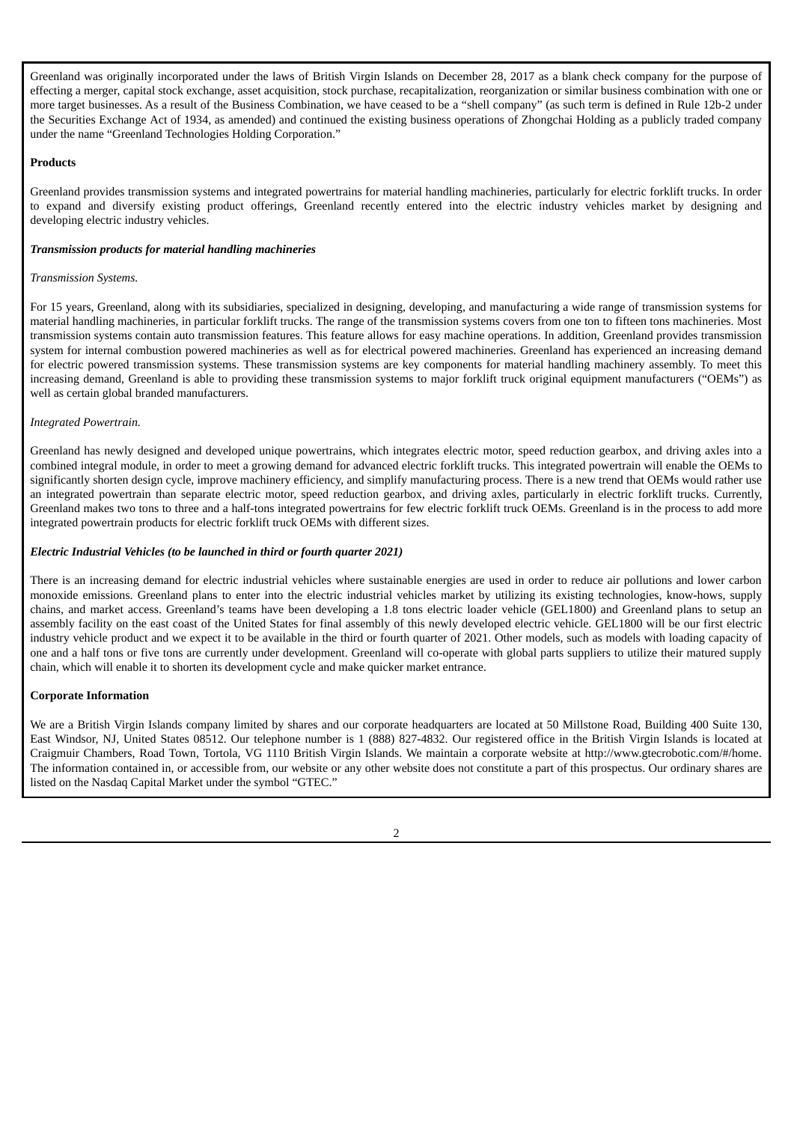Greenland was originally incorporated under the laws of British Virgin Islands on December 28, 2017 as a blank check company for the purpose of effecting a merger, capital stock exchange, asset acquisition, stock purchase, recapitalization, reorganization or similar business combination with one or more target businesses. As a result of the Business Combination, we have ceased to be a "shell company" (as such term is defined in Rule 12b-2 under the Securities Exchange Act of 1934, as amended) and continued the existing business operations of Zhongchai Holding as a publicly traded company under the name "Greenland Technologies Holding Corporation."

## **Products**

Greenland provides transmission systems and integrated powertrains for material handling machineries, particularly for electric forklift trucks. In order to expand and diversify existing product offerings, Greenland recently entered into the electric industry vehicles market by designing and developing electric industry vehicles.

## *Transmission products for material handling machineries*

## *Transmission Systems.*

For 15 years, Greenland, along with its subsidiaries, specialized in designing, developing, and manufacturing a wide range of transmission systems for material handling machineries, in particular forklift trucks. The range of the transmission systems covers from one ton to fifteen tons machineries. Most transmission systems contain auto transmission features. This feature allows for easy machine operations. In addition, Greenland provides transmission system for internal combustion powered machineries as well as for electrical powered machineries. Greenland has experienced an increasing demand for electric powered transmission systems. These transmission systems are key components for material handling machinery assembly. To meet this increasing demand, Greenland is able to providing these transmission systems to major forklift truck original equipment manufacturers ("OEMs") as well as certain global branded manufacturers.

## *Integrated Powertrain.*

Greenland has newly designed and developed unique powertrains, which integrates electric motor, speed reduction gearbox, and driving axles into a combined integral module, in order to meet a growing demand for advanced electric forklift trucks. This integrated powertrain will enable the OEMs to significantly shorten design cycle, improve machinery efficiency, and simplify manufacturing process. There is a new trend that OEMs would rather use an integrated powertrain than separate electric motor, speed reduction gearbox, and driving axles, particularly in electric forklift trucks. Currently, Greenland makes two tons to three and a half-tons integrated powertrains for few electric forklift truck OEMs. Greenland is in the process to add more integrated powertrain products for electric forklift truck OEMs with different sizes.

## *Electric Industrial Vehicles (to be launched in third or fourth quarter 2021)*

There is an increasing demand for electric industrial vehicles where sustainable energies are used in order to reduce air pollutions and lower carbon monoxide emissions. Greenland plans to enter into the electric industrial vehicles market by utilizing its existing technologies, know-hows, supply chains, and market access. Greenland's teams have been developing a 1.8 tons electric loader vehicle (GEL1800) and Greenland plans to setup an assembly facility on the east coast of the United States for final assembly of this newly developed electric vehicle. GEL1800 will be our first electric industry vehicle product and we expect it to be available in the third or fourth quarter of 2021. Other models, such as models with loading capacity of one and a half tons or five tons are currently under development. Greenland will co-operate with global parts suppliers to utilize their matured supply chain, which will enable it to shorten its development cycle and make quicker market entrance.

## **Corporate Information**

We are a British Virgin Islands company limited by shares and our corporate headquarters are located at 50 Millstone Road, Building 400 Suite 130, East Windsor, NJ, United States 08512. Our telephone number is 1 (888) 827-4832. Our registered office in the British Virgin Islands is located at Craigmuir Chambers, Road Town, Tortola, VG 1110 British Virgin Islands. We maintain a corporate website at http://www.gtecrobotic.com/#/home. The information contained in, or accessible from, our website or any other website does not constitute a part of this prospectus. Our ordinary shares are listed on the Nasdaq Capital Market under the symbol "GTEC."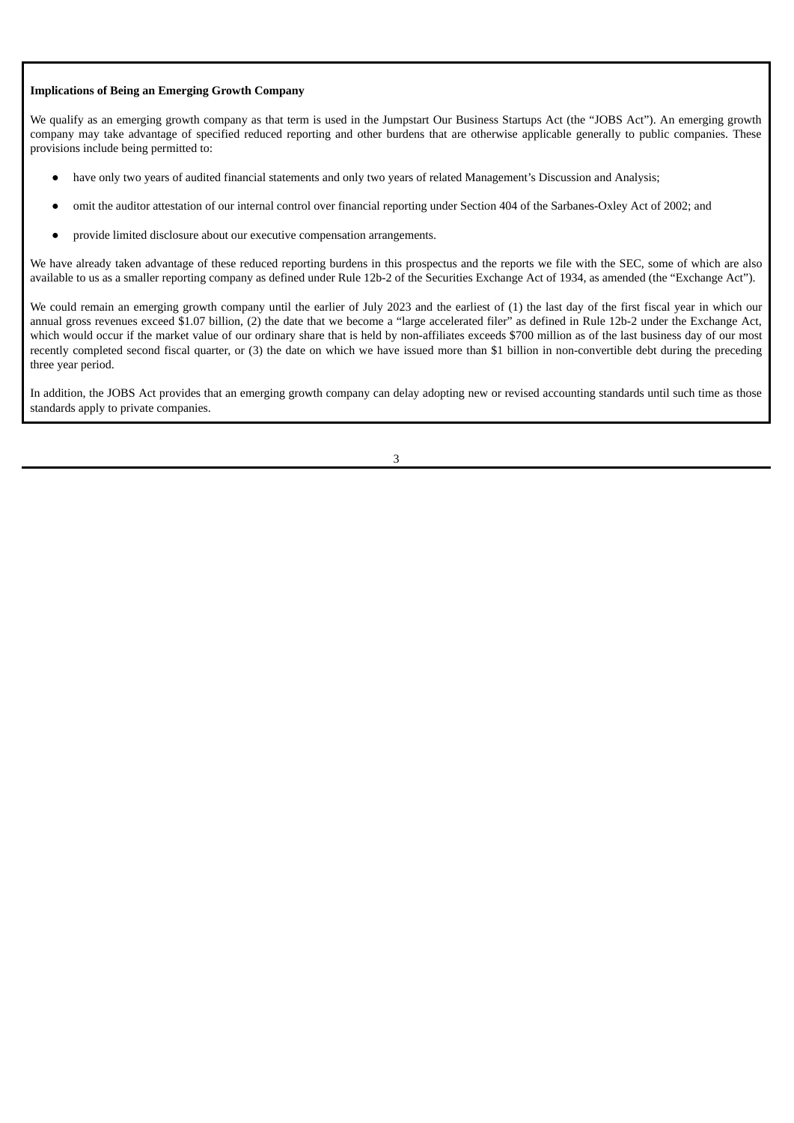## **Implications of Being an Emerging Growth Company**

We qualify as an emerging growth company as that term is used in the Jumpstart Our Business Startups Act (the "JOBS Act"). An emerging growth company may take advantage of specified reduced reporting and other burdens that are otherwise applicable generally to public companies. These provisions include being permitted to:

- have only two years of audited financial statements and only two years of related Management's Discussion and Analysis;
- omit the auditor attestation of our internal control over financial reporting under Section 404 of the Sarbanes-Oxley Act of 2002; and
- provide limited disclosure about our executive compensation arrangements.

We have already taken advantage of these reduced reporting burdens in this prospectus and the reports we file with the SEC, some of which are also available to us as a smaller reporting company as defined under Rule 12b-2 of the Securities Exchange Act of 1934, as amended (the "Exchange Act").

We could remain an emerging growth company until the earlier of July 2023 and the earliest of (1) the last day of the first fiscal year in which our annual gross revenues exceed \$1.07 billion, (2) the date that we become a "large accelerated filer" as defined in Rule 12b-2 under the Exchange Act, which would occur if the market value of our ordinary share that is held by non-affiliates exceeds \$700 million as of the last business day of our most recently completed second fiscal quarter, or (3) the date on which we have issued more than \$1 billion in non-convertible debt during the preceding three year period.

In addition, the JOBS Act provides that an emerging growth company can delay adopting new or revised accounting standards until such time as those standards apply to private companies.

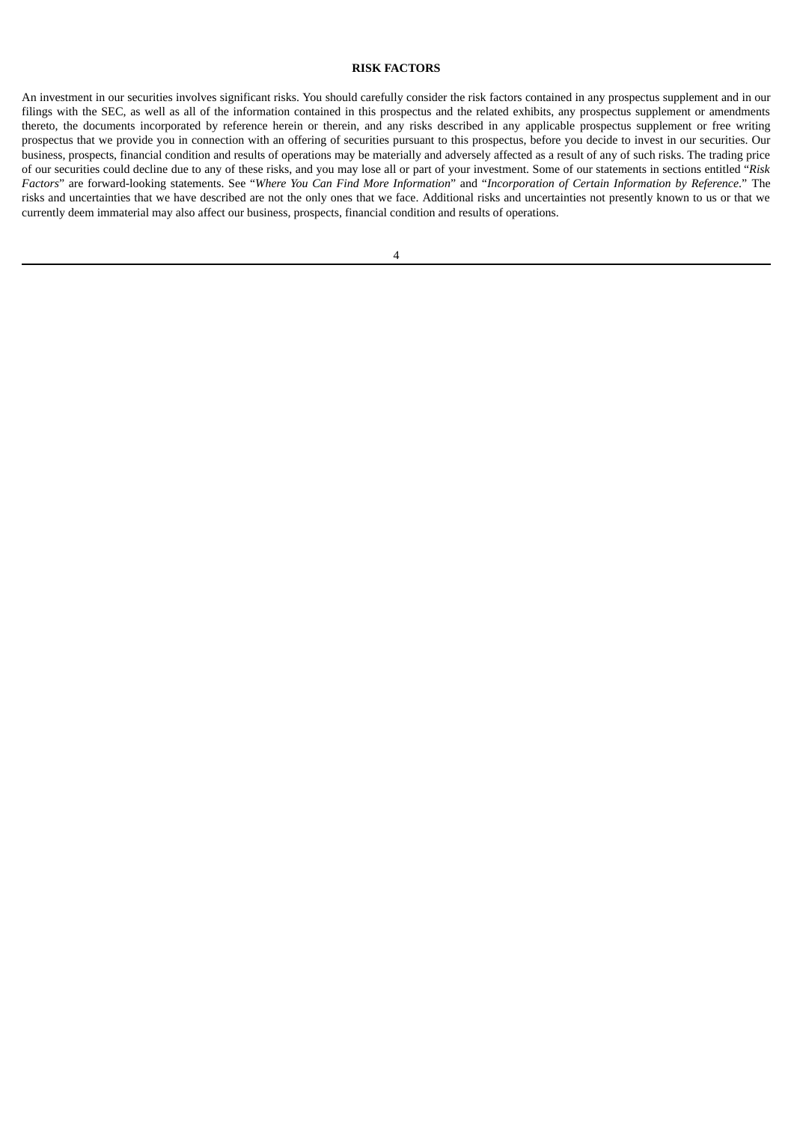## **RISK FACTORS**

<span id="page-10-0"></span>An investment in our securities involves significant risks. You should carefully consider the risk factors contained in any prospectus supplement and in our filings with the SEC, as well as all of the information contained in this prospectus and the related exhibits, any prospectus supplement or amendments thereto, the documents incorporated by reference herein or therein, and any risks described in any applicable prospectus supplement or free writing prospectus that we provide you in connection with an offering of securities pursuant to this prospectus, before you decide to invest in our securities. Our business, prospects, financial condition and results of operations may be materially and adversely affected as a result of any of such risks. The trading price of our securities could decline due to any of these risks, and you may lose all or part of your investment. Some of our statements in sections entitled "*Risk* Factors" are forward-looking statements. See "Where You Can Find More Information" and "Incorporation of Certain Information by Reference." The risks and uncertainties that we have described are not the only ones that we face. Additional risks and uncertainties not presently known to us or that we currently deem immaterial may also affect our business, prospects, financial condition and results of operations.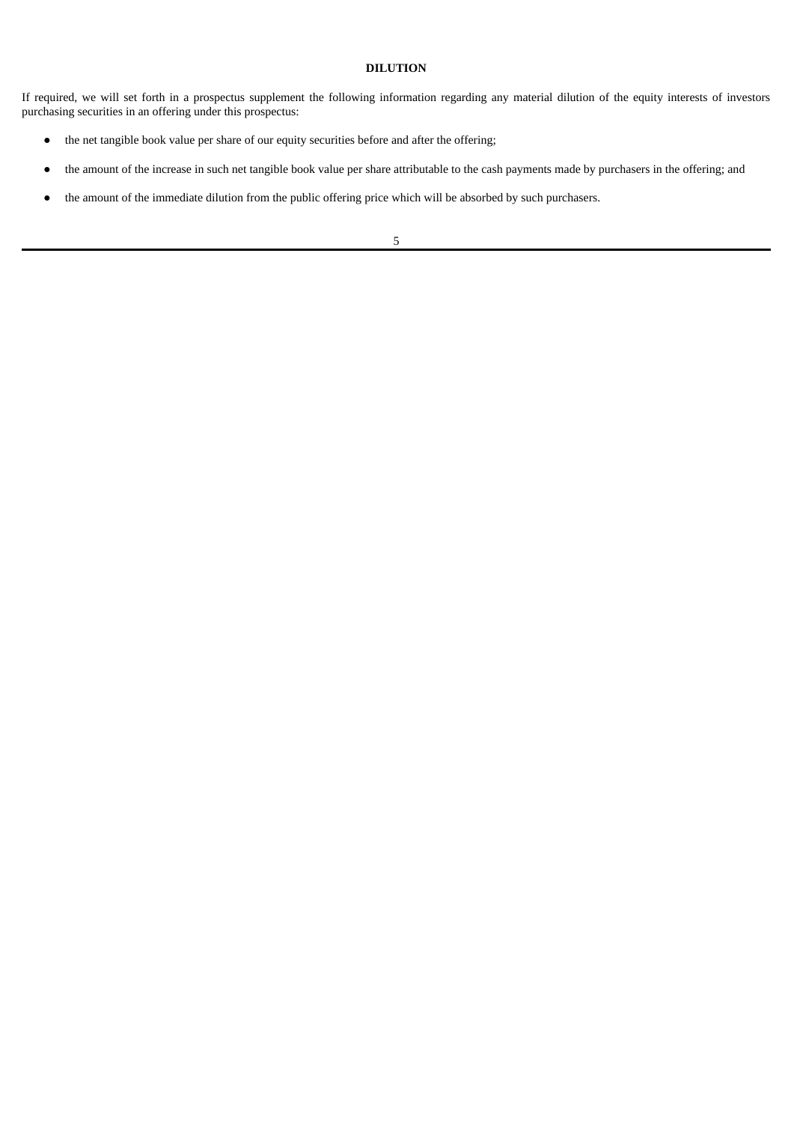## **DILUTION**

<span id="page-11-0"></span>If required, we will set forth in a prospectus supplement the following information regarding any material dilution of the equity interests of investors purchasing securities in an offering under this prospectus:

- the net tangible book value per share of our equity securities before and after the offering;
- the amount of the increase in such net tangible book value per share attributable to the cash payments made by purchasers in the offering; and
- the amount of the immediate dilution from the public offering price which will be absorbed by such purchasers.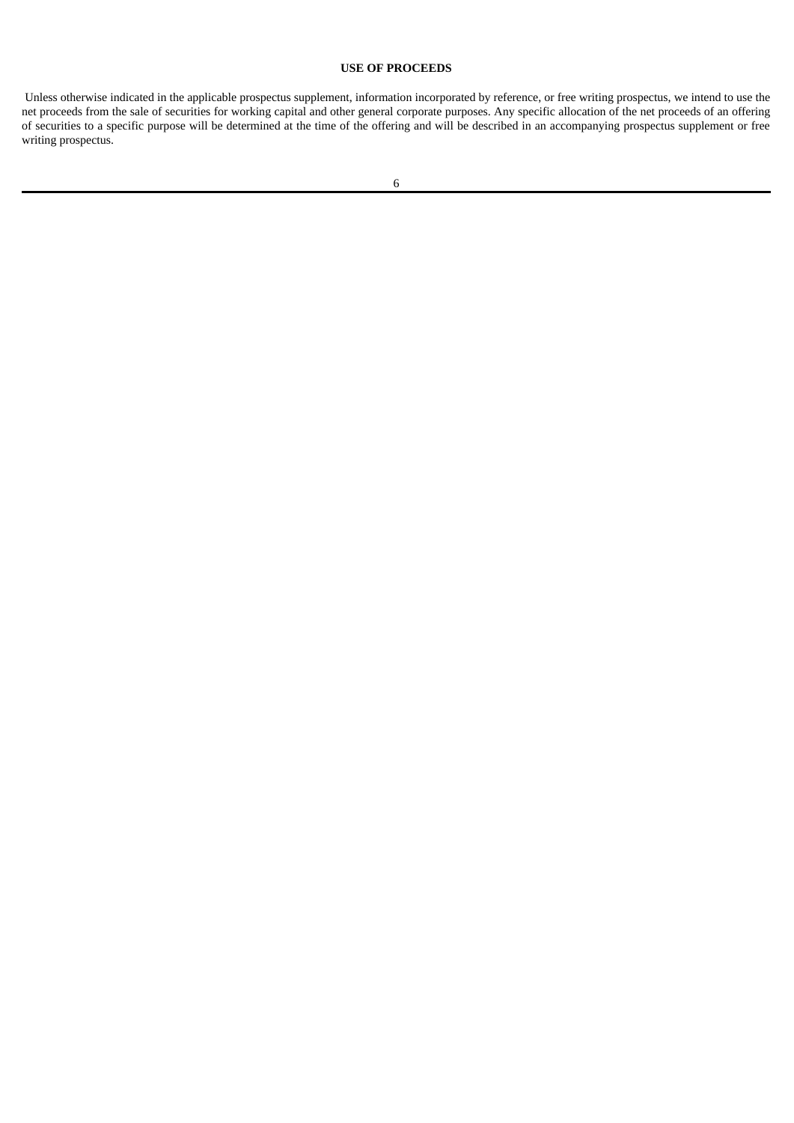## **USE OF PROCEEDS**

<span id="page-12-0"></span>Unless otherwise indicated in the applicable prospectus supplement, information incorporated by reference, or free writing prospectus, we intend to use the net proceeds from the sale of securities for working capital and other general corporate purposes. Any specific allocation of the net proceeds of an offering of securities to a specific purpose will be determined at the time of the offering and will be described in an accompanying prospectus supplement or free writing prospectus.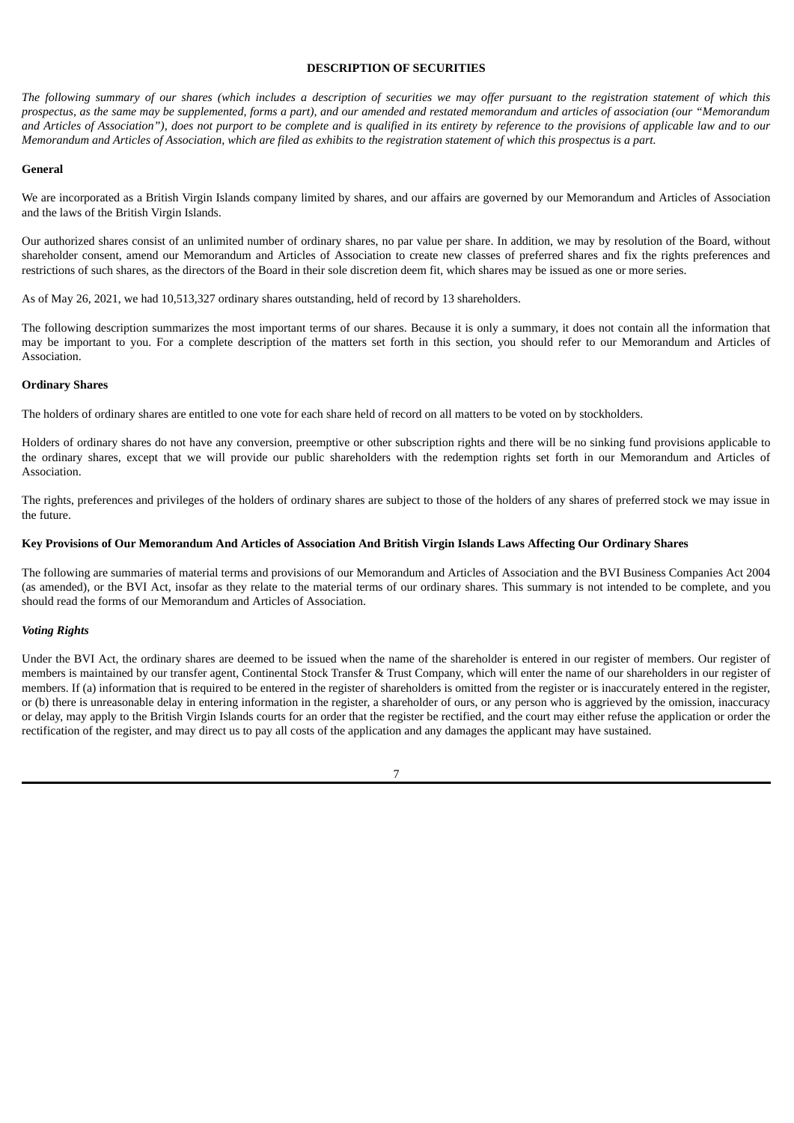## **DESCRIPTION OF SECURITIES**

<span id="page-13-0"></span>The following summary of our shares (which includes a description of securities we may offer pursuant to the registration statement of which this prospectus, as the same may be supplemented, forms a part), and our amended and restated memorandum and articles of association (our "Memorandum and Articles of Association"), does not purport to be complete and is qualified in its entirety by reference to the provisions of applicable law and to our Memorandum and Articles of Association, which are filed as exhibits to the registration statement of which this prospectus is a part.

#### **General**

We are incorporated as a British Virgin Islands company limited by shares, and our affairs are governed by our Memorandum and Articles of Association and the laws of the British Virgin Islands.

Our authorized shares consist of an unlimited number of ordinary shares, no par value per share. In addition, we may by resolution of the Board, without shareholder consent, amend our Memorandum and Articles of Association to create new classes of preferred shares and fix the rights preferences and restrictions of such shares, as the directors of the Board in their sole discretion deem fit, which shares may be issued as one or more series.

As of May 26, 2021, we had 10,513,327 ordinary shares outstanding, held of record by 13 shareholders.

The following description summarizes the most important terms of our shares. Because it is only a summary, it does not contain all the information that may be important to you. For a complete description of the matters set forth in this section, you should refer to our Memorandum and Articles of Association.

### **Ordinary Shares**

The holders of ordinary shares are entitled to one vote for each share held of record on all matters to be voted on by stockholders.

Holders of ordinary shares do not have any conversion, preemptive or other subscription rights and there will be no sinking fund provisions applicable to the ordinary shares, except that we will provide our public shareholders with the redemption rights set forth in our Memorandum and Articles of Association.

The rights, preferences and privileges of the holders of ordinary shares are subject to those of the holders of any shares of preferred stock we may issue in the future.

### Key Provisions of Our Memorandum And Articles of Association And British Virgin Islands Laws Affecting Our Ordinary Shares

The following are summaries of material terms and provisions of our Memorandum and Articles of Association and the BVI Business Companies Act 2004 (as amended), or the BVI Act, insofar as they relate to the material terms of our ordinary shares. This summary is not intended to be complete, and you should read the forms of our Memorandum and Articles of Association.

## *Voting Rights*

Under the BVI Act, the ordinary shares are deemed to be issued when the name of the shareholder is entered in our register of members. Our register of members is maintained by our transfer agent, Continental Stock Transfer & Trust Company, which will enter the name of our shareholders in our register of members. If (a) information that is required to be entered in the register of shareholders is omitted from the register or is inaccurately entered in the register, or (b) there is unreasonable delay in entering information in the register, a shareholder of ours, or any person who is aggrieved by the omission, inaccuracy or delay, may apply to the British Virgin Islands courts for an order that the register be rectified, and the court may either refuse the application or order the rectification of the register, and may direct us to pay all costs of the application and any damages the applicant may have sustained.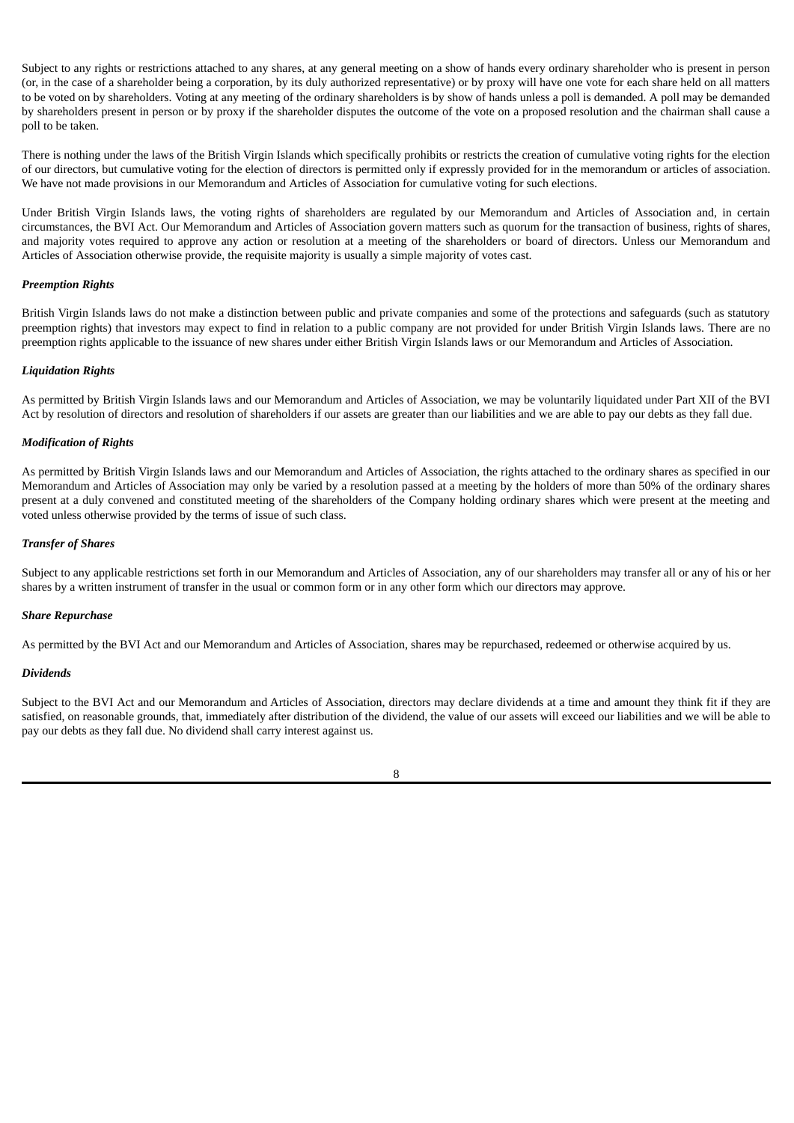Subject to any rights or restrictions attached to any shares, at any general meeting on a show of hands every ordinary shareholder who is present in person (or, in the case of a shareholder being a corporation, by its duly authorized representative) or by proxy will have one vote for each share held on all matters to be voted on by shareholders. Voting at any meeting of the ordinary shareholders is by show of hands unless a poll is demanded. A poll may be demanded by shareholders present in person or by proxy if the shareholder disputes the outcome of the vote on a proposed resolution and the chairman shall cause a poll to be taken.

There is nothing under the laws of the British Virgin Islands which specifically prohibits or restricts the creation of cumulative voting rights for the election of our directors, but cumulative voting for the election of directors is permitted only if expressly provided for in the memorandum or articles of association. We have not made provisions in our Memorandum and Articles of Association for cumulative voting for such elections.

Under British Virgin Islands laws, the voting rights of shareholders are regulated by our Memorandum and Articles of Association and, in certain circumstances, the BVI Act. Our Memorandum and Articles of Association govern matters such as quorum for the transaction of business, rights of shares, and majority votes required to approve any action or resolution at a meeting of the shareholders or board of directors. Unless our Memorandum and Articles of Association otherwise provide, the requisite majority is usually a simple majority of votes cast.

## *Preemption Rights*

British Virgin Islands laws do not make a distinction between public and private companies and some of the protections and safeguards (such as statutory preemption rights) that investors may expect to find in relation to a public company are not provided for under British Virgin Islands laws. There are no preemption rights applicable to the issuance of new shares under either British Virgin Islands laws or our Memorandum and Articles of Association.

## *Liquidation Rights*

As permitted by British Virgin Islands laws and our Memorandum and Articles of Association, we may be voluntarily liquidated under Part XII of the BVI Act by resolution of directors and resolution of shareholders if our assets are greater than our liabilities and we are able to pay our debts as they fall due.

## *Modification of Rights*

As permitted by British Virgin Islands laws and our Memorandum and Articles of Association, the rights attached to the ordinary shares as specified in our Memorandum and Articles of Association may only be varied by a resolution passed at a meeting by the holders of more than 50% of the ordinary shares present at a duly convened and constituted meeting of the shareholders of the Company holding ordinary shares which were present at the meeting and voted unless otherwise provided by the terms of issue of such class.

## *Transfer of Shares*

Subject to any applicable restrictions set forth in our Memorandum and Articles of Association, any of our shareholders may transfer all or any of his or her shares by a written instrument of transfer in the usual or common form or in any other form which our directors may approve.

## *Share Repurchase*

As permitted by the BVI Act and our Memorandum and Articles of Association, shares may be repurchased, redeemed or otherwise acquired by us.

## *Dividends*

Subject to the BVI Act and our Memorandum and Articles of Association, directors may declare dividends at a time and amount they think fit if they are satisfied, on reasonable grounds, that, immediately after distribution of the dividend, the value of our assets will exceed our liabilities and we will be able to pay our debts as they fall due. No dividend shall carry interest against us.

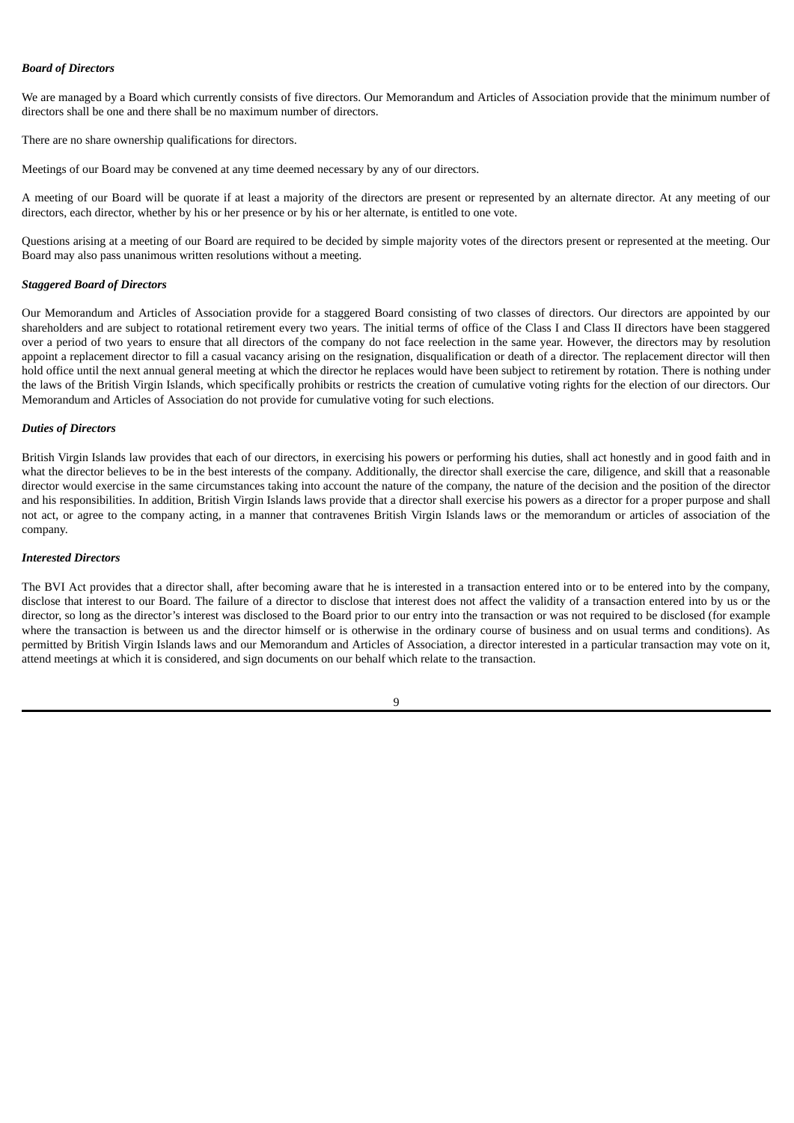#### *Board of Directors*

We are managed by a Board which currently consists of five directors. Our Memorandum and Articles of Association provide that the minimum number of directors shall be one and there shall be no maximum number of directors.

There are no share ownership qualifications for directors.

Meetings of our Board may be convened at any time deemed necessary by any of our directors.

A meeting of our Board will be quorate if at least a majority of the directors are present or represented by an alternate director. At any meeting of our directors, each director, whether by his or her presence or by his or her alternate, is entitled to one vote.

Questions arising at a meeting of our Board are required to be decided by simple majority votes of the directors present or represented at the meeting. Our Board may also pass unanimous written resolutions without a meeting.

### *Staggered Board of Directors*

Our Memorandum and Articles of Association provide for a staggered Board consisting of two classes of directors. Our directors are appointed by our shareholders and are subject to rotational retirement every two years. The initial terms of office of the Class I and Class II directors have been staggered over a period of two years to ensure that all directors of the company do not face reelection in the same year. However, the directors may by resolution appoint a replacement director to fill a casual vacancy arising on the resignation, disqualification or death of a director. The replacement director will then hold office until the next annual general meeting at which the director he replaces would have been subject to retirement by rotation. There is nothing under the laws of the British Virgin Islands, which specifically prohibits or restricts the creation of cumulative voting rights for the election of our directors. Our Memorandum and Articles of Association do not provide for cumulative voting for such elections.

#### *Duties of Directors*

British Virgin Islands law provides that each of our directors, in exercising his powers or performing his duties, shall act honestly and in good faith and in what the director believes to be in the best interests of the company. Additionally, the director shall exercise the care, diligence, and skill that a reasonable director would exercise in the same circumstances taking into account the nature of the company, the nature of the decision and the position of the director and his responsibilities. In addition, British Virgin Islands laws provide that a director shall exercise his powers as a director for a proper purpose and shall not act, or agree to the company acting, in a manner that contravenes British Virgin Islands laws or the memorandum or articles of association of the company.

#### *Interested Directors*

The BVI Act provides that a director shall, after becoming aware that he is interested in a transaction entered into or to be entered into by the company, disclose that interest to our Board. The failure of a director to disclose that interest does not affect the validity of a transaction entered into by us or the director, so long as the director's interest was disclosed to the Board prior to our entry into the transaction or was not required to be disclosed (for example where the transaction is between us and the director himself or is otherwise in the ordinary course of business and on usual terms and conditions). As permitted by British Virgin Islands laws and our Memorandum and Articles of Association, a director interested in a particular transaction may vote on it, attend meetings at which it is considered, and sign documents on our behalf which relate to the transaction.

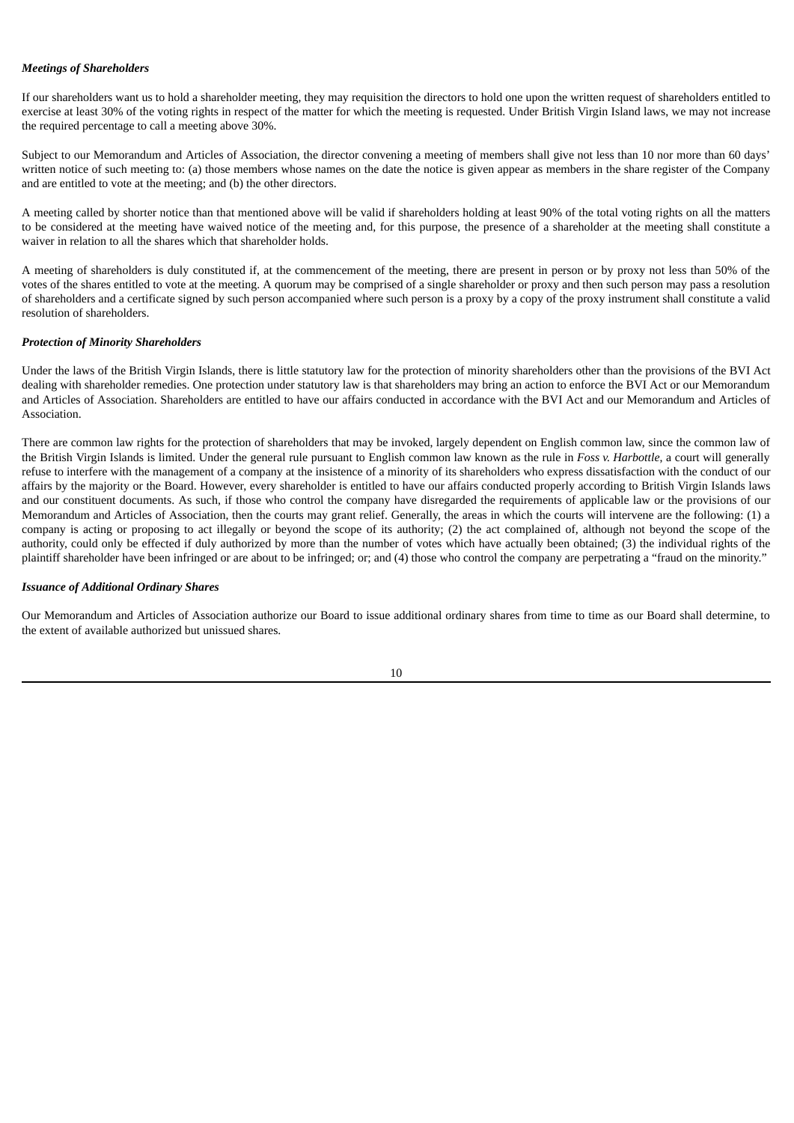### *Meetings of Shareholders*

If our shareholders want us to hold a shareholder meeting, they may requisition the directors to hold one upon the written request of shareholders entitled to exercise at least 30% of the voting rights in respect of the matter for which the meeting is requested. Under British Virgin Island laws, we may not increase the required percentage to call a meeting above 30%.

Subject to our Memorandum and Articles of Association, the director convening a meeting of members shall give not less than 10 nor more than 60 days' written notice of such meeting to: (a) those members whose names on the date the notice is given appear as members in the share register of the Company and are entitled to vote at the meeting; and (b) the other directors.

A meeting called by shorter notice than that mentioned above will be valid if shareholders holding at least 90% of the total voting rights on all the matters to be considered at the meeting have waived notice of the meeting and, for this purpose, the presence of a shareholder at the meeting shall constitute a waiver in relation to all the shares which that shareholder holds.

A meeting of shareholders is duly constituted if, at the commencement of the meeting, there are present in person or by proxy not less than 50% of the votes of the shares entitled to vote at the meeting. A quorum may be comprised of a single shareholder or proxy and then such person may pass a resolution of shareholders and a certificate signed by such person accompanied where such person is a proxy by a copy of the proxy instrument shall constitute a valid resolution of shareholders.

## *Protection of Minority Shareholders*

Under the laws of the British Virgin Islands, there is little statutory law for the protection of minority shareholders other than the provisions of the BVI Act dealing with shareholder remedies. One protection under statutory law is that shareholders may bring an action to enforce the BVI Act or our Memorandum and Articles of Association. Shareholders are entitled to have our affairs conducted in accordance with the BVI Act and our Memorandum and Articles of Association.

There are common law rights for the protection of shareholders that may be invoked, largely dependent on English common law, since the common law of the British Virgin Islands is limited. Under the general rule pursuant to English common law known as the rule in *Foss v. Harbottle*, a court will generally refuse to interfere with the management of a company at the insistence of a minority of its shareholders who express dissatisfaction with the conduct of our affairs by the majority or the Board. However, every shareholder is entitled to have our affairs conducted properly according to British Virgin Islands laws and our constituent documents. As such, if those who control the company have disregarded the requirements of applicable law or the provisions of our Memorandum and Articles of Association, then the courts may grant relief. Generally, the areas in which the courts will intervene are the following: (1) a company is acting or proposing to act illegally or beyond the scope of its authority; (2) the act complained of, although not beyond the scope of the authority, could only be effected if duly authorized by more than the number of votes which have actually been obtained; (3) the individual rights of the plaintiff shareholder have been infringed or are about to be infringed; or; and (4) those who control the company are perpetrating a "fraud on the minority."

#### *Issuance of Additional Ordinary Shares*

Our Memorandum and Articles of Association authorize our Board to issue additional ordinary shares from time to time as our Board shall determine, to the extent of available authorized but unissued shares.

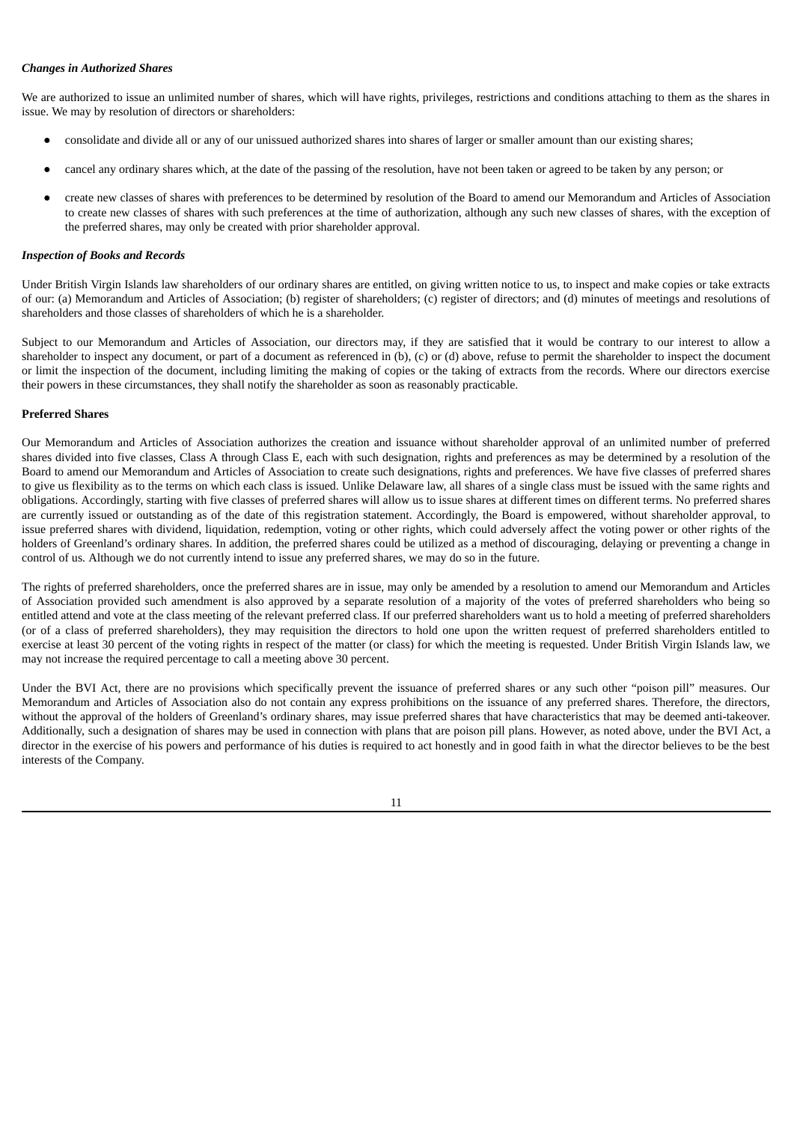### *Changes in Authorized Shares*

We are authorized to issue an unlimited number of shares, which will have rights, privileges, restrictions and conditions attaching to them as the shares in issue. We may by resolution of directors or shareholders:

- consolidate and divide all or any of our unissued authorized shares into shares of larger or smaller amount than our existing shares;
- cancel any ordinary shares which, at the date of the passing of the resolution, have not been taken or agreed to be taken by any person; or
- create new classes of shares with preferences to be determined by resolution of the Board to amend our Memorandum and Articles of Association to create new classes of shares with such preferences at the time of authorization, although any such new classes of shares, with the exception of the preferred shares, may only be created with prior shareholder approval.

### *Inspection of Books and Records*

Under British Virgin Islands law shareholders of our ordinary shares are entitled, on giving written notice to us, to inspect and make copies or take extracts of our: (a) Memorandum and Articles of Association; (b) register of shareholders; (c) register of directors; and (d) minutes of meetings and resolutions of shareholders and those classes of shareholders of which he is a shareholder.

Subject to our Memorandum and Articles of Association, our directors may, if they are satisfied that it would be contrary to our interest to allow a shareholder to inspect any document, or part of a document as referenced in (b), (c) or (d) above, refuse to permit the shareholder to inspect the document or limit the inspection of the document, including limiting the making of copies or the taking of extracts from the records. Where our directors exercise their powers in these circumstances, they shall notify the shareholder as soon as reasonably practicable.

### **Preferred Shares**

Our Memorandum and Articles of Association authorizes the creation and issuance without shareholder approval of an unlimited number of preferred shares divided into five classes, Class A through Class E, each with such designation, rights and preferences as may be determined by a resolution of the Board to amend our Memorandum and Articles of Association to create such designations, rights and preferences. We have five classes of preferred shares to give us flexibility as to the terms on which each class is issued. Unlike Delaware law, all shares of a single class must be issued with the same rights and obligations. Accordingly, starting with five classes of preferred shares will allow us to issue shares at different times on different terms. No preferred shares are currently issued or outstanding as of the date of this registration statement. Accordingly, the Board is empowered, without shareholder approval, to issue preferred shares with dividend, liquidation, redemption, voting or other rights, which could adversely affect the voting power or other rights of the holders of Greenland's ordinary shares. In addition, the preferred shares could be utilized as a method of discouraging, delaying or preventing a change in control of us. Although we do not currently intend to issue any preferred shares, we may do so in the future.

The rights of preferred shareholders, once the preferred shares are in issue, may only be amended by a resolution to amend our Memorandum and Articles of Association provided such amendment is also approved by a separate resolution of a majority of the votes of preferred shareholders who being so entitled attend and vote at the class meeting of the relevant preferred class. If our preferred shareholders want us to hold a meeting of preferred shareholders (or of a class of preferred shareholders), they may requisition the directors to hold one upon the written request of preferred shareholders entitled to exercise at least 30 percent of the voting rights in respect of the matter (or class) for which the meeting is requested. Under British Virgin Islands law, we may not increase the required percentage to call a meeting above 30 percent.

Under the BVI Act, there are no provisions which specifically prevent the issuance of preferred shares or any such other "poison pill" measures. Our Memorandum and Articles of Association also do not contain any express prohibitions on the issuance of any preferred shares. Therefore, the directors, without the approval of the holders of Greenland's ordinary shares, may issue preferred shares that have characteristics that may be deemed anti-takeover. Additionally, such a designation of shares may be used in connection with plans that are poison pill plans. However, as noted above, under the BVI Act, a director in the exercise of his powers and performance of his duties is required to act honestly and in good faith in what the director believes to be the best interests of the Company.

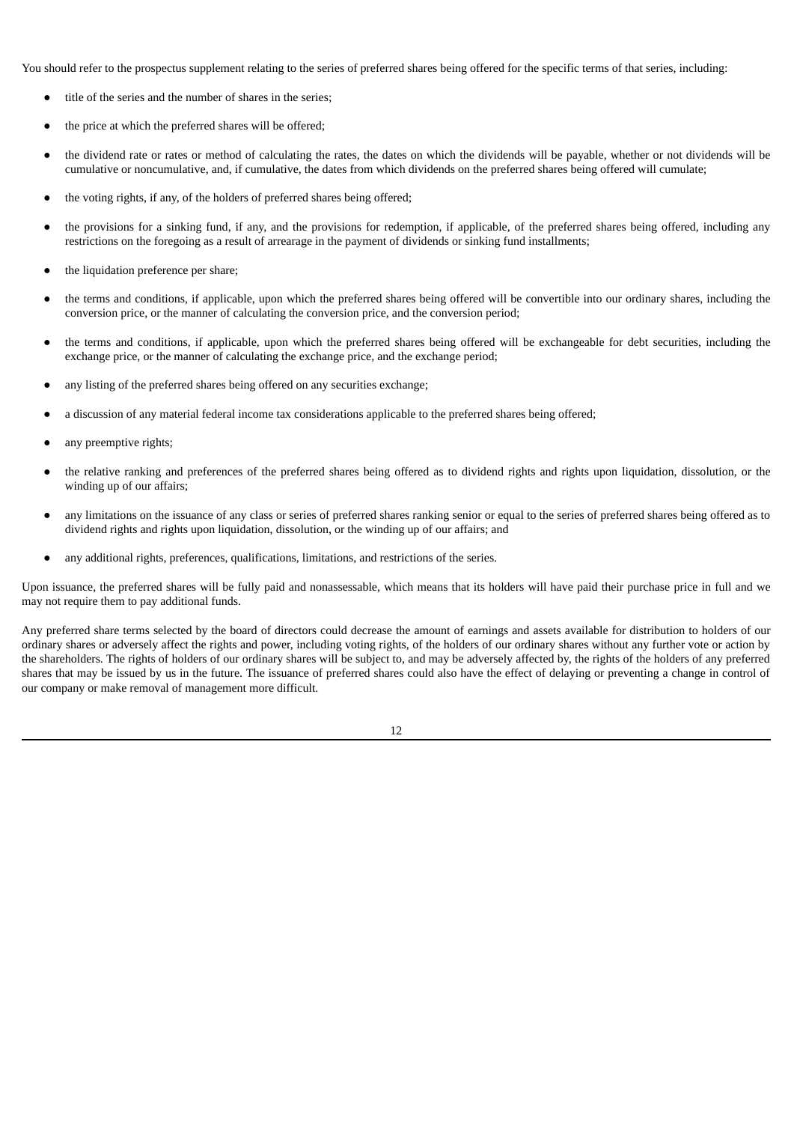You should refer to the prospectus supplement relating to the series of preferred shares being offered for the specific terms of that series, including:

- title of the series and the number of shares in the series;
- the price at which the preferred shares will be offered;
- the dividend rate or rates or method of calculating the rates, the dates on which the dividends will be payable, whether or not dividends will be cumulative or noncumulative, and, if cumulative, the dates from which dividends on the preferred shares being offered will cumulate;
- the voting rights, if any, of the holders of preferred shares being offered;
- the provisions for a sinking fund, if any, and the provisions for redemption, if applicable, of the preferred shares being offered, including any restrictions on the foregoing as a result of arrearage in the payment of dividends or sinking fund installments;
- the liquidation preference per share;
- the terms and conditions, if applicable, upon which the preferred shares being offered will be convertible into our ordinary shares, including the conversion price, or the manner of calculating the conversion price, and the conversion period;
- the terms and conditions, if applicable, upon which the preferred shares being offered will be exchangeable for debt securities, including the exchange price, or the manner of calculating the exchange price, and the exchange period;
- any listing of the preferred shares being offered on any securities exchange;
- a discussion of any material federal income tax considerations applicable to the preferred shares being offered;
- any preemptive rights;
- the relative ranking and preferences of the preferred shares being offered as to dividend rights and rights upon liquidation, dissolution, or the winding up of our affairs;
- any limitations on the issuance of any class or series of preferred shares ranking senior or equal to the series of preferred shares being offered as to dividend rights and rights upon liquidation, dissolution, or the winding up of our affairs; and
- any additional rights, preferences, qualifications, limitations, and restrictions of the series.

Upon issuance, the preferred shares will be fully paid and nonassessable, which means that its holders will have paid their purchase price in full and we may not require them to pay additional funds.

Any preferred share terms selected by the board of directors could decrease the amount of earnings and assets available for distribution to holders of our ordinary shares or adversely affect the rights and power, including voting rights, of the holders of our ordinary shares without any further vote or action by the shareholders. The rights of holders of our ordinary shares will be subject to, and may be adversely affected by, the rights of the holders of any preferred shares that may be issued by us in the future. The issuance of preferred shares could also have the effect of delaying or preventing a change in control of our company or make removal of management more difficult.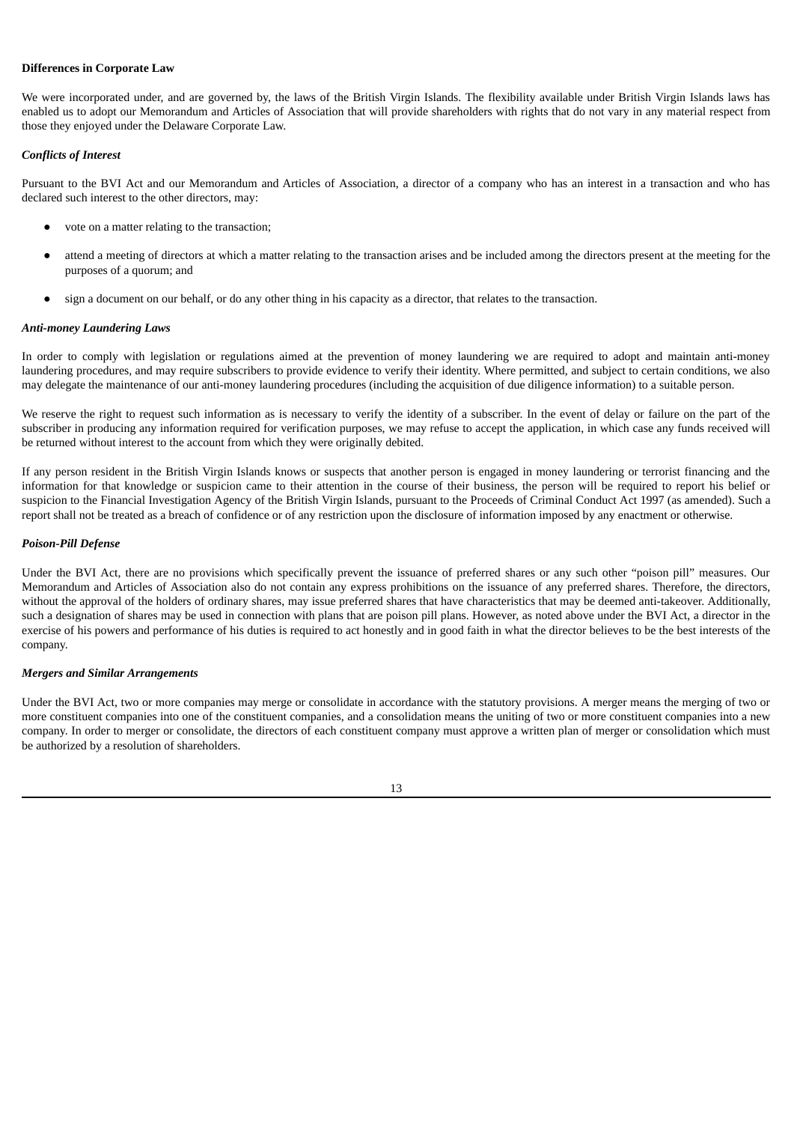### **Differences in Corporate Law**

We were incorporated under, and are governed by, the laws of the British Virgin Islands. The flexibility available under British Virgin Islands laws has enabled us to adopt our Memorandum and Articles of Association that will provide shareholders with rights that do not vary in any material respect from those they enjoyed under the Delaware Corporate Law.

## *Conflicts of Interest*

Pursuant to the BVI Act and our Memorandum and Articles of Association, a director of a company who has an interest in a transaction and who has declared such interest to the other directors, may:

- vote on a matter relating to the transaction;
- attend a meeting of directors at which a matter relating to the transaction arises and be included among the directors present at the meeting for the purposes of a quorum; and
- sign a document on our behalf, or do any other thing in his capacity as a director, that relates to the transaction.

### *Anti-money Laundering Laws*

In order to comply with legislation or regulations aimed at the prevention of money laundering we are required to adopt and maintain anti-money laundering procedures, and may require subscribers to provide evidence to verify their identity. Where permitted, and subject to certain conditions, we also may delegate the maintenance of our anti-money laundering procedures (including the acquisition of due diligence information) to a suitable person.

We reserve the right to request such information as is necessary to verify the identity of a subscriber. In the event of delay or failure on the part of the subscriber in producing any information required for verification purposes, we may refuse to accept the application, in which case any funds received will be returned without interest to the account from which they were originally debited.

If any person resident in the British Virgin Islands knows or suspects that another person is engaged in money laundering or terrorist financing and the information for that knowledge or suspicion came to their attention in the course of their business, the person will be required to report his belief or suspicion to the Financial Investigation Agency of the British Virgin Islands, pursuant to the Proceeds of Criminal Conduct Act 1997 (as amended). Such a report shall not be treated as a breach of confidence or of any restriction upon the disclosure of information imposed by any enactment or otherwise.

## *Poison-Pill Defense*

Under the BVI Act, there are no provisions which specifically prevent the issuance of preferred shares or any such other "poison pill" measures. Our Memorandum and Articles of Association also do not contain any express prohibitions on the issuance of any preferred shares. Therefore, the directors, without the approval of the holders of ordinary shares, may issue preferred shares that have characteristics that may be deemed anti-takeover. Additionally, such a designation of shares may be used in connection with plans that are poison pill plans. However, as noted above under the BVI Act, a director in the exercise of his powers and performance of his duties is required to act honestly and in good faith in what the director believes to be the best interests of the company.

#### *Mergers and Similar Arrangements*

Under the BVI Act, two or more companies may merge or consolidate in accordance with the statutory provisions. A merger means the merging of two or more constituent companies into one of the constituent companies, and a consolidation means the uniting of two or more constituent companies into a new company. In order to merger or consolidate, the directors of each constituent company must approve a written plan of merger or consolidation which must be authorized by a resolution of shareholders.

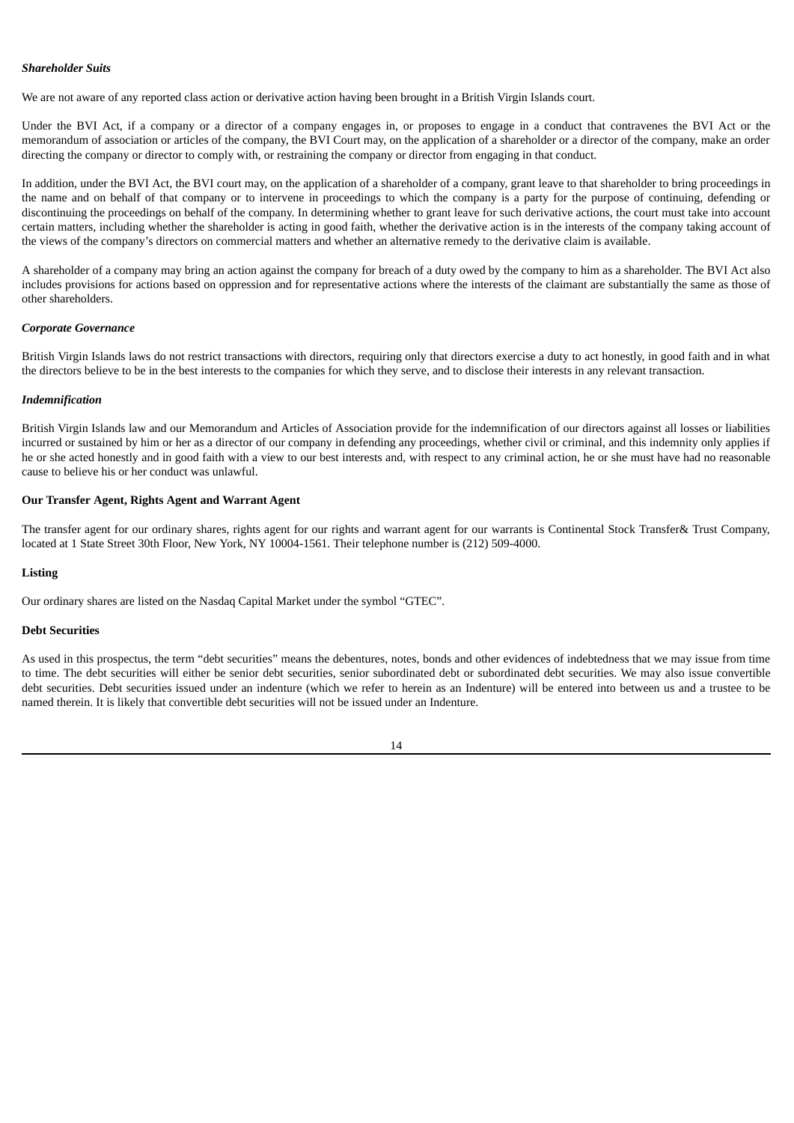### *Shareholder Suits*

We are not aware of any reported class action or derivative action having been brought in a British Virgin Islands court.

Under the BVI Act, if a company or a director of a company engages in, or proposes to engage in a conduct that contravenes the BVI Act or the memorandum of association or articles of the company, the BVI Court may, on the application of a shareholder or a director of the company, make an order directing the company or director to comply with, or restraining the company or director from engaging in that conduct.

In addition, under the BVI Act, the BVI court may, on the application of a shareholder of a company, grant leave to that shareholder to bring proceedings in the name and on behalf of that company or to intervene in proceedings to which the company is a party for the purpose of continuing, defending or discontinuing the proceedings on behalf of the company. In determining whether to grant leave for such derivative actions, the court must take into account certain matters, including whether the shareholder is acting in good faith, whether the derivative action is in the interests of the company taking account of the views of the company's directors on commercial matters and whether an alternative remedy to the derivative claim is available.

A shareholder of a company may bring an action against the company for breach of a duty owed by the company to him as a shareholder. The BVI Act also includes provisions for actions based on oppression and for representative actions where the interests of the claimant are substantially the same as those of other shareholders.

## *Corporate Governance*

British Virgin Islands laws do not restrict transactions with directors, requiring only that directors exercise a duty to act honestly, in good faith and in what the directors believe to be in the best interests to the companies for which they serve, and to disclose their interests in any relevant transaction.

### *Indemnification*

British Virgin Islands law and our Memorandum and Articles of Association provide for the indemnification of our directors against all losses or liabilities incurred or sustained by him or her as a director of our company in defending any proceedings, whether civil or criminal, and this indemnity only applies if he or she acted honestly and in good faith with a view to our best interests and, with respect to any criminal action, he or she must have had no reasonable cause to believe his or her conduct was unlawful.

## **Our Transfer Agent, Rights Agent and Warrant Agent**

The transfer agent for our ordinary shares, rights agent for our rights and warrant agent for our warrants is Continental Stock Transfer& Trust Company, located at 1 State Street 30th Floor, New York, NY 10004-1561. Their telephone number is (212) 509-4000.

## **Listing**

Our ordinary shares are listed on the Nasdaq Capital Market under the symbol "GTEC".

## **Debt Securities**

As used in this prospectus, the term "debt securities" means the debentures, notes, bonds and other evidences of indebtedness that we may issue from time to time. The debt securities will either be senior debt securities, senior subordinated debt or subordinated debt securities. We may also issue convertible debt securities. Debt securities issued under an indenture (which we refer to herein as an Indenture) will be entered into between us and a trustee to be named therein. It is likely that convertible debt securities will not be issued under an Indenture.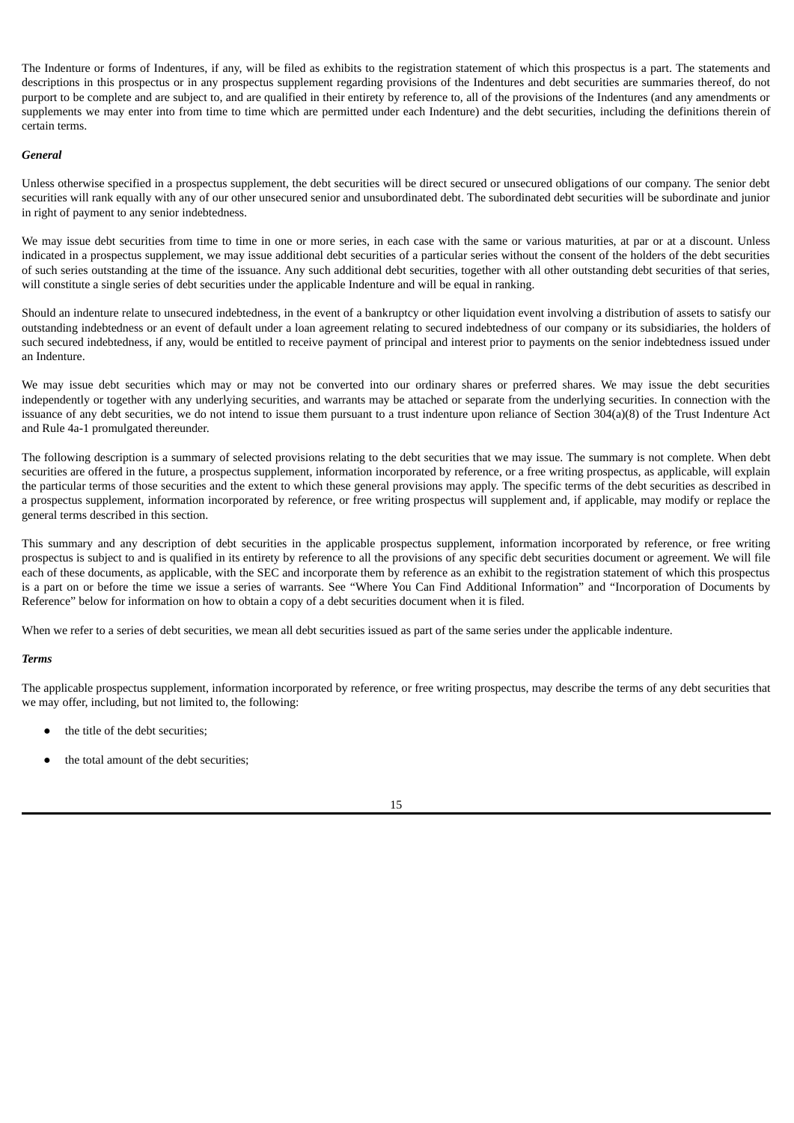The Indenture or forms of Indentures, if any, will be filed as exhibits to the registration statement of which this prospectus is a part. The statements and descriptions in this prospectus or in any prospectus supplement regarding provisions of the Indentures and debt securities are summaries thereof, do not purport to be complete and are subject to, and are qualified in their entirety by reference to, all of the provisions of the Indentures (and any amendments or supplements we may enter into from time to time which are permitted under each Indenture) and the debt securities, including the definitions therein of certain terms.

## *General*

Unless otherwise specified in a prospectus supplement, the debt securities will be direct secured or unsecured obligations of our company. The senior debt securities will rank equally with any of our other unsecured senior and unsubordinated debt. The subordinated debt securities will be subordinate and junior in right of payment to any senior indebtedness.

We may issue debt securities from time to time in one or more series, in each case with the same or various maturities, at par or at a discount. Unless indicated in a prospectus supplement, we may issue additional debt securities of a particular series without the consent of the holders of the debt securities of such series outstanding at the time of the issuance. Any such additional debt securities, together with all other outstanding debt securities of that series, will constitute a single series of debt securities under the applicable Indenture and will be equal in ranking.

Should an indenture relate to unsecured indebtedness, in the event of a bankruptcy or other liquidation event involving a distribution of assets to satisfy our outstanding indebtedness or an event of default under a loan agreement relating to secured indebtedness of our company or its subsidiaries, the holders of such secured indebtedness, if any, would be entitled to receive payment of principal and interest prior to payments on the senior indebtedness issued under an Indenture.

We may issue debt securities which may or may not be converted into our ordinary shares or preferred shares. We may issue the debt securities independently or together with any underlying securities, and warrants may be attached or separate from the underlying securities. In connection with the issuance of any debt securities, we do not intend to issue them pursuant to a trust indenture upon reliance of Section 304(a)(8) of the Trust Indenture Act and Rule 4a-1 promulgated thereunder.

The following description is a summary of selected provisions relating to the debt securities that we may issue. The summary is not complete. When debt securities are offered in the future, a prospectus supplement, information incorporated by reference, or a free writing prospectus, as applicable, will explain the particular terms of those securities and the extent to which these general provisions may apply. The specific terms of the debt securities as described in a prospectus supplement, information incorporated by reference, or free writing prospectus will supplement and, if applicable, may modify or replace the general terms described in this section.

This summary and any description of debt securities in the applicable prospectus supplement, information incorporated by reference, or free writing prospectus is subject to and is qualified in its entirety by reference to all the provisions of any specific debt securities document or agreement. We will file each of these documents, as applicable, with the SEC and incorporate them by reference as an exhibit to the registration statement of which this prospectus is a part on or before the time we issue a series of warrants. See "Where You Can Find Additional Information" and "Incorporation of Documents by Reference" below for information on how to obtain a copy of a debt securities document when it is filed.

When we refer to a series of debt securities, we mean all debt securities issued as part of the same series under the applicable indenture.

# *Terms*

The applicable prospectus supplement, information incorporated by reference, or free writing prospectus, may describe the terms of any debt securities that we may offer, including, but not limited to, the following:

- the title of the debt securities:
- the total amount of the debt securities;

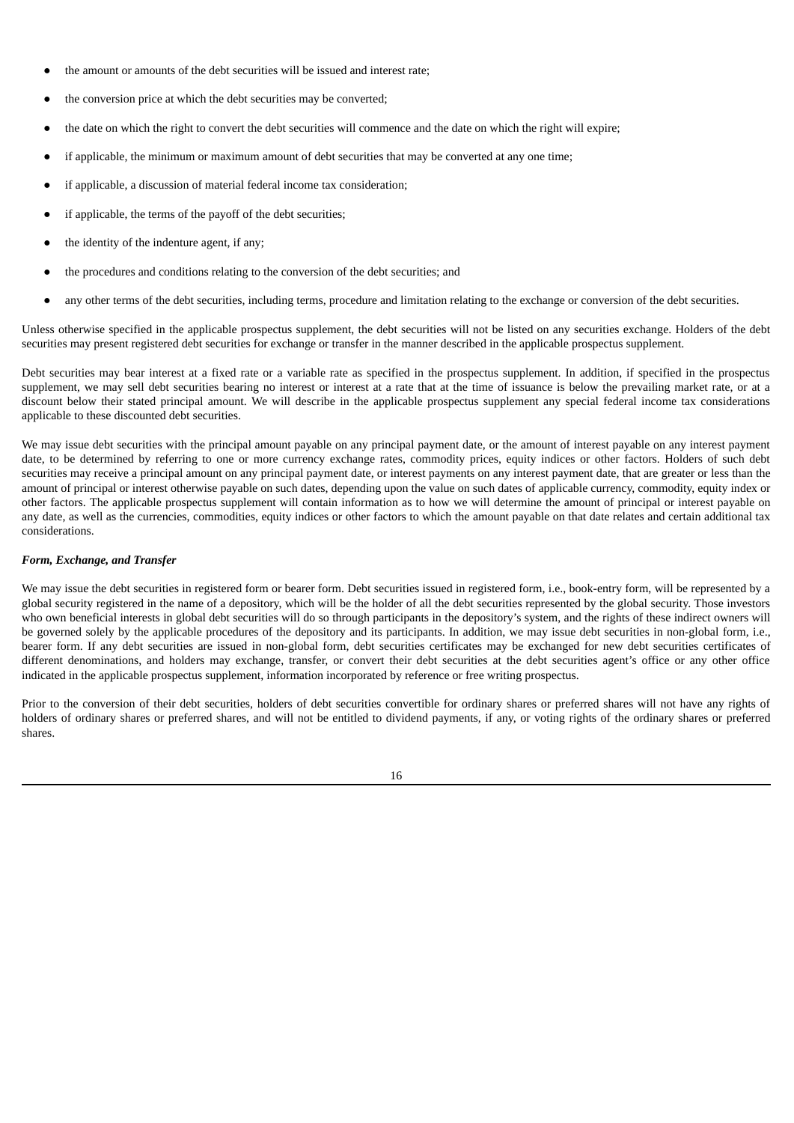- the amount or amounts of the debt securities will be issued and interest rate;
- the conversion price at which the debt securities may be converted;
- the date on which the right to convert the debt securities will commence and the date on which the right will expire;
- if applicable, the minimum or maximum amount of debt securities that may be converted at any one time;
- if applicable, a discussion of material federal income tax consideration;
- if applicable, the terms of the payoff of the debt securities;
- the identity of the indenture agent, if any;
- the procedures and conditions relating to the conversion of the debt securities; and
- any other terms of the debt securities, including terms, procedure and limitation relating to the exchange or conversion of the debt securities.

Unless otherwise specified in the applicable prospectus supplement, the debt securities will not be listed on any securities exchange. Holders of the debt securities may present registered debt securities for exchange or transfer in the manner described in the applicable prospectus supplement.

Debt securities may bear interest at a fixed rate or a variable rate as specified in the prospectus supplement. In addition, if specified in the prospectus supplement, we may sell debt securities bearing no interest or interest at a rate that at the time of issuance is below the prevailing market rate, or at a discount below their stated principal amount. We will describe in the applicable prospectus supplement any special federal income tax considerations applicable to these discounted debt securities.

We may issue debt securities with the principal amount payable on any principal payment date, or the amount of interest payable on any interest payment date, to be determined by referring to one or more currency exchange rates, commodity prices, equity indices or other factors. Holders of such debt securities may receive a principal amount on any principal payment date, or interest payments on any interest payment date, that are greater or less than the amount of principal or interest otherwise payable on such dates, depending upon the value on such dates of applicable currency, commodity, equity index or other factors. The applicable prospectus supplement will contain information as to how we will determine the amount of principal or interest payable on any date, as well as the currencies, commodities, equity indices or other factors to which the amount payable on that date relates and certain additional tax considerations.

### *Form, Exchange, and Transfer*

We may issue the debt securities in registered form or bearer form. Debt securities issued in registered form, i.e., book-entry form, will be represented by a global security registered in the name of a depository, which will be the holder of all the debt securities represented by the global security. Those investors who own beneficial interests in global debt securities will do so through participants in the depository's system, and the rights of these indirect owners will be governed solely by the applicable procedures of the depository and its participants. In addition, we may issue debt securities in non-global form, i.e., bearer form. If any debt securities are issued in non-global form, debt securities certificates may be exchanged for new debt securities certificates of different denominations, and holders may exchange, transfer, or convert their debt securities at the debt securities agent's office or any other office indicated in the applicable prospectus supplement, information incorporated by reference or free writing prospectus.

Prior to the conversion of their debt securities, holders of debt securities convertible for ordinary shares or preferred shares will not have any rights of holders of ordinary shares or preferred shares, and will not be entitled to dividend payments, if any, or voting rights of the ordinary shares or preferred shares.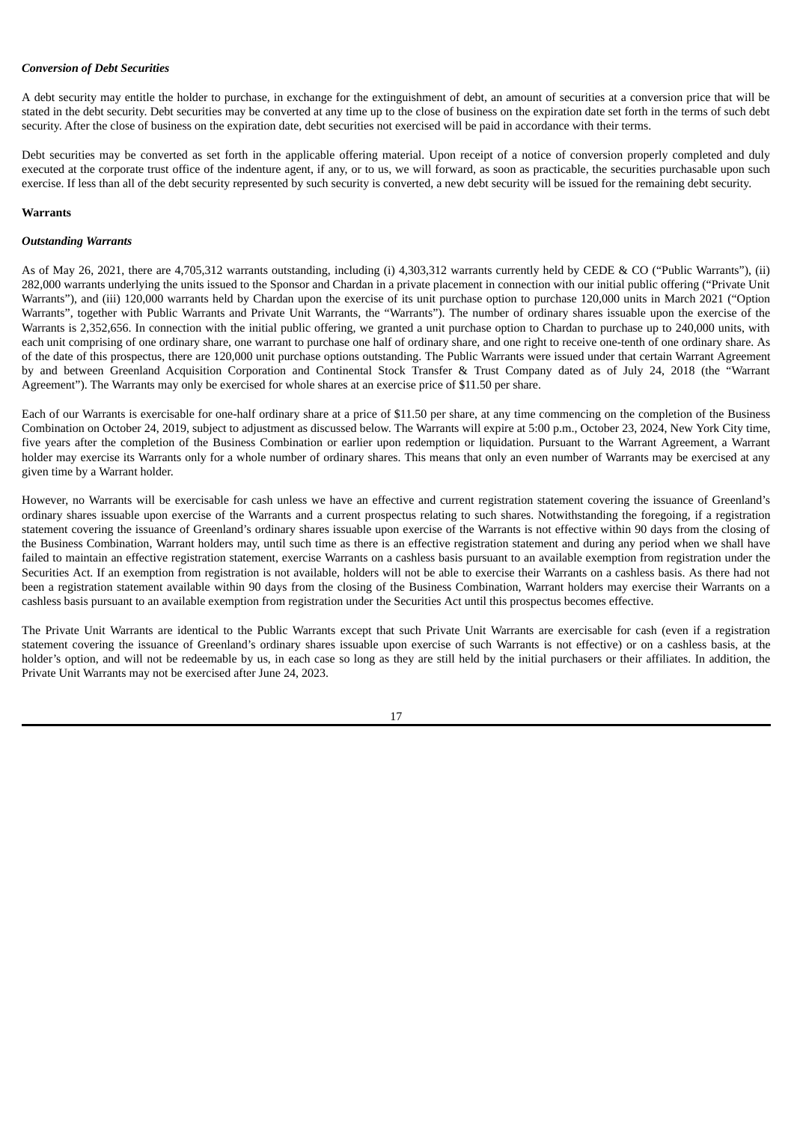### *Conversion of Debt Securities*

A debt security may entitle the holder to purchase, in exchange for the extinguishment of debt, an amount of securities at a conversion price that will be stated in the debt security. Debt securities may be converted at any time up to the close of business on the expiration date set forth in the terms of such debt security. After the close of business on the expiration date, debt securities not exercised will be paid in accordance with their terms.

Debt securities may be converted as set forth in the applicable offering material. Upon receipt of a notice of conversion properly completed and duly executed at the corporate trust office of the indenture agent, if any, or to us, we will forward, as soon as practicable, the securities purchasable upon such exercise. If less than all of the debt security represented by such security is converted, a new debt security will be issued for the remaining debt security.

#### **Warrants**

### *Outstanding Warrants*

As of May 26, 2021, there are 4,705,312 warrants outstanding, including (i) 4,303,312 warrants currently held by CEDE & CO ("Public Warrants"), (ii) 282,000 warrants underlying the units issued to the Sponsor and Chardan in a private placement in connection with our initial public offering ("Private Unit Warrants"), and (iii) 120,000 warrants held by Chardan upon the exercise of its unit purchase option to purchase 120,000 units in March 2021 ("Option Warrants", together with Public Warrants and Private Unit Warrants, the "Warrants"). The number of ordinary shares issuable upon the exercise of the Warrants is 2,352,656. In connection with the initial public offering, we granted a unit purchase option to Chardan to purchase up to 240,000 units, with each unit comprising of one ordinary share, one warrant to purchase one half of ordinary share, and one right to receive one-tenth of one ordinary share. As of the date of this prospectus, there are 120,000 unit purchase options outstanding. The Public Warrants were issued under that certain Warrant Agreement by and between Greenland Acquisition Corporation and Continental Stock Transfer & Trust Company dated as of July 24, 2018 (the "Warrant Agreement"). The Warrants may only be exercised for whole shares at an exercise price of \$11.50 per share.

Each of our Warrants is exercisable for one-half ordinary share at a price of \$11.50 per share, at any time commencing on the completion of the Business Combination on October 24, 2019, subject to adjustment as discussed below. The Warrants will expire at 5:00 p.m., October 23, 2024, New York City time, five years after the completion of the Business Combination or earlier upon redemption or liquidation. Pursuant to the Warrant Agreement, a Warrant holder may exercise its Warrants only for a whole number of ordinary shares. This means that only an even number of Warrants may be exercised at any given time by a Warrant holder.

However, no Warrants will be exercisable for cash unless we have an effective and current registration statement covering the issuance of Greenland's ordinary shares issuable upon exercise of the Warrants and a current prospectus relating to such shares. Notwithstanding the foregoing, if a registration statement covering the issuance of Greenland's ordinary shares issuable upon exercise of the Warrants is not effective within 90 days from the closing of the Business Combination, Warrant holders may, until such time as there is an effective registration statement and during any period when we shall have failed to maintain an effective registration statement, exercise Warrants on a cashless basis pursuant to an available exemption from registration under the Securities Act. If an exemption from registration is not available, holders will not be able to exercise their Warrants on a cashless basis. As there had not been a registration statement available within 90 days from the closing of the Business Combination, Warrant holders may exercise their Warrants on a cashless basis pursuant to an available exemption from registration under the Securities Act until this prospectus becomes effective.

The Private Unit Warrants are identical to the Public Warrants except that such Private Unit Warrants are exercisable for cash (even if a registration statement covering the issuance of Greenland's ordinary shares issuable upon exercise of such Warrants is not effective) or on a cashless basis, at the holder's option, and will not be redeemable by us, in each case so long as they are still held by the initial purchasers or their affiliates. In addition, the Private Unit Warrants may not be exercised after June 24, 2023.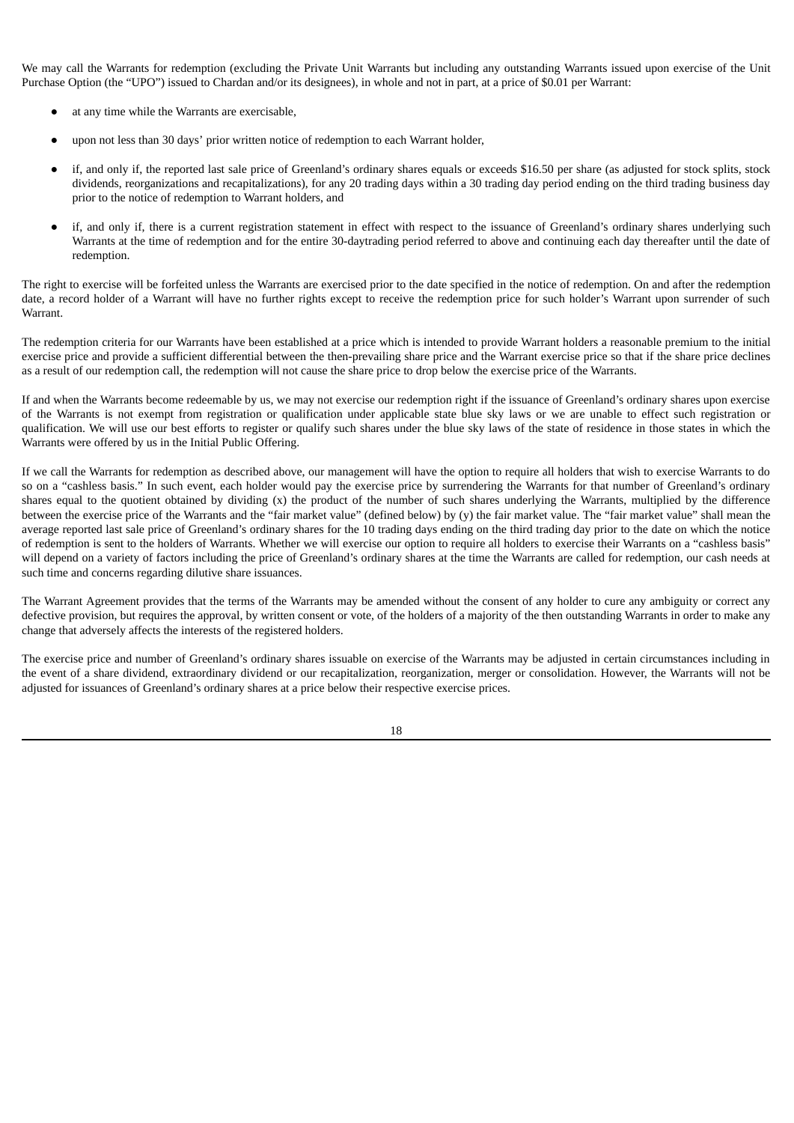We may call the Warrants for redemption (excluding the Private Unit Warrants but including any outstanding Warrants issued upon exercise of the Unit Purchase Option (the "UPO") issued to Chardan and/or its designees), in whole and not in part, at a price of \$0.01 per Warrant:

- at any time while the Warrants are exercisable,
- upon not less than 30 days' prior written notice of redemption to each Warrant holder,
- if, and only if, the reported last sale price of Greenland's ordinary shares equals or exceeds \$16.50 per share (as adjusted for stock splits, stock dividends, reorganizations and recapitalizations), for any 20 trading days within a 30 trading day period ending on the third trading business day prior to the notice of redemption to Warrant holders, and
- if, and only if, there is a current registration statement in effect with respect to the issuance of Greenland's ordinary shares underlying such Warrants at the time of redemption and for the entire 30-daytrading period referred to above and continuing each day thereafter until the date of redemption.

The right to exercise will be forfeited unless the Warrants are exercised prior to the date specified in the notice of redemption. On and after the redemption date, a record holder of a Warrant will have no further rights except to receive the redemption price for such holder's Warrant upon surrender of such Warrant.

The redemption criteria for our Warrants have been established at a price which is intended to provide Warrant holders a reasonable premium to the initial exercise price and provide a sufficient differential between the then-prevailing share price and the Warrant exercise price so that if the share price declines as a result of our redemption call, the redemption will not cause the share price to drop below the exercise price of the Warrants.

If and when the Warrants become redeemable by us, we may not exercise our redemption right if the issuance of Greenland's ordinary shares upon exercise of the Warrants is not exempt from registration or qualification under applicable state blue sky laws or we are unable to effect such registration or qualification. We will use our best efforts to register or qualify such shares under the blue sky laws of the state of residence in those states in which the Warrants were offered by us in the Initial Public Offering.

If we call the Warrants for redemption as described above, our management will have the option to require all holders that wish to exercise Warrants to do so on a "cashless basis." In such event, each holder would pay the exercise price by surrendering the Warrants for that number of Greenland's ordinary shares equal to the quotient obtained by dividing (x) the product of the number of such shares underlying the Warrants, multiplied by the difference between the exercise price of the Warrants and the "fair market value" (defined below) by (y) the fair market value. The "fair market value" shall mean the average reported last sale price of Greenland's ordinary shares for the 10 trading days ending on the third trading day prior to the date on which the notice of redemption is sent to the holders of Warrants. Whether we will exercise our option to require all holders to exercise their Warrants on a "cashless basis" will depend on a variety of factors including the price of Greenland's ordinary shares at the time the Warrants are called for redemption, our cash needs at such time and concerns regarding dilutive share issuances.

The Warrant Agreement provides that the terms of the Warrants may be amended without the consent of any holder to cure any ambiguity or correct any defective provision, but requires the approval, by written consent or vote, of the holders of a majority of the then outstanding Warrants in order to make any change that adversely affects the interests of the registered holders.

The exercise price and number of Greenland's ordinary shares issuable on exercise of the Warrants may be adjusted in certain circumstances including in the event of a share dividend, extraordinary dividend or our recapitalization, reorganization, merger or consolidation. However, the Warrants will not be adjusted for issuances of Greenland's ordinary shares at a price below their respective exercise prices.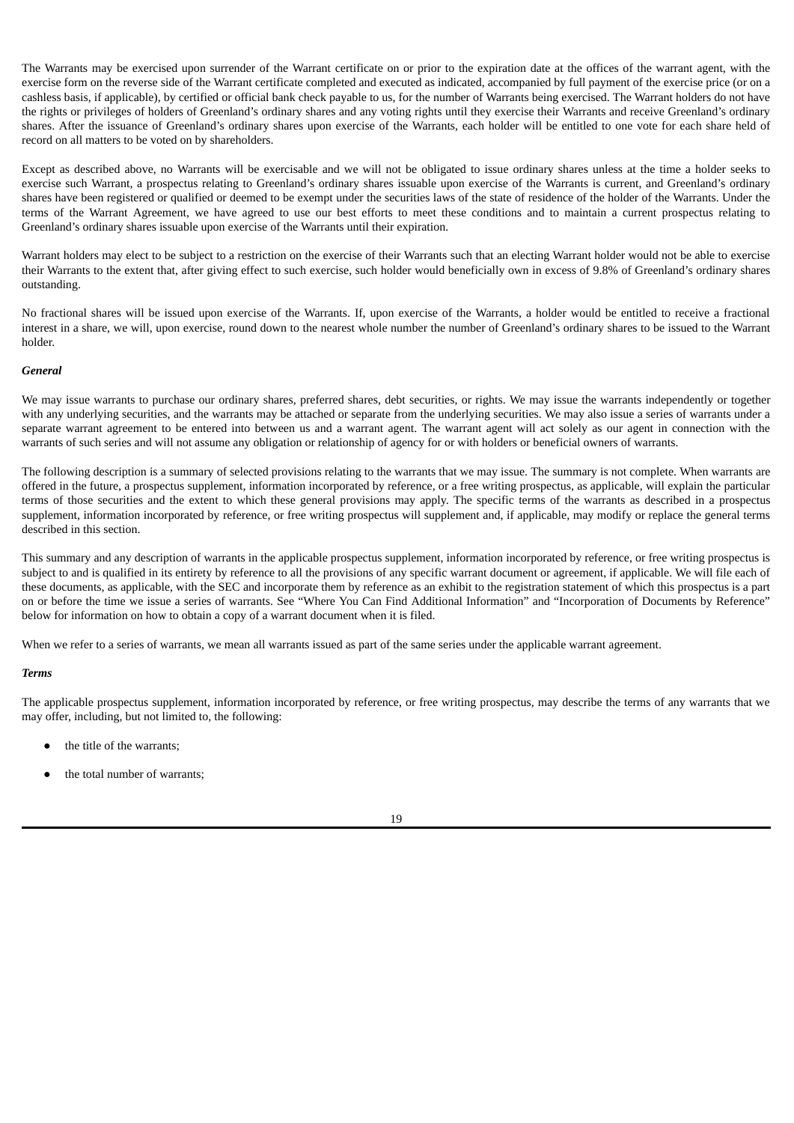The Warrants may be exercised upon surrender of the Warrant certificate on or prior to the expiration date at the offices of the warrant agent, with the exercise form on the reverse side of the Warrant certificate completed and executed as indicated, accompanied by full payment of the exercise price (or on a cashless basis, if applicable), by certified or official bank check payable to us, for the number of Warrants being exercised. The Warrant holders do not have the rights or privileges of holders of Greenland's ordinary shares and any voting rights until they exercise their Warrants and receive Greenland's ordinary shares. After the issuance of Greenland's ordinary shares upon exercise of the Warrants, each holder will be entitled to one vote for each share held of record on all matters to be voted on by shareholders.

Except as described above, no Warrants will be exercisable and we will not be obligated to issue ordinary shares unless at the time a holder seeks to exercise such Warrant, a prospectus relating to Greenland's ordinary shares issuable upon exercise of the Warrants is current, and Greenland's ordinary shares have been registered or qualified or deemed to be exempt under the securities laws of the state of residence of the holder of the Warrants. Under the terms of the Warrant Agreement, we have agreed to use our best efforts to meet these conditions and to maintain a current prospectus relating to Greenland's ordinary shares issuable upon exercise of the Warrants until their expiration.

Warrant holders may elect to be subject to a restriction on the exercise of their Warrants such that an electing Warrant holder would not be able to exercise their Warrants to the extent that, after giving effect to such exercise, such holder would beneficially own in excess of 9.8% of Greenland's ordinary shares outstanding.

No fractional shares will be issued upon exercise of the Warrants. If, upon exercise of the Warrants, a holder would be entitled to receive a fractional interest in a share, we will, upon exercise, round down to the nearest whole number the number of Greenland's ordinary shares to be issued to the Warrant holder.

## *General*

We may issue warrants to purchase our ordinary shares, preferred shares, debt securities, or rights. We may issue the warrants independently or together with any underlying securities, and the warrants may be attached or separate from the underlying securities. We may also issue a series of warrants under a separate warrant agreement to be entered into between us and a warrant agent. The warrant agent will act solely as our agent in connection with the warrants of such series and will not assume any obligation or relationship of agency for or with holders or beneficial owners of warrants.

The following description is a summary of selected provisions relating to the warrants that we may issue. The summary is not complete. When warrants are offered in the future, a prospectus supplement, information incorporated by reference, or a free writing prospectus, as applicable, will explain the particular terms of those securities and the extent to which these general provisions may apply. The specific terms of the warrants as described in a prospectus supplement, information incorporated by reference, or free writing prospectus will supplement and, if applicable, may modify or replace the general terms described in this section.

This summary and any description of warrants in the applicable prospectus supplement, information incorporated by reference, or free writing prospectus is subject to and is qualified in its entirety by reference to all the provisions of any specific warrant document or agreement, if applicable. We will file each of these documents, as applicable, with the SEC and incorporate them by reference as an exhibit to the registration statement of which this prospectus is a part on or before the time we issue a series of warrants. See "Where You Can Find Additional Information" and "Incorporation of Documents by Reference" below for information on how to obtain a copy of a warrant document when it is filed.

When we refer to a series of warrants, we mean all warrants issued as part of the same series under the applicable warrant agreement.

## *Terms*

The applicable prospectus supplement, information incorporated by reference, or free writing prospectus, may describe the terms of any warrants that we may offer, including, but not limited to, the following:

- the title of the warrants:
- the total number of warrants;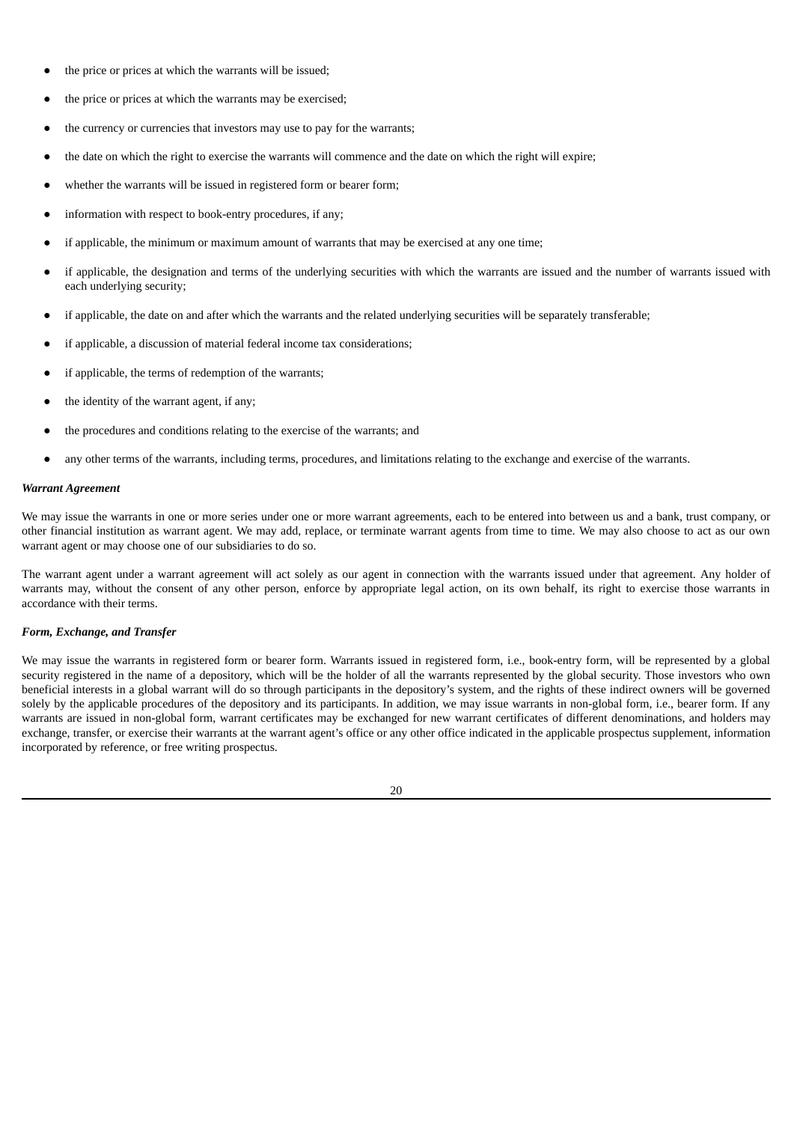- the price or prices at which the warrants will be issued;
- the price or prices at which the warrants may be exercised;
- the currency or currencies that investors may use to pay for the warrants;
- the date on which the right to exercise the warrants will commence and the date on which the right will expire;
- whether the warrants will be issued in registered form or bearer form;
- information with respect to book-entry procedures, if any;
- if applicable, the minimum or maximum amount of warrants that may be exercised at any one time;
- if applicable, the designation and terms of the underlying securities with which the warrants are issued and the number of warrants issued with each underlying security;
- if applicable, the date on and after which the warrants and the related underlying securities will be separately transferable;
- if applicable, a discussion of material federal income tax considerations;
- if applicable, the terms of redemption of the warrants;
- the identity of the warrant agent, if any;
- the procedures and conditions relating to the exercise of the warrants; and
- any other terms of the warrants, including terms, procedures, and limitations relating to the exchange and exercise of the warrants.

#### *Warrant Agreement*

We may issue the warrants in one or more series under one or more warrant agreements, each to be entered into between us and a bank, trust company, or other financial institution as warrant agent. We may add, replace, or terminate warrant agents from time to time. We may also choose to act as our own warrant agent or may choose one of our subsidiaries to do so.

The warrant agent under a warrant agreement will act solely as our agent in connection with the warrants issued under that agreement. Any holder of warrants may, without the consent of any other person, enforce by appropriate legal action, on its own behalf, its right to exercise those warrants in accordance with their terms.

## *Form, Exchange, and Transfer*

We may issue the warrants in registered form or bearer form. Warrants issued in registered form, i.e., book-entry form, will be represented by a global security registered in the name of a depository, which will be the holder of all the warrants represented by the global security. Those investors who own beneficial interests in a global warrant will do so through participants in the depository's system, and the rights of these indirect owners will be governed solely by the applicable procedures of the depository and its participants. In addition, we may issue warrants in non-global form, i.e., bearer form. If any warrants are issued in non-global form, warrant certificates may be exchanged for new warrant certificates of different denominations, and holders may exchange, transfer, or exercise their warrants at the warrant agent's office or any other office indicated in the applicable prospectus supplement, information incorporated by reference, or free writing prospectus.

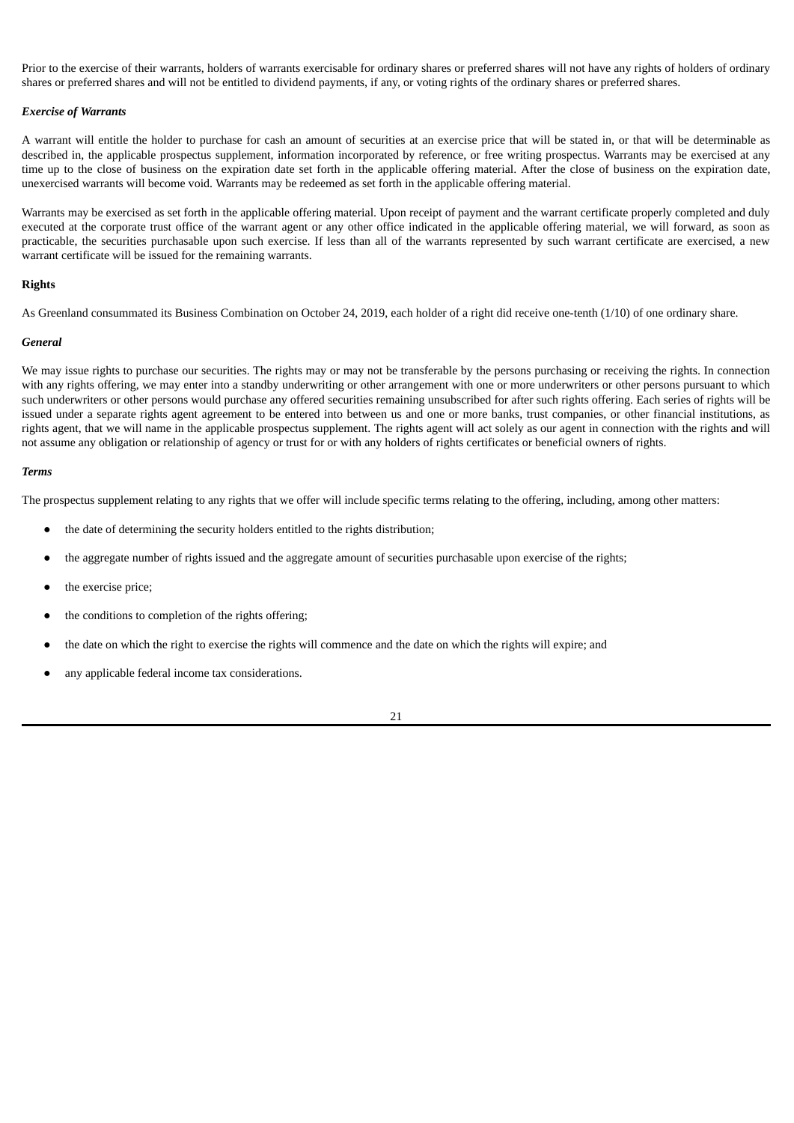Prior to the exercise of their warrants, holders of warrants exercisable for ordinary shares or preferred shares will not have any rights of holders of ordinary shares or preferred shares and will not be entitled to dividend payments, if any, or voting rights of the ordinary shares or preferred shares.

## *Exercise of Warrants*

A warrant will entitle the holder to purchase for cash an amount of securities at an exercise price that will be stated in, or that will be determinable as described in, the applicable prospectus supplement, information incorporated by reference, or free writing prospectus. Warrants may be exercised at any time up to the close of business on the expiration date set forth in the applicable offering material. After the close of business on the expiration date, unexercised warrants will become void. Warrants may be redeemed as set forth in the applicable offering material.

Warrants may be exercised as set forth in the applicable offering material. Upon receipt of payment and the warrant certificate properly completed and duly executed at the corporate trust office of the warrant agent or any other office indicated in the applicable offering material, we will forward, as soon as practicable, the securities purchasable upon such exercise. If less than all of the warrants represented by such warrant certificate are exercised, a new warrant certificate will be issued for the remaining warrants.

### **Rights**

As Greenland consummated its Business Combination on October 24, 2019, each holder of a right did receive one-tenth (1/10) of one ordinary share.

### *General*

We may issue rights to purchase our securities. The rights may or may not be transferable by the persons purchasing or receiving the rights. In connection with any rights offering, we may enter into a standby underwriting or other arrangement with one or more underwriters or other persons pursuant to which such underwriters or other persons would purchase any offered securities remaining unsubscribed for after such rights offering. Each series of rights will be issued under a separate rights agent agreement to be entered into between us and one or more banks, trust companies, or other financial institutions, as rights agent, that we will name in the applicable prospectus supplement. The rights agent will act solely as our agent in connection with the rights and will not assume any obligation or relationship of agency or trust for or with any holders of rights certificates or beneficial owners of rights.

### *Terms*

The prospectus supplement relating to any rights that we offer will include specific terms relating to the offering, including, among other matters:

- the date of determining the security holders entitled to the rights distribution;
- the aggregate number of rights issued and the aggregate amount of securities purchasable upon exercise of the rights;
- the exercise price;
- the conditions to completion of the rights offering;
- the date on which the right to exercise the rights will commence and the date on which the rights will expire; and
- any applicable federal income tax considerations.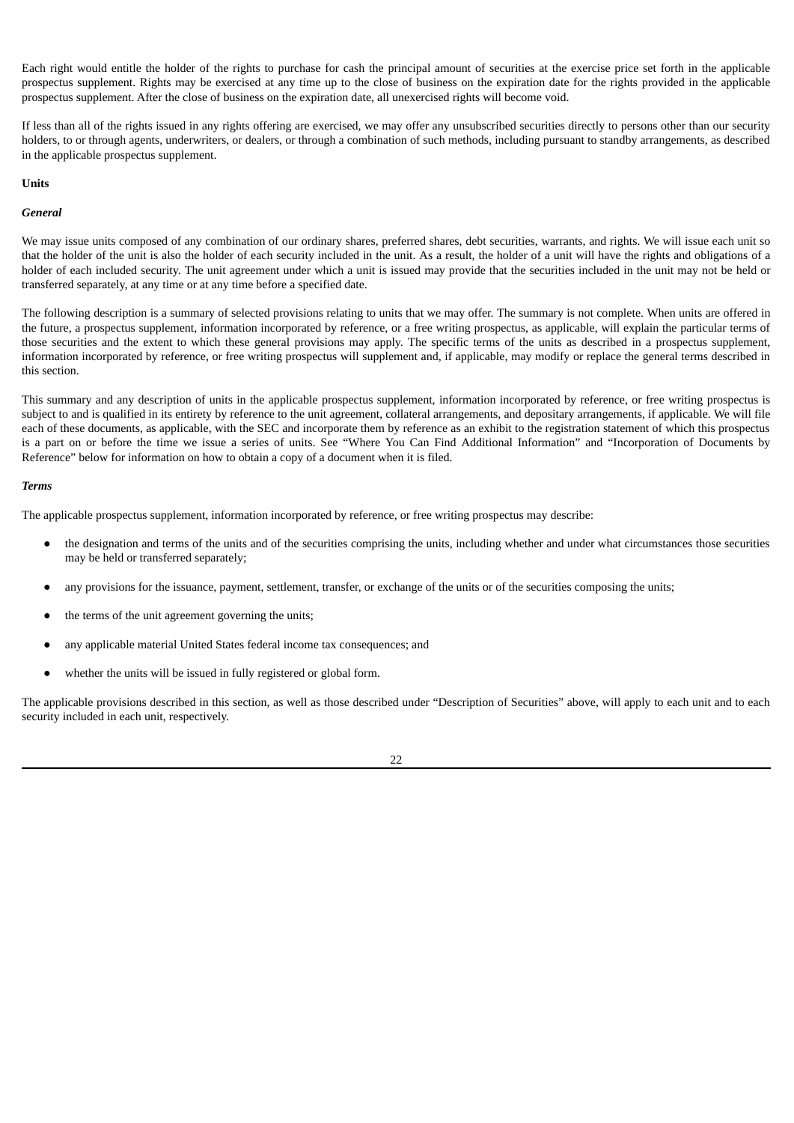Each right would entitle the holder of the rights to purchase for cash the principal amount of securities at the exercise price set forth in the applicable prospectus supplement. Rights may be exercised at any time up to the close of business on the expiration date for the rights provided in the applicable prospectus supplement. After the close of business on the expiration date, all unexercised rights will become void.

If less than all of the rights issued in any rights offering are exercised, we may offer any unsubscribed securities directly to persons other than our security holders, to or through agents, underwriters, or dealers, or through a combination of such methods, including pursuant to standby arrangements, as described in the applicable prospectus supplement.

## **Units**

#### *General*

We may issue units composed of any combination of our ordinary shares, preferred shares, debt securities, warrants, and rights. We will issue each unit so that the holder of the unit is also the holder of each security included in the unit. As a result, the holder of a unit will have the rights and obligations of a holder of each included security. The unit agreement under which a unit is issued may provide that the securities included in the unit may not be held or transferred separately, at any time or at any time before a specified date.

The following description is a summary of selected provisions relating to units that we may offer. The summary is not complete. When units are offered in the future, a prospectus supplement, information incorporated by reference, or a free writing prospectus, as applicable, will explain the particular terms of those securities and the extent to which these general provisions may apply. The specific terms of the units as described in a prospectus supplement, information incorporated by reference, or free writing prospectus will supplement and, if applicable, may modify or replace the general terms described in this section.

This summary and any description of units in the applicable prospectus supplement, information incorporated by reference, or free writing prospectus is subject to and is qualified in its entirety by reference to the unit agreement, collateral arrangements, and depositary arrangements, if applicable. We will file each of these documents, as applicable, with the SEC and incorporate them by reference as an exhibit to the registration statement of which this prospectus is a part on or before the time we issue a series of units. See "Where You Can Find Additional Information" and "Incorporation of Documents by Reference" below for information on how to obtain a copy of a document when it is filed.

### *Terms*

The applicable prospectus supplement, information incorporated by reference, or free writing prospectus may describe:

- the designation and terms of the units and of the securities comprising the units, including whether and under what circumstances those securities may be held or transferred separately;
- any provisions for the issuance, payment, settlement, transfer, or exchange of the units or of the securities composing the units;
- the terms of the unit agreement governing the units;
- any applicable material United States federal income tax consequences; and
- whether the units will be issued in fully registered or global form.

The applicable provisions described in this section, as well as those described under "Description of Securities" above, will apply to each unit and to each security included in each unit, respectively.

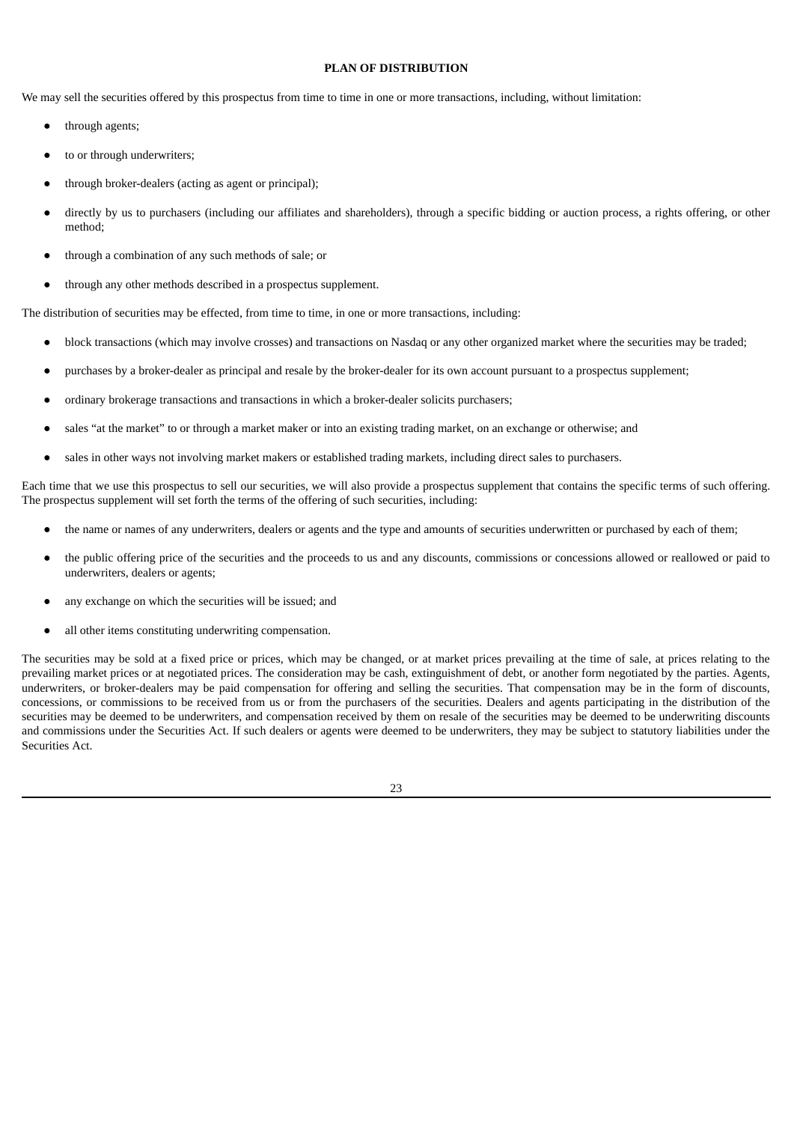## **PLAN OF DISTRIBUTION**

<span id="page-29-0"></span>We may sell the securities offered by this prospectus from time to time in one or more transactions, including, without limitation:

- through agents;
- to or through underwriters;
- through broker-dealers (acting as agent or principal);
- directly by us to purchasers (including our affiliates and shareholders), through a specific bidding or auction process, a rights offering, or other method;
- through a combination of any such methods of sale; or
- through any other methods described in a prospectus supplement.

The distribution of securities may be effected, from time to time, in one or more transactions, including:

- block transactions (which may involve crosses) and transactions on Nasdaq or any other organized market where the securities may be traded;
- purchases by a broker-dealer as principal and resale by the broker-dealer for its own account pursuant to a prospectus supplement;
- ordinary brokerage transactions and transactions in which a broker-dealer solicits purchasers;
- sales "at the market" to or through a market maker or into an existing trading market, on an exchange or otherwise; and
- sales in other ways not involving market makers or established trading markets, including direct sales to purchasers.

Each time that we use this prospectus to sell our securities, we will also provide a prospectus supplement that contains the specific terms of such offering. The prospectus supplement will set forth the terms of the offering of such securities, including:

- the name or names of any underwriters, dealers or agents and the type and amounts of securities underwritten or purchased by each of them;
- the public offering price of the securities and the proceeds to us and any discounts, commissions or concessions allowed or reallowed or paid to underwriters, dealers or agents;
- any exchange on which the securities will be issued; and
- all other items constituting underwriting compensation.

The securities may be sold at a fixed price or prices, which may be changed, or at market prices prevailing at the time of sale, at prices relating to the prevailing market prices or at negotiated prices. The consideration may be cash, extinguishment of debt, or another form negotiated by the parties. Agents, underwriters, or broker-dealers may be paid compensation for offering and selling the securities. That compensation may be in the form of discounts, concessions, or commissions to be received from us or from the purchasers of the securities. Dealers and agents participating in the distribution of the securities may be deemed to be underwriters, and compensation received by them on resale of the securities may be deemed to be underwriting discounts and commissions under the Securities Act. If such dealers or agents were deemed to be underwriters, they may be subject to statutory liabilities under the Securities Act.

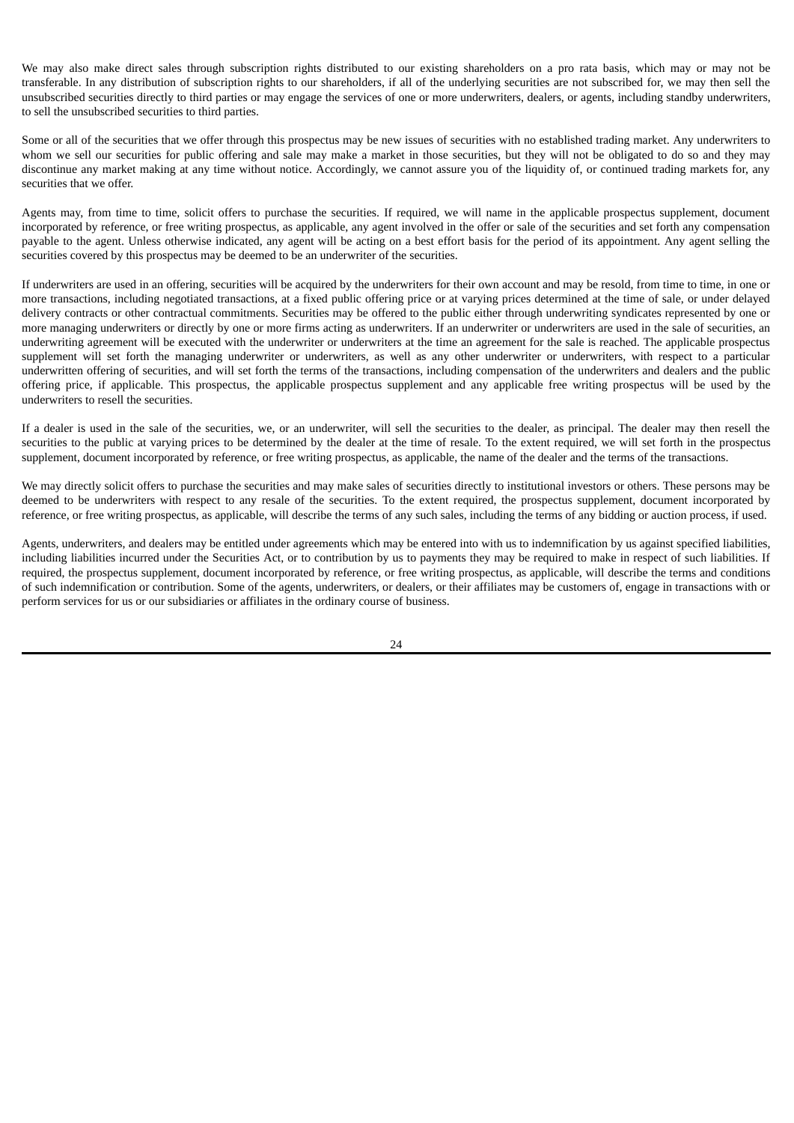We may also make direct sales through subscription rights distributed to our existing shareholders on a pro rata basis, which may or may not be transferable. In any distribution of subscription rights to our shareholders, if all of the underlying securities are not subscribed for, we may then sell the unsubscribed securities directly to third parties or may engage the services of one or more underwriters, dealers, or agents, including standby underwriters, to sell the unsubscribed securities to third parties.

Some or all of the securities that we offer through this prospectus may be new issues of securities with no established trading market. Any underwriters to whom we sell our securities for public offering and sale may make a market in those securities, but they will not be obligated to do so and they may discontinue any market making at any time without notice. Accordingly, we cannot assure you of the liquidity of, or continued trading markets for, any securities that we offer.

Agents may, from time to time, solicit offers to purchase the securities. If required, we will name in the applicable prospectus supplement, document incorporated by reference, or free writing prospectus, as applicable, any agent involved in the offer or sale of the securities and set forth any compensation payable to the agent. Unless otherwise indicated, any agent will be acting on a best effort basis for the period of its appointment. Any agent selling the securities covered by this prospectus may be deemed to be an underwriter of the securities.

If underwriters are used in an offering, securities will be acquired by the underwriters for their own account and may be resold, from time to time, in one or more transactions, including negotiated transactions, at a fixed public offering price or at varying prices determined at the time of sale, or under delayed delivery contracts or other contractual commitments. Securities may be offered to the public either through underwriting syndicates represented by one or more managing underwriters or directly by one or more firms acting as underwriters. If an underwriter or underwriters are used in the sale of securities, an underwriting agreement will be executed with the underwriter or underwriters at the time an agreement for the sale is reached. The applicable prospectus supplement will set forth the managing underwriter or underwriters, as well as any other underwriter or underwriters, with respect to a particular underwritten offering of securities, and will set forth the terms of the transactions, including compensation of the underwriters and dealers and the public offering price, if applicable. This prospectus, the applicable prospectus supplement and any applicable free writing prospectus will be used by the underwriters to resell the securities.

If a dealer is used in the sale of the securities, we, or an underwriter, will sell the securities to the dealer, as principal. The dealer may then resell the securities to the public at varying prices to be determined by the dealer at the time of resale. To the extent required, we will set forth in the prospectus supplement, document incorporated by reference, or free writing prospectus, as applicable, the name of the dealer and the terms of the transactions.

We may directly solicit offers to purchase the securities and may make sales of securities directly to institutional investors or others. These persons may be deemed to be underwriters with respect to any resale of the securities. To the extent required, the prospectus supplement, document incorporated by reference, or free writing prospectus, as applicable, will describe the terms of any such sales, including the terms of any bidding or auction process, if used.

Agents, underwriters, and dealers may be entitled under agreements which may be entered into with us to indemnification by us against specified liabilities, including liabilities incurred under the Securities Act, or to contribution by us to payments they may be required to make in respect of such liabilities. If required, the prospectus supplement, document incorporated by reference, or free writing prospectus, as applicable, will describe the terms and conditions of such indemnification or contribution. Some of the agents, underwriters, or dealers, or their affiliates may be customers of, engage in transactions with or perform services for us or our subsidiaries or affiliates in the ordinary course of business.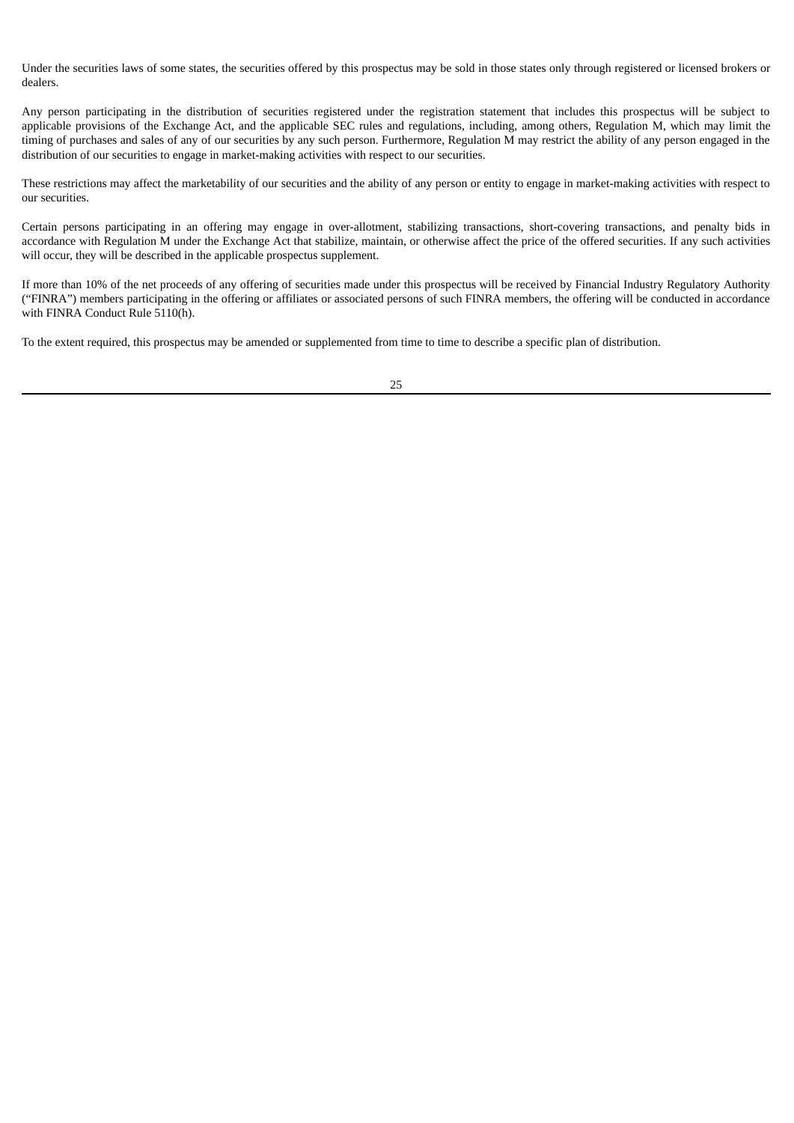Under the securities laws of some states, the securities offered by this prospectus may be sold in those states only through registered or licensed brokers or dealers.

Any person participating in the distribution of securities registered under the registration statement that includes this prospectus will be subject to applicable provisions of the Exchange Act, and the applicable SEC rules and regulations, including, among others, Regulation M, which may limit the timing of purchases and sales of any of our securities by any such person. Furthermore, Regulation M may restrict the ability of any person engaged in the distribution of our securities to engage in market-making activities with respect to our securities.

These restrictions may affect the marketability of our securities and the ability of any person or entity to engage in market-making activities with respect to our securities.

Certain persons participating in an offering may engage in over-allotment, stabilizing transactions, short-covering transactions, and penalty bids in accordance with Regulation M under the Exchange Act that stabilize, maintain, or otherwise affect the price of the offered securities. If any such activities will occur, they will be described in the applicable prospectus supplement.

If more than 10% of the net proceeds of any offering of securities made under this prospectus will be received by Financial Industry Regulatory Authority ("FINRA") members participating in the offering or affiliates or associated persons of such FINRA members, the offering will be conducted in accordance with FINRA Conduct Rule 5110(h).

To the extent required, this prospectus may be amended or supplemented from time to time to describe a specific plan of distribution.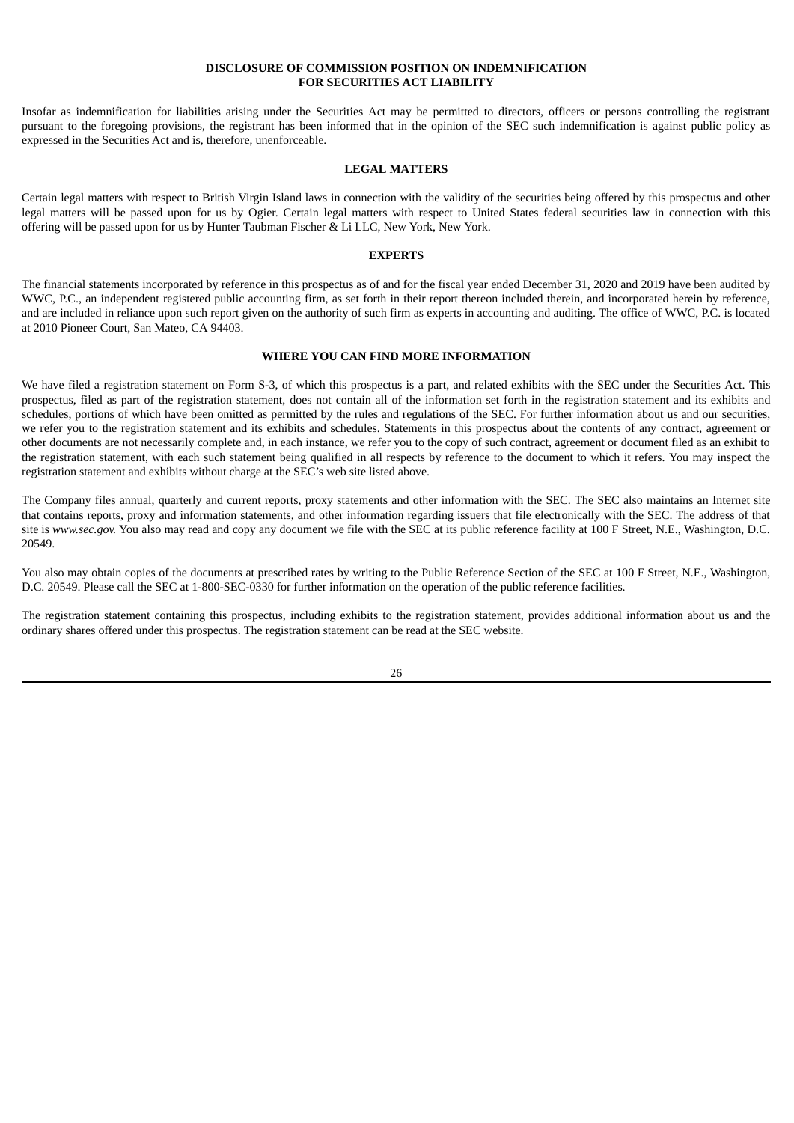## **DISCLOSURE OF COMMISSION POSITION ON INDEMNIFICATION FOR SECURITIES ACT LIABILITY**

<span id="page-32-0"></span>Insofar as indemnification for liabilities arising under the Securities Act may be permitted to directors, officers or persons controlling the registrant pursuant to the foregoing provisions, the registrant has been informed that in the opinion of the SEC such indemnification is against public policy as expressed in the Securities Act and is, therefore, unenforceable.

#### **LEGAL MATTERS**

<span id="page-32-1"></span>Certain legal matters with respect to British Virgin Island laws in connection with the validity of the securities being offered by this prospectus and other legal matters will be passed upon for us by Ogier. Certain legal matters with respect to United States federal securities law in connection with this offering will be passed upon for us by Hunter Taubman Fischer & Li LLC, New York, New York.

#### **EXPERTS**

<span id="page-32-2"></span>The financial statements incorporated by reference in this prospectus as of and for the fiscal year ended December 31, 2020 and 2019 have been audited by WWC, P.C., an independent registered public accounting firm, as set forth in their report thereon included therein, and incorporated herein by reference, and are included in reliance upon such report given on the authority of such firm as experts in accounting and auditing. The office of WWC, P.C. is located at 2010 Pioneer Court, San Mateo, CA 94403.

#### **WHERE YOU CAN FIND MORE INFORMATION**

<span id="page-32-3"></span>We have filed a registration statement on Form S-3, of which this prospectus is a part, and related exhibits with the SEC under the Securities Act. This prospectus, filed as part of the registration statement, does not contain all of the information set forth in the registration statement and its exhibits and schedules, portions of which have been omitted as permitted by the rules and regulations of the SEC. For further information about us and our securities, we refer you to the registration statement and its exhibits and schedules. Statements in this prospectus about the contents of any contract, agreement or other documents are not necessarily complete and, in each instance, we refer you to the copy of such contract, agreement or document filed as an exhibit to the registration statement, with each such statement being qualified in all respects by reference to the document to which it refers. You may inspect the registration statement and exhibits without charge at the SEC's web site listed above.

The Company files annual, quarterly and current reports, proxy statements and other information with the SEC. The SEC also maintains an Internet site that contains reports, proxy and information statements, and other information regarding issuers that file electronically with the SEC. The address of that site is *www.sec.gov.* You also may read and copy any document we file with the SEC at its public reference facility at 100 F Street, N.E., Washington, D.C. 20549.

You also may obtain copies of the documents at prescribed rates by writing to the Public Reference Section of the SEC at 100 F Street, N.E., Washington, D.C. 20549. Please call the SEC at 1-800-SEC-0330 for further information on the operation of the public reference facilities.

The registration statement containing this prospectus, including exhibits to the registration statement, provides additional information about us and the ordinary shares offered under this prospectus. The registration statement can be read at the SEC website.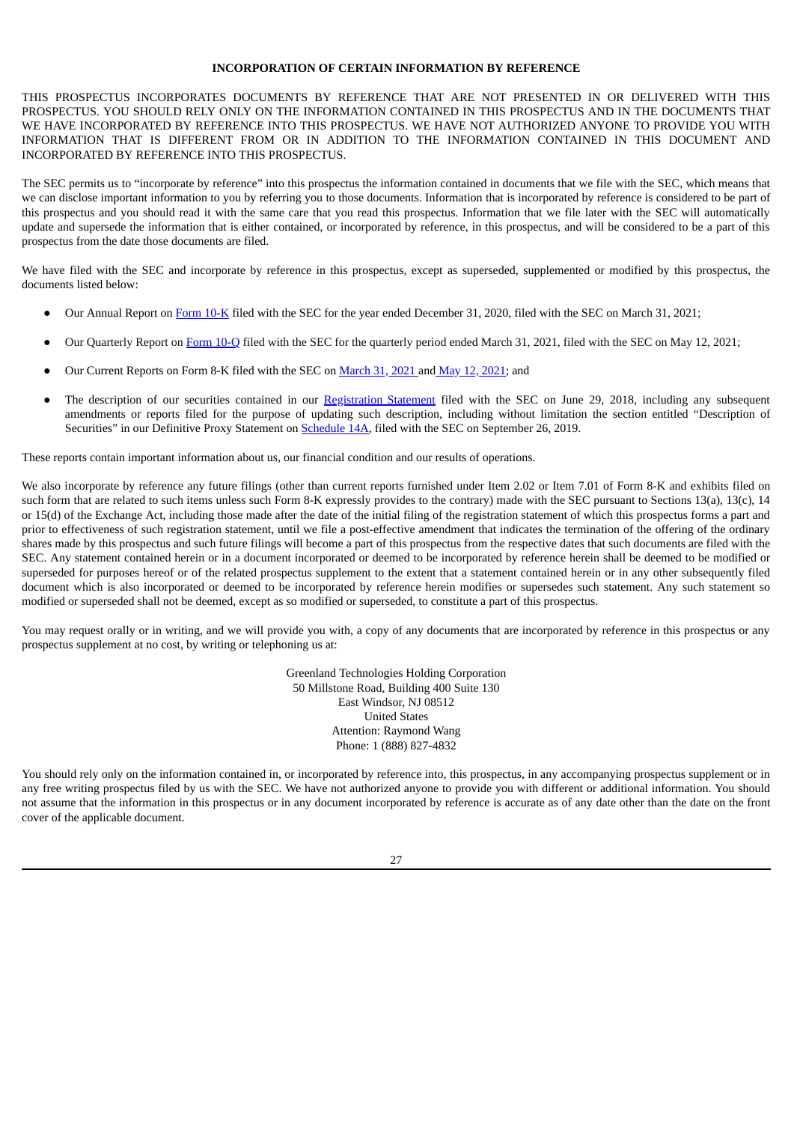## **INCORPORATION OF CERTAIN INFORMATION BY REFERENCE**

<span id="page-33-0"></span>THIS PROSPECTUS INCORPORATES DOCUMENTS BY REFERENCE THAT ARE NOT PRESENTED IN OR DELIVERED WITH THIS PROSPECTUS. YOU SHOULD RELY ONLY ON THE INFORMATION CONTAINED IN THIS PROSPECTUS AND IN THE DOCUMENTS THAT WE HAVE INCORPORATED BY REFERENCE INTO THIS PROSPECTUS. WE HAVE NOT AUTHORIZED ANYONE TO PROVIDE YOU WITH INFORMATION THAT IS DIFFERENT FROM OR IN ADDITION TO THE INFORMATION CONTAINED IN THIS DOCUMENT AND INCORPORATED BY REFERENCE INTO THIS PROSPECTUS.

The SEC permits us to "incorporate by reference" into this prospectus the information contained in documents that we file with the SEC, which means that we can disclose important information to you by referring you to those documents. Information that is incorporated by reference is considered to be part of this prospectus and you should read it with the same care that you read this prospectus. Information that we file later with the SEC will automatically update and supersede the information that is either contained, or incorporated by reference, in this prospectus, and will be considered to be a part of this prospectus from the date those documents are filed.

We have filed with the SEC and incorporate by reference in this prospectus, except as superseded, supplemented or modified by this prospectus, the documents listed below:

- Our Annual Report on [Form](http://www.sec.gov/Archives/edgar/data/1735041/000121390021018961/f10k2020_greenlandtech.htm) 10-K filed with the SEC for the year ended December 31, 2020, filed with the SEC on March 31, 2021;
- Our Quarterly Report on [Form](http://www.sec.gov/Archives/edgar/data/1735041/000121390021025694/f10q0321_greenlandtech.htm) 10-Q filed with the SEC for the quarterly period ended March 31, 2021, filed with the SEC on May 12, 2021;
- Our Current Reports on Form 8-K filed with the SEC on [March](http://www.sec.gov/Archives/edgar/data/1735041/000121390021018965/ea138682_8k-greenlandtech.htm) 31, 2021 and May 12, [2021;](http://www.sec.gov/Archives/edgar/data/1735041/000121390021025737/ea140679-8k_greenland.htm) and
- The description of our securities contained in our [Registration](http://www.sec.gov/Archives/edgar/data/1735041/000161577418006003/s111083_s1.htm) Statement filed with the SEC on June 29, 2018, including any subsequent amendments or reports filed for the purpose of updating such description, including without limitation the section entitled "Description of Securities" in our Definitive Proxy Statement on [Schedule](http://www.sec.gov/Archives/edgar/data/1735041/000121390019018926/defm14a0919_greenlandacq.htm) 14A, filed with the SEC on September 26, 2019.

These reports contain important information about us, our financial condition and our results of operations.

We also incorporate by reference any future filings (other than current reports furnished under Item 2.02 or Item 7.01 of Form 8-K and exhibits filed on such form that are related to such items unless such Form 8-K expressly provides to the contrary) made with the SEC pursuant to Sections 13(a), 13(c), 14 or 15(d) of the Exchange Act, including those made after the date of the initial filing of the registration statement of which this prospectus forms a part and prior to effectiveness of such registration statement, until we file a post-effective amendment that indicates the termination of the offering of the ordinary shares made by this prospectus and such future filings will become a part of this prospectus from the respective dates that such documents are filed with the SEC. Any statement contained herein or in a document incorporated or deemed to be incorporated by reference herein shall be deemed to be modified or superseded for purposes hereof or of the related prospectus supplement to the extent that a statement contained herein or in any other subsequently filed document which is also incorporated or deemed to be incorporated by reference herein modifies or supersedes such statement. Any such statement so modified or superseded shall not be deemed, except as so modified or superseded, to constitute a part of this prospectus.

You may request orally or in writing, and we will provide you with, a copy of any documents that are incorporated by reference in this prospectus or any prospectus supplement at no cost, by writing or telephoning us at:

> Greenland Technologies Holding Corporation 50 Millstone Road, Building 400 Suite 130 East Windsor, NJ 08512 United States Attention: Raymond Wang Phone: 1 (888) 827-4832

You should rely only on the information contained in, or incorporated by reference into, this prospectus, in any accompanying prospectus supplement or in any free writing prospectus filed by us with the SEC. We have not authorized anyone to provide you with different or additional information. You should not assume that the information in this prospectus or in any document incorporated by reference is accurate as of any date other than the date on the front cover of the applicable document.

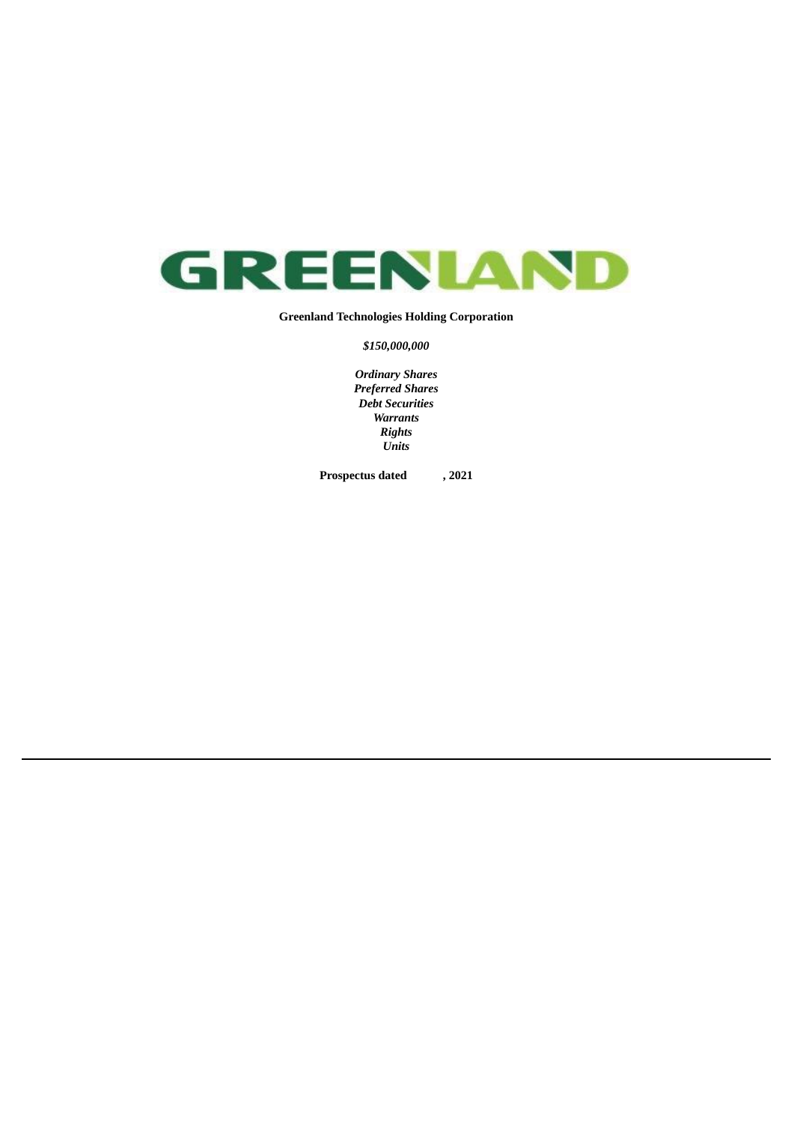

**Greenland Technologies Holding Corporation**

*\$150,000,000*

*Ordinary Shares Preferred Shares Debt Securities Warrants Rights Units*

**Prospectus dated , 2021**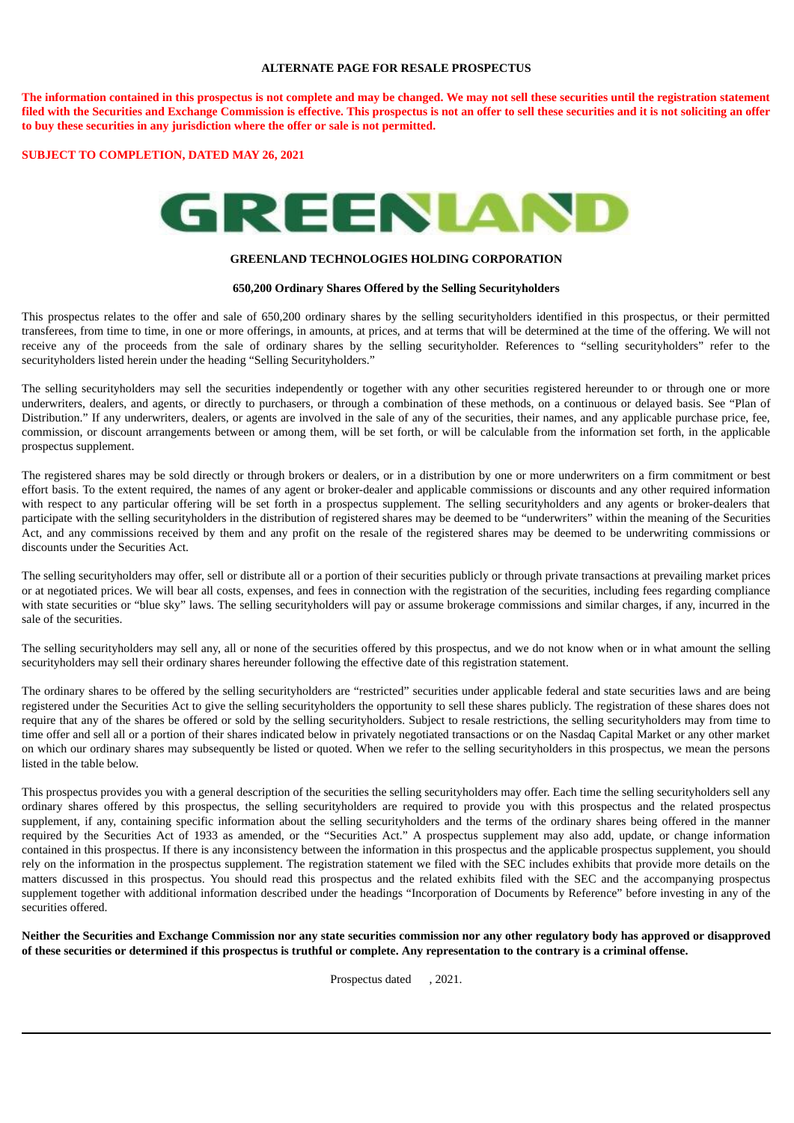The information contained in this prospectus is not complete and may be changed. We may not sell these securities until the registration statement filed with the Securities and Exchange Commission is effective. This prospectus is not an offer to sell these securities and it is not soliciting an offer **to buy these securities in any jurisdiction where the offer or sale is not permitted.**

## **SUBJECT TO COMPLETION, DATED MAY 26, 2021**



### **GREENLAND TECHNOLOGIES HOLDING CORPORATION**

#### **650,200 Ordinary Shares Offered by the Selling Securityholders**

This prospectus relates to the offer and sale of 650,200 ordinary shares by the selling securityholders identified in this prospectus, or their permitted transferees, from time to time, in one or more offerings, in amounts, at prices, and at terms that will be determined at the time of the offering. We will not receive any of the proceeds from the sale of ordinary shares by the selling securityholder. References to "selling securityholders" refer to the securityholders listed herein under the heading "Selling Securityholders."

The selling securityholders may sell the securities independently or together with any other securities registered hereunder to or through one or more underwriters, dealers, and agents, or directly to purchasers, or through a combination of these methods, on a continuous or delayed basis. See "Plan of Distribution." If any underwriters, dealers, or agents are involved in the sale of any of the securities, their names, and any applicable purchase price, fee, commission, or discount arrangements between or among them, will be set forth, or will be calculable from the information set forth, in the applicable prospectus supplement.

The registered shares may be sold directly or through brokers or dealers, or in a distribution by one or more underwriters on a firm commitment or best effort basis. To the extent required, the names of any agent or broker-dealer and applicable commissions or discounts and any other required information with respect to any particular offering will be set forth in a prospectus supplement. The selling securityholders and any agents or broker-dealers that participate with the selling securityholders in the distribution of registered shares may be deemed to be "underwriters" within the meaning of the Securities Act, and any commissions received by them and any profit on the resale of the registered shares may be deemed to be underwriting commissions or discounts under the Securities Act.

The selling securityholders may offer, sell or distribute all or a portion of their securities publicly or through private transactions at prevailing market prices or at negotiated prices. We will bear all costs, expenses, and fees in connection with the registration of the securities, including fees regarding compliance with state securities or "blue sky" laws. The selling securityholders will pay or assume brokerage commissions and similar charges, if any, incurred in the sale of the securities.

The selling securityholders may sell any, all or none of the securities offered by this prospectus, and we do not know when or in what amount the selling securityholders may sell their ordinary shares hereunder following the effective date of this registration statement.

The ordinary shares to be offered by the selling securityholders are "restricted" securities under applicable federal and state securities laws and are being registered under the Securities Act to give the selling securityholders the opportunity to sell these shares publicly. The registration of these shares does not require that any of the shares be offered or sold by the selling securityholders. Subject to resale restrictions, the selling securityholders may from time to time offer and sell all or a portion of their shares indicated below in privately negotiated transactions or on the Nasdaq Capital Market or any other market on which our ordinary shares may subsequently be listed or quoted. When we refer to the selling securityholders in this prospectus, we mean the persons listed in the table below.

This prospectus provides you with a general description of the securities the selling securityholders may offer. Each time the selling securityholders sell any ordinary shares offered by this prospectus, the selling securityholders are required to provide you with this prospectus and the related prospectus supplement, if any, containing specific information about the selling securityholders and the terms of the ordinary shares being offered in the manner required by the Securities Act of 1933 as amended, or the "Securities Act." A prospectus supplement may also add, update, or change information contained in this prospectus. If there is any inconsistency between the information in this prospectus and the applicable prospectus supplement, you should rely on the information in the prospectus supplement. The registration statement we filed with the SEC includes exhibits that provide more details on the matters discussed in this prospectus. You should read this prospectus and the related exhibits filed with the SEC and the accompanying prospectus supplement together with additional information described under the headings "Incorporation of Documents by Reference" before investing in any of the securities offered.

Neither the Securities and Exchange Commission nor any state securities commission nor any other regulatory body has approved or disapproved of these securities or determined if this prospectus is truthful or complete. Any representation to the contrary is a criminal offense.

Prospectus dated , 2021.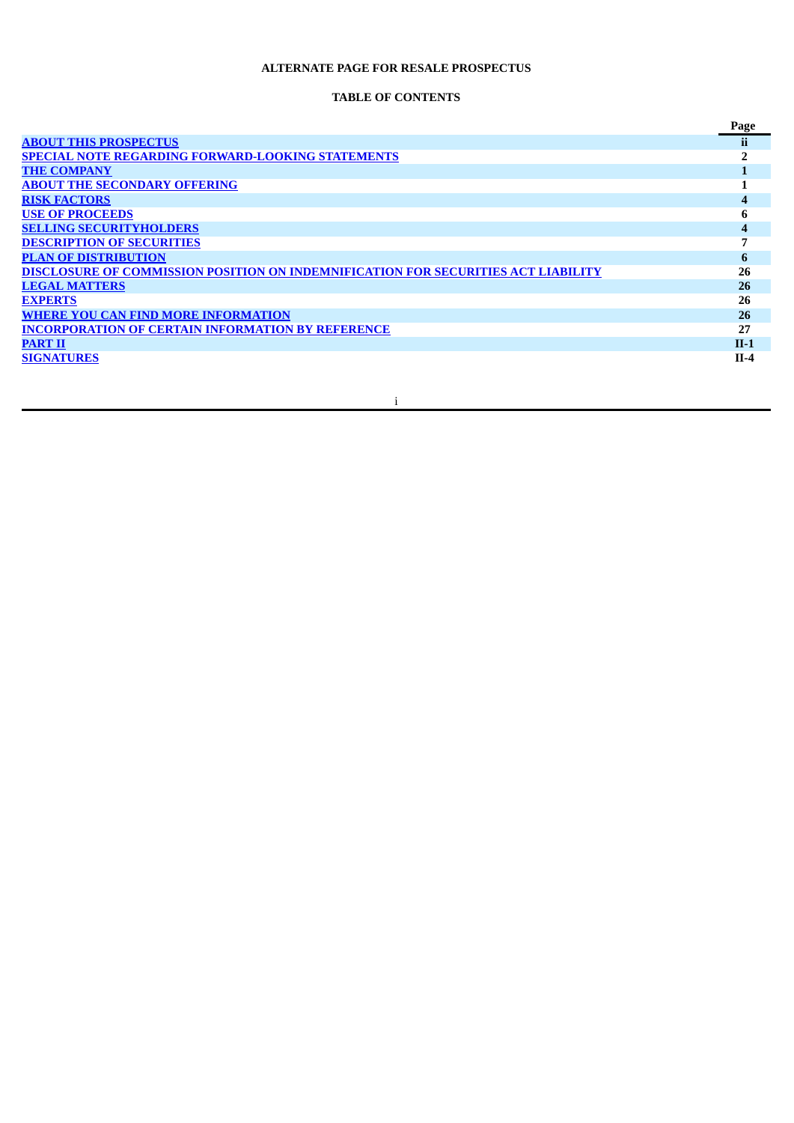# **TABLE OF CONTENTS**

|                                                                                          | Page   |
|------------------------------------------------------------------------------------------|--------|
| <b>ABOUT THIS PROSPECTUS</b>                                                             | ii.    |
| <b>SPECIAL NOTE REGARDING FORWARD-LOOKING STATEMENTS</b>                                 |        |
| <b>THE COMPANY</b>                                                                       |        |
| <b>ABOUT THE SECONDARY OFFERING</b>                                                      |        |
| <b>RISK FACTORS</b>                                                                      |        |
| <b>USE OF PROCEEDS</b>                                                                   | b      |
| <b>SELLING SECURITYHOLDERS</b>                                                           |        |
| <b>DESCRIPTION OF SECURITIES</b>                                                         |        |
| <b>PLAN OF DISTRIBUTION</b>                                                              | h      |
| <b>DISCLOSURE OF COMMISSION POSITION ON INDEMNIFICATION FOR SECURITIES ACT LIABILITY</b> | 26     |
| <b>LEGAL MATTERS</b>                                                                     | 26     |
| <b>EXPERTS</b>                                                                           | 26     |
| <b>WHERE YOU CAN FIND MORE INFORMATION</b>                                               | 26     |
| <b>INCORPORATION OF CERTAIN INFORMATION BY REFERENCE</b>                                 | 27     |
| <b>PART II</b>                                                                           | $II-1$ |
| <b>SIGNATURES</b>                                                                        | $II-4$ |

i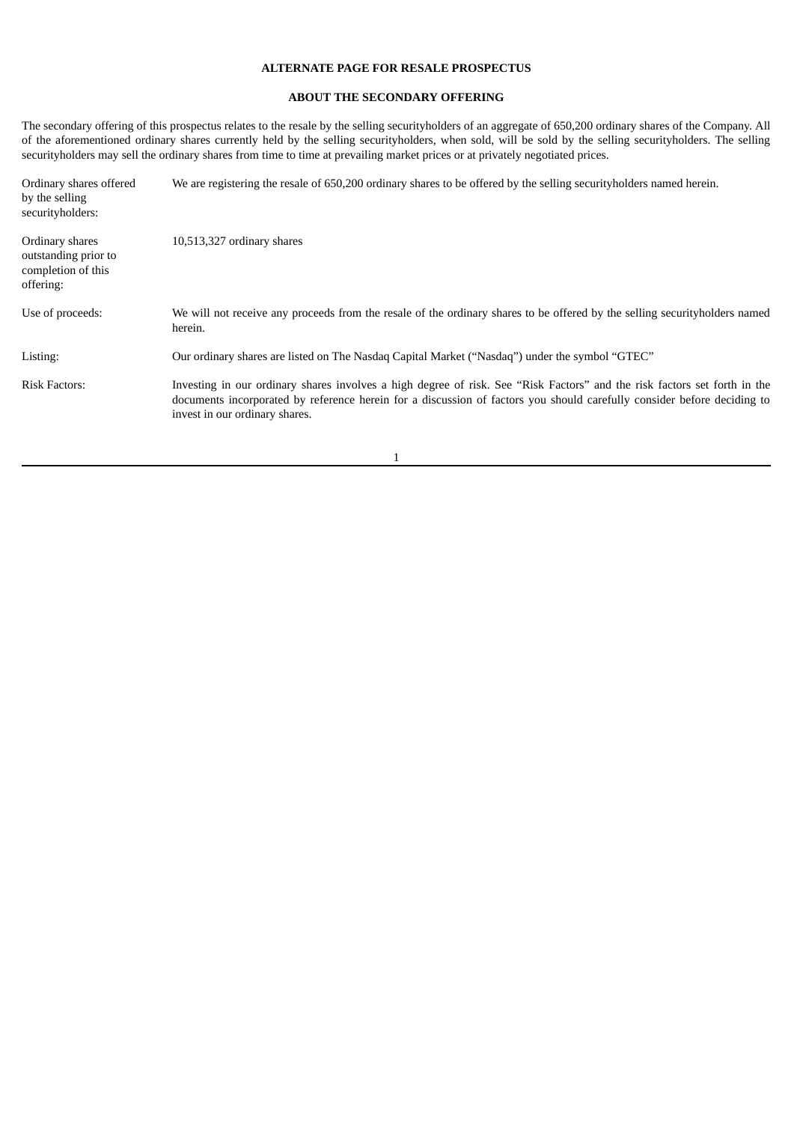## **ABOUT THE SECONDARY OFFERING**

<span id="page-37-0"></span>The secondary offering of this prospectus relates to the resale by the selling securityholders of an aggregate of 650,200 ordinary shares of the Company. All of the aforementioned ordinary shares currently held by the selling securityholders, when sold, will be sold by the selling securityholders. The selling securityholders may sell the ordinary shares from time to time at prevailing market prices or at privately negotiated prices.

| Ordinary shares offered<br>by the selling<br>securityholders:              | We are registering the resale of 650,200 ordinary shares to be offered by the selling security holders named herein.                                                                                                                                                                   |
|----------------------------------------------------------------------------|----------------------------------------------------------------------------------------------------------------------------------------------------------------------------------------------------------------------------------------------------------------------------------------|
| Ordinary shares<br>outstanding prior to<br>completion of this<br>offering: | 10,513,327 ordinary shares                                                                                                                                                                                                                                                             |
| Use of proceeds:                                                           | We will not receive any proceeds from the resale of the ordinary shares to be offered by the selling security holders named<br>herein.                                                                                                                                                 |
| Listing:                                                                   | Our ordinary shares are listed on The Nasdaq Capital Market ("Nasdaq") under the symbol "GTEC"                                                                                                                                                                                         |
| <b>Risk Factors:</b>                                                       | Investing in our ordinary shares involves a high degree of risk. See "Risk Factors" and the risk factors set forth in the<br>documents incorporated by reference herein for a discussion of factors you should carefully consider before deciding to<br>invest in our ordinary shares. |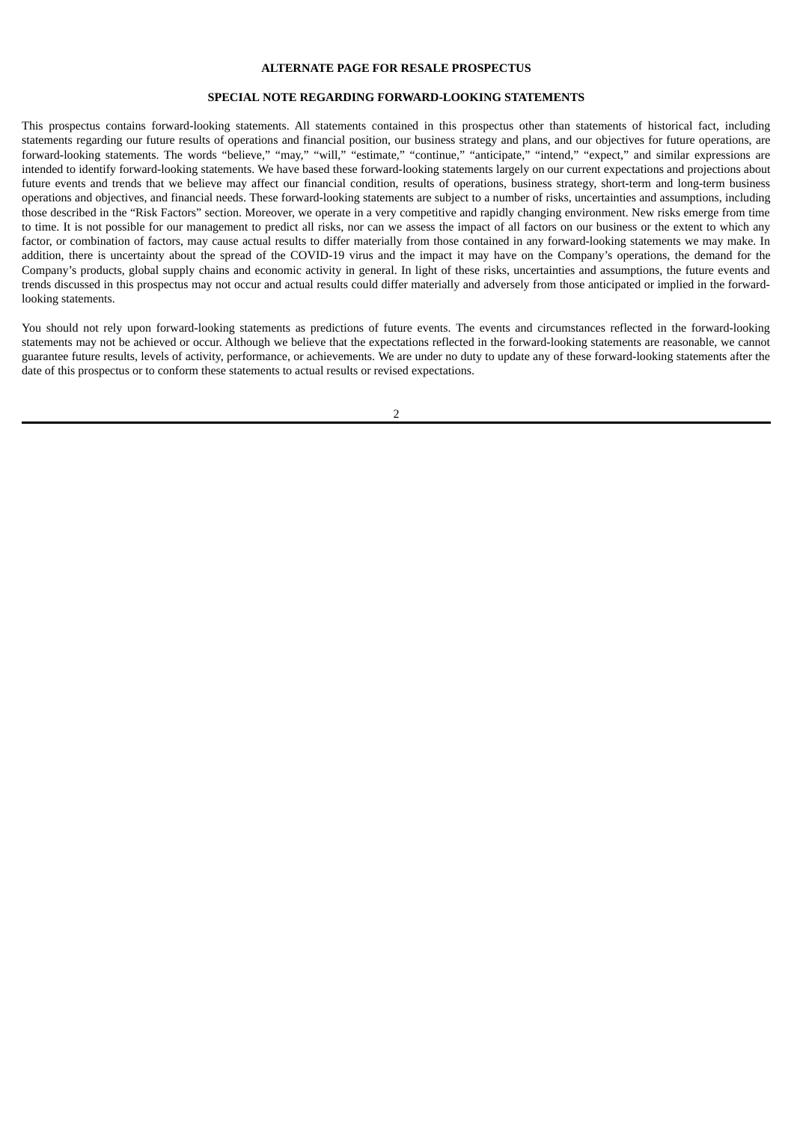#### **SPECIAL NOTE REGARDING FORWARD-LOOKING STATEMENTS**

<span id="page-38-0"></span>This prospectus contains forward-looking statements. All statements contained in this prospectus other than statements of historical fact, including statements regarding our future results of operations and financial position, our business strategy and plans, and our objectives for future operations, are forward-looking statements. The words "believe," "may," "will," "estimate," "continue," "anticipate," "intend," "expect," and similar expressions are intended to identify forward-looking statements. We have based these forward-looking statements largely on our current expectations and projections about future events and trends that we believe may affect our financial condition, results of operations, business strategy, short-term and long-term business operations and objectives, and financial needs. These forward-looking statements are subject to a number of risks, uncertainties and assumptions, including those described in the "Risk Factors" section. Moreover, we operate in a very competitive and rapidly changing environment. New risks emerge from time to time. It is not possible for our management to predict all risks, nor can we assess the impact of all factors on our business or the extent to which any factor, or combination of factors, may cause actual results to differ materially from those contained in any forward-looking statements we may make. In addition, there is uncertainty about the spread of the COVID-19 virus and the impact it may have on the Company's operations, the demand for the Company's products, global supply chains and economic activity in general. In light of these risks, uncertainties and assumptions, the future events and trends discussed in this prospectus may not occur and actual results could differ materially and adversely from those anticipated or implied in the forwardlooking statements.

You should not rely upon forward-looking statements as predictions of future events. The events and circumstances reflected in the forward-looking statements may not be achieved or occur. Although we believe that the expectations reflected in the forward-looking statements are reasonable, we cannot guarantee future results, levels of activity, performance, or achievements. We are under no duty to update any of these forward-looking statements after the date of this prospectus or to conform these statements to actual results or revised expectations.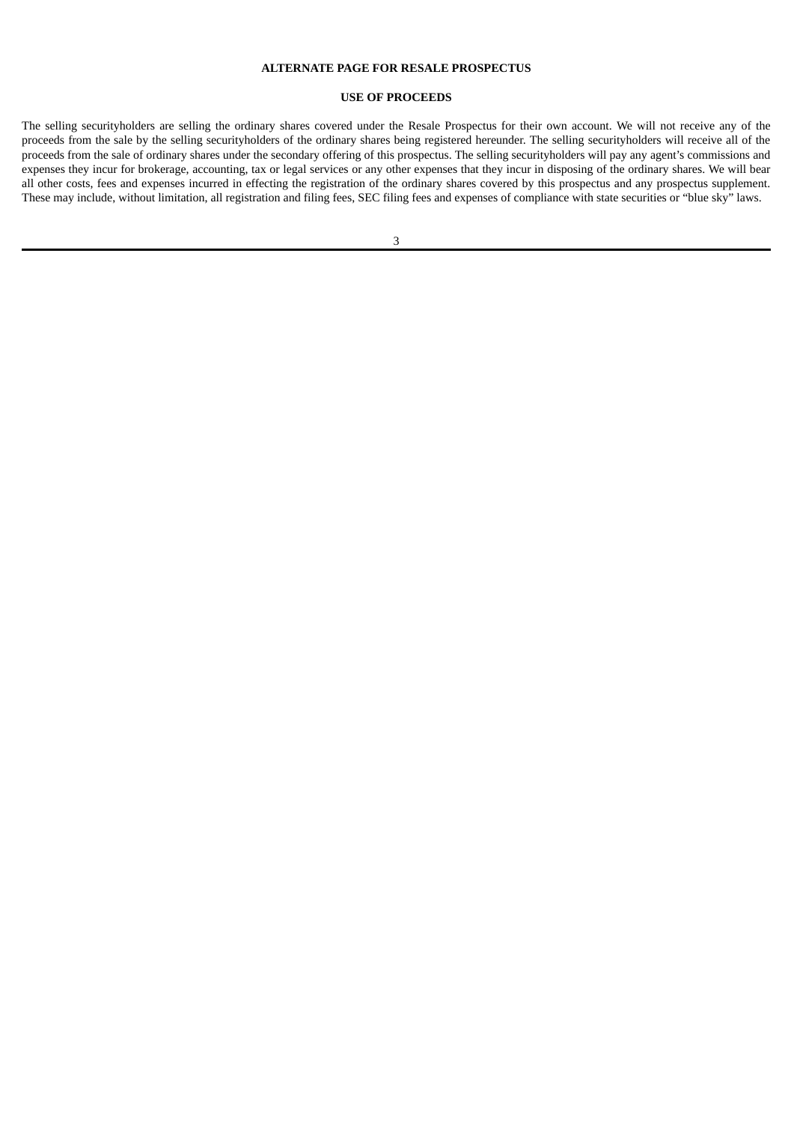### **USE OF PROCEEDS**

The selling securityholders are selling the ordinary shares covered under the Resale Prospectus for their own account. We will not receive any of the proceeds from the sale by the selling securityholders of the ordinary shares being registered hereunder. The selling securityholders will receive all of the proceeds from the sale of ordinary shares under the secondary offering of this prospectus. The selling securityholders will pay any agent's commissions and expenses they incur for brokerage, accounting, tax or legal services or any other expenses that they incur in disposing of the ordinary shares. We will bear all other costs, fees and expenses incurred in effecting the registration of the ordinary shares covered by this prospectus and any prospectus supplement. These may include, without limitation, all registration and filing fees, SEC filing fees and expenses of compliance with state securities or "blue sky" laws.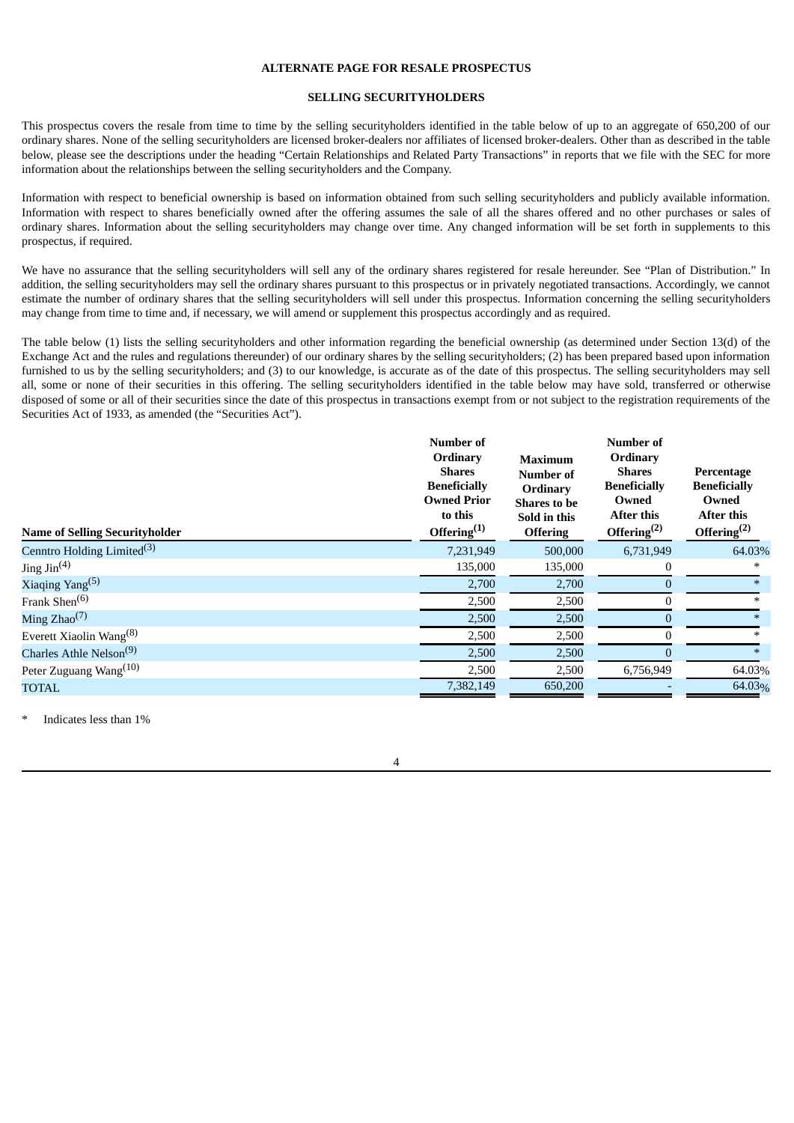#### **SELLING SECURITYHOLDERS**

<span id="page-40-0"></span>This prospectus covers the resale from time to time by the selling securityholders identified in the table below of up to an aggregate of 650,200 of our ordinary shares. None of the selling securityholders are licensed broker-dealers nor affiliates of licensed broker-dealers. Other than as described in the table below, please see the descriptions under the heading "Certain Relationships and Related Party Transactions" in reports that we file with the SEC for more information about the relationships between the selling securityholders and the Company.

Information with respect to beneficial ownership is based on information obtained from such selling securityholders and publicly available information. Information with respect to shares beneficially owned after the offering assumes the sale of all the shares offered and no other purchases or sales of ordinary shares. Information about the selling securityholders may change over time. Any changed information will be set forth in supplements to this prospectus, if required.

We have no assurance that the selling securityholders will sell any of the ordinary shares registered for resale hereunder. See "Plan of Distribution." In addition, the selling securityholders may sell the ordinary shares pursuant to this prospectus or in privately negotiated transactions. Accordingly, we cannot estimate the number of ordinary shares that the selling securityholders will sell under this prospectus. Information concerning the selling securityholders may change from time to time and, if necessary, we will amend or supplement this prospectus accordingly and as required.

The table below (1) lists the selling securityholders and other information regarding the beneficial ownership (as determined under Section 13(d) of the Exchange Act and the rules and regulations thereunder) of our ordinary shares by the selling securityholders; (2) has been prepared based upon information furnished to us by the selling securityholders; and (3) to our knowledge, is accurate as of the date of this prospectus. The selling securityholders may sell all, some or none of their securities in this offering. The selling securityholders identified in the table below may have sold, transferred or otherwise disposed of some or all of their securities since the date of this prospectus in transactions exempt from or not subject to the registration requirements of the Securities Act of 1933, as amended (the "Securities Act").

| <b>Name of Selling Securityholder</b> | <b>Number of</b><br><b>Ordinary</b><br><b>Shares</b><br><b>Beneficially</b><br><b>Owned Prior</b><br>to this<br>Offering $(1)$ | <b>Maximum</b><br><b>Number of</b><br><b>Ordinary</b><br><b>Shares to be</b><br>Sold in this<br><b>Offering</b> | <b>Number of</b><br><b>Ordinary</b><br><b>Shares</b><br><b>Beneficially</b><br>Owned<br>After this<br>Offering $^{(2)}$ | Percentage<br><b>Beneficially</b><br>Owned<br>After this<br>Offering $^{(2)}$ |
|---------------------------------------|--------------------------------------------------------------------------------------------------------------------------------|-----------------------------------------------------------------------------------------------------------------|-------------------------------------------------------------------------------------------------------------------------|-------------------------------------------------------------------------------|
| Cenntro Holding Limited $(3)$         | 7,231,949                                                                                                                      | 500,000                                                                                                         | 6,731,949                                                                                                               | 64.03%                                                                        |
| Jing $\text{Jin}^{(4)}$               | 135,000                                                                                                                        | 135,000                                                                                                         | $\boldsymbol{0}$                                                                                                        |                                                                               |
| Xiaqing Yang <sup>(5)</sup>           | 2,700                                                                                                                          | 2,700                                                                                                           | $\Omega$                                                                                                                |                                                                               |
| Frank Shen $(6)$                      | 2,500                                                                                                                          | 2,500                                                                                                           | 0                                                                                                                       |                                                                               |
| Ming $Zhao(7)$                        | 2,500                                                                                                                          | 2,500                                                                                                           | $\mathbf{0}$                                                                                                            |                                                                               |
| Everett Xiaolin Wang <sup>(8)</sup>   | 2,500                                                                                                                          | 2,500                                                                                                           | $\Omega$                                                                                                                |                                                                               |
| Charles Athle Nelson <sup>(9)</sup>   | 2,500                                                                                                                          | 2,500                                                                                                           | $\overline{0}$                                                                                                          |                                                                               |
| Peter Zuguang Wang <sup>(10)</sup>    | 2,500                                                                                                                          | 2,500                                                                                                           | 6,756,949                                                                                                               | 64.03%                                                                        |
| <b>TOTAL</b>                          | 7,382,149                                                                                                                      | 650,200                                                                                                         |                                                                                                                         | 64.03%                                                                        |

4

Indicates less than 1%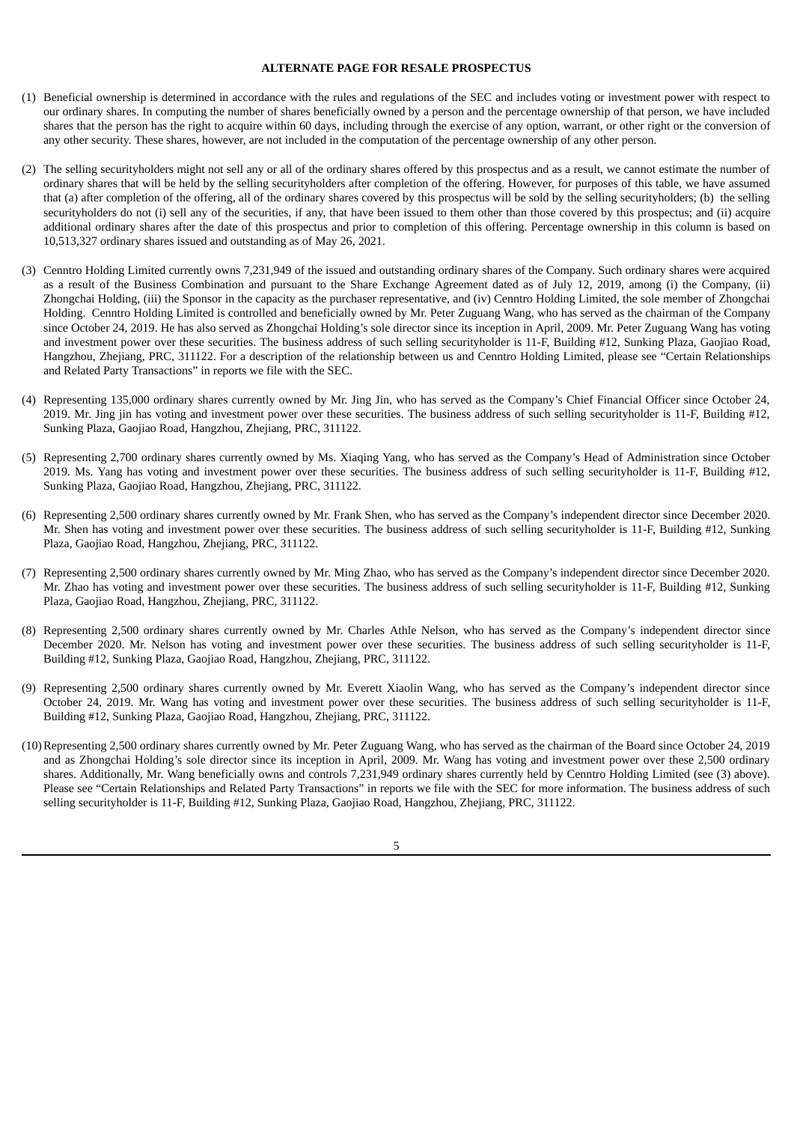- (1) Beneficial ownership is determined in accordance with the rules and regulations of the SEC and includes voting or investment power with respect to our ordinary shares. In computing the number of shares beneficially owned by a person and the percentage ownership of that person, we have included shares that the person has the right to acquire within 60 days, including through the exercise of any option, warrant, or other right or the conversion of any other security. These shares, however, are not included in the computation of the percentage ownership of any other person.
- (2) The selling securityholders might not sell any or all of the ordinary shares offered by this prospectus and as a result, we cannot estimate the number of ordinary shares that will be held by the selling securityholders after completion of the offering. However, for purposes of this table, we have assumed that (a) after completion of the offering, all of the ordinary shares covered by this prospectus will be sold by the selling securityholders; (b) the selling securityholders do not (i) sell any of the securities, if any, that have been issued to them other than those covered by this prospectus; and (ii) acquire additional ordinary shares after the date of this prospectus and prior to completion of this offering. Percentage ownership in this column is based on 10,513,327 ordinary shares issued and outstanding as of May 26, 2021.
- (3) Cenntro Holding Limited currently owns 7,231,949 of the issued and outstanding ordinary shares of the Company. Such ordinary shares were acquired as a result of the Business Combination and pursuant to the Share Exchange Agreement dated as of July 12, 2019, among (i) the Company, (ii) Zhongchai Holding, (iii) the Sponsor in the capacity as the purchaser representative, and (iv) Cenntro Holding Limited, the sole member of Zhongchai Holding. Cenntro Holding Limited is controlled and beneficially owned by Mr. Peter Zuguang Wang, who has served as the chairman of the Company since October 24, 2019. He has also served as Zhongchai Holding's sole director since its inception in April, 2009. Mr. Peter Zuguang Wang has voting and investment power over these securities. The business address of such selling securityholder is 11-F, Building #12, Sunking Plaza, Gaojiao Road, Hangzhou, Zhejiang, PRC, 311122. For a description of the relationship between us and Cenntro Holding Limited, please see "Certain Relationships and Related Party Transactions" in reports we file with the SEC.
- (4) Representing 135,000 ordinary shares currently owned by Mr. Jing Jin, who has served as the Company's Chief Financial Officer since October 24, 2019. Mr. Jing jin has voting and investment power over these securities. The business address of such selling securityholder is 11-F, Building #12, Sunking Plaza, Gaojiao Road, Hangzhou, Zhejiang, PRC, 311122.
- (5) Representing 2,700 ordinary shares currently owned by Ms. Xiaqing Yang, who has served as the Company's Head of Administration since October 2019. Ms. Yang has voting and investment power over these securities. The business address of such selling securityholder is 11-F, Building #12, Sunking Plaza, Gaojiao Road, Hangzhou, Zhejiang, PRC, 311122.
- (6) Representing 2,500 ordinary shares currently owned by Mr. Frank Shen, who has served as the Company's independent director since December 2020. Mr. Shen has voting and investment power over these securities. The business address of such selling securityholder is 11-F, Building #12, Sunking Plaza, Gaojiao Road, Hangzhou, Zhejiang, PRC, 311122.
- (7) Representing 2,500 ordinary shares currently owned by Mr. Ming Zhao, who has served as the Company's independent director since December 2020. Mr. Zhao has voting and investment power over these securities. The business address of such selling securityholder is 11-F, Building #12, Sunking Plaza, Gaojiao Road, Hangzhou, Zhejiang, PRC, 311122.
- (8) Representing 2,500 ordinary shares currently owned by Mr. Charles Athle Nelson, who has served as the Company's independent director since December 2020. Mr. Nelson has voting and investment power over these securities. The business address of such selling securityholder is 11-F, Building #12, Sunking Plaza, Gaojiao Road, Hangzhou, Zhejiang, PRC, 311122.
- (9) Representing 2,500 ordinary shares currently owned by Mr. Everett Xiaolin Wang, who has served as the Company's independent director since October 24, 2019. Mr. Wang has voting and investment power over these securities. The business address of such selling securityholder is 11-F, Building #12, Sunking Plaza, Gaojiao Road, Hangzhou, Zhejiang, PRC, 311122.
- (10)Representing 2,500 ordinary shares currently owned by Mr. Peter Zuguang Wang, who has served as the chairman of the Board since October 24, 2019 and as Zhongchai Holding's sole director since its inception in April, 2009. Mr. Wang has voting and investment power over these 2,500 ordinary shares. Additionally, Mr. Wang beneficially owns and controls 7,231,949 ordinary shares currently held by Cenntro Holding Limited (see (3) above). Please see "Certain Relationships and Related Party Transactions" in reports we file with the SEC for more information. The business address of such selling securityholder is 11-F, Building #12, Sunking Plaza, Gaojiao Road, Hangzhou, Zhejiang, PRC, 311122.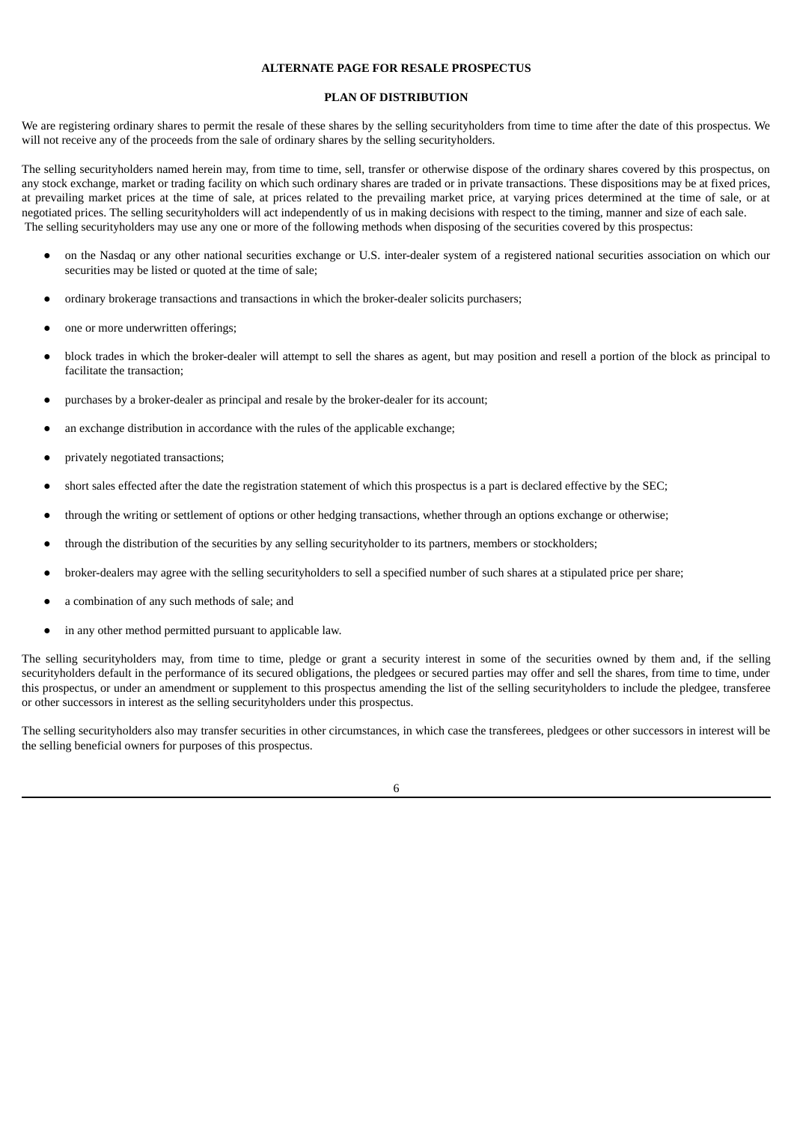### **PLAN OF DISTRIBUTION**

<span id="page-42-0"></span>We are registering ordinary shares to permit the resale of these shares by the selling securityholders from time to time after the date of this prospectus. We will not receive any of the proceeds from the sale of ordinary shares by the selling securityholders.

The selling securityholders named herein may, from time to time, sell, transfer or otherwise dispose of the ordinary shares covered by this prospectus, on any stock exchange, market or trading facility on which such ordinary shares are traded or in private transactions. These dispositions may be at fixed prices, at prevailing market prices at the time of sale, at prices related to the prevailing market price, at varying prices determined at the time of sale, or at negotiated prices. The selling securityholders will act independently of us in making decisions with respect to the timing, manner and size of each sale. The selling securityholders may use any one or more of the following methods when disposing of the securities covered by this prospectus:

- on the Nasdaq or any other national securities exchange or U.S. inter-dealer system of a registered national securities association on which our securities may be listed or quoted at the time of sale;
- ordinary brokerage transactions and transactions in which the broker-dealer solicits purchasers;
- one or more underwritten offerings;
- block trades in which the broker-dealer will attempt to sell the shares as agent, but may position and resell a portion of the block as principal to facilitate the transaction;
- purchases by a broker-dealer as principal and resale by the broker-dealer for its account;
- an exchange distribution in accordance with the rules of the applicable exchange;
- privately negotiated transactions:
- short sales effected after the date the registration statement of which this prospectus is a part is declared effective by the SEC;
- through the writing or settlement of options or other hedging transactions, whether through an options exchange or otherwise;
- through the distribution of the securities by any selling securityholder to its partners, members or stockholders;
- broker-dealers may agree with the selling securityholders to sell a specified number of such shares at a stipulated price per share;
- a combination of any such methods of sale; and
- in any other method permitted pursuant to applicable law.

The selling securityholders may, from time to time, pledge or grant a security interest in some of the securities owned by them and, if the selling securityholders default in the performance of its secured obligations, the pledgees or secured parties may offer and sell the shares, from time to time, under this prospectus, or under an amendment or supplement to this prospectus amending the list of the selling securityholders to include the pledgee, transferee or other successors in interest as the selling securityholders under this prospectus.

The selling securityholders also may transfer securities in other circumstances, in which case the transferees, pledgees or other successors in interest will be the selling beneficial owners for purposes of this prospectus.

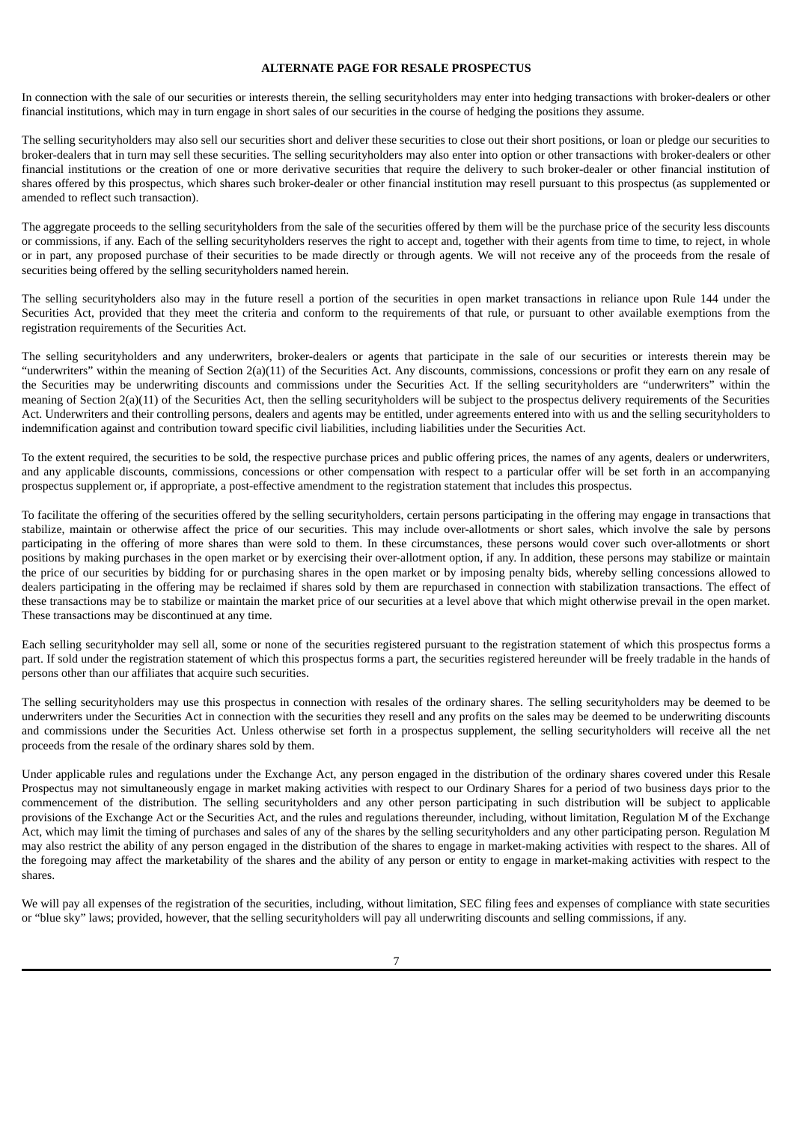In connection with the sale of our securities or interests therein, the selling securityholders may enter into hedging transactions with broker-dealers or other financial institutions, which may in turn engage in short sales of our securities in the course of hedging the positions they assume.

The selling securityholders may also sell our securities short and deliver these securities to close out their short positions, or loan or pledge our securities to broker-dealers that in turn may sell these securities. The selling securityholders may also enter into option or other transactions with broker-dealers or other financial institutions or the creation of one or more derivative securities that require the delivery to such broker-dealer or other financial institution of shares offered by this prospectus, which shares such broker-dealer or other financial institution may resell pursuant to this prospectus (as supplemented or amended to reflect such transaction).

The aggregate proceeds to the selling securityholders from the sale of the securities offered by them will be the purchase price of the security less discounts or commissions, if any. Each of the selling securityholders reserves the right to accept and, together with their agents from time to time, to reject, in whole or in part, any proposed purchase of their securities to be made directly or through agents. We will not receive any of the proceeds from the resale of securities being offered by the selling securityholders named herein.

The selling securityholders also may in the future resell a portion of the securities in open market transactions in reliance upon Rule 144 under the Securities Act, provided that they meet the criteria and conform to the requirements of that rule, or pursuant to other available exemptions from the registration requirements of the Securities Act.

The selling securityholders and any underwriters, broker-dealers or agents that participate in the sale of our securities or interests therein may be "underwriters" within the meaning of Section 2(a)(11) of the Securities Act. Any discounts, commissions, concessions or profit they earn on any resale of the Securities may be underwriting discounts and commissions under the Securities Act. If the selling securityholders are "underwriters" within the meaning of Section 2(a)(11) of the Securities Act, then the selling securityholders will be subject to the prospectus delivery requirements of the Securities Act. Underwriters and their controlling persons, dealers and agents may be entitled, under agreements entered into with us and the selling securityholders to indemnification against and contribution toward specific civil liabilities, including liabilities under the Securities Act.

To the extent required, the securities to be sold, the respective purchase prices and public offering prices, the names of any agents, dealers or underwriters, and any applicable discounts, commissions, concessions or other compensation with respect to a particular offer will be set forth in an accompanying prospectus supplement or, if appropriate, a post-effective amendment to the registration statement that includes this prospectus.

To facilitate the offering of the securities offered by the selling securityholders, certain persons participating in the offering may engage in transactions that stabilize, maintain or otherwise affect the price of our securities. This may include over-allotments or short sales, which involve the sale by persons participating in the offering of more shares than were sold to them. In these circumstances, these persons would cover such over-allotments or short positions by making purchases in the open market or by exercising their over-allotment option, if any. In addition, these persons may stabilize or maintain the price of our securities by bidding for or purchasing shares in the open market or by imposing penalty bids, whereby selling concessions allowed to dealers participating in the offering may be reclaimed if shares sold by them are repurchased in connection with stabilization transactions. The effect of these transactions may be to stabilize or maintain the market price of our securities at a level above that which might otherwise prevail in the open market. These transactions may be discontinued at any time.

Each selling securityholder may sell all, some or none of the securities registered pursuant to the registration statement of which this prospectus forms a part. If sold under the registration statement of which this prospectus forms a part, the securities registered hereunder will be freely tradable in the hands of persons other than our affiliates that acquire such securities.

The selling securityholders may use this prospectus in connection with resales of the ordinary shares. The selling securityholders may be deemed to be underwriters under the Securities Act in connection with the securities they resell and any profits on the sales may be deemed to be underwriting discounts and commissions under the Securities Act. Unless otherwise set forth in a prospectus supplement, the selling securityholders will receive all the net proceeds from the resale of the ordinary shares sold by them.

Under applicable rules and regulations under the Exchange Act, any person engaged in the distribution of the ordinary shares covered under this Resale Prospectus may not simultaneously engage in market making activities with respect to our Ordinary Shares for a period of two business days prior to the commencement of the distribution. The selling securityholders and any other person participating in such distribution will be subject to applicable provisions of the Exchange Act or the Securities Act, and the rules and regulations thereunder, including, without limitation, Regulation M of the Exchange Act, which may limit the timing of purchases and sales of any of the shares by the selling securityholders and any other participating person. Regulation M may also restrict the ability of any person engaged in the distribution of the shares to engage in market-making activities with respect to the shares. All of the foregoing may affect the marketability of the shares and the ability of any person or entity to engage in market-making activities with respect to the shares.

We will pay all expenses of the registration of the securities, including, without limitation, SEC filing fees and expenses of compliance with state securities or "blue sky" laws; provided, however, that the selling securityholders will pay all underwriting discounts and selling commissions, if any.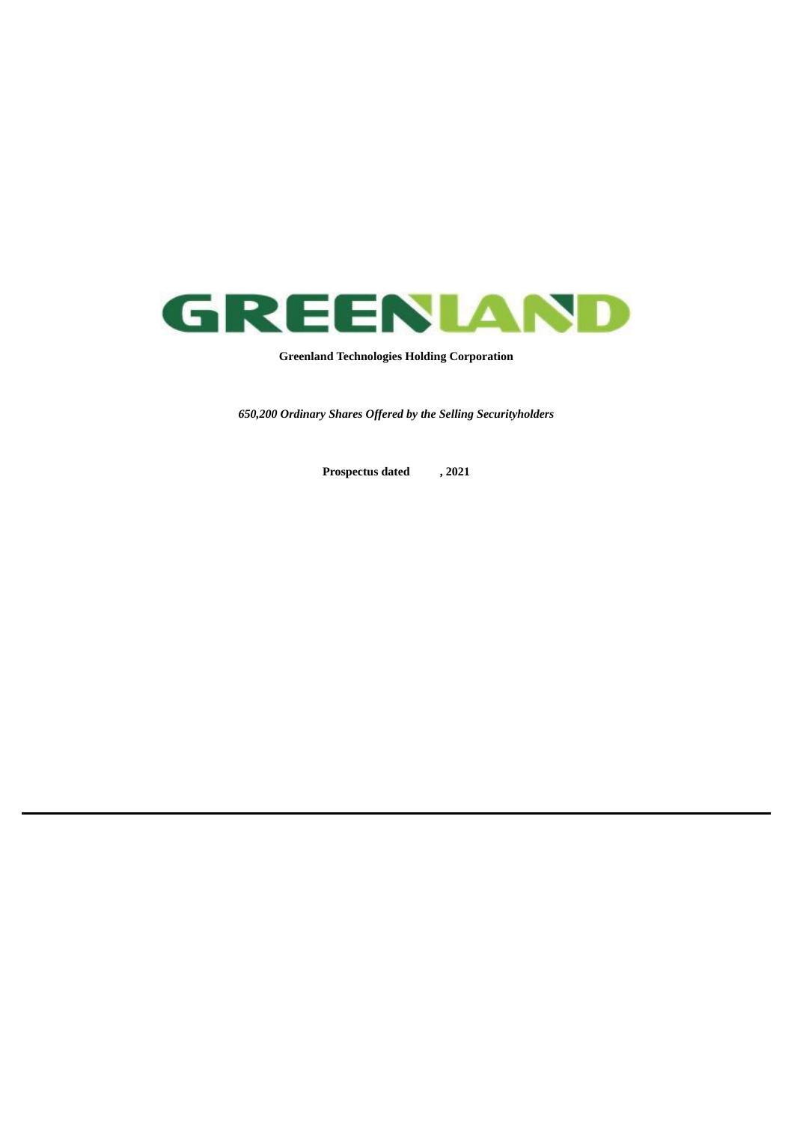

**Greenland Technologies Holding Corporation**

*650,200 Ordinary Shares Offered by the Selling Securityholders*

**Prospectus dated , 2021**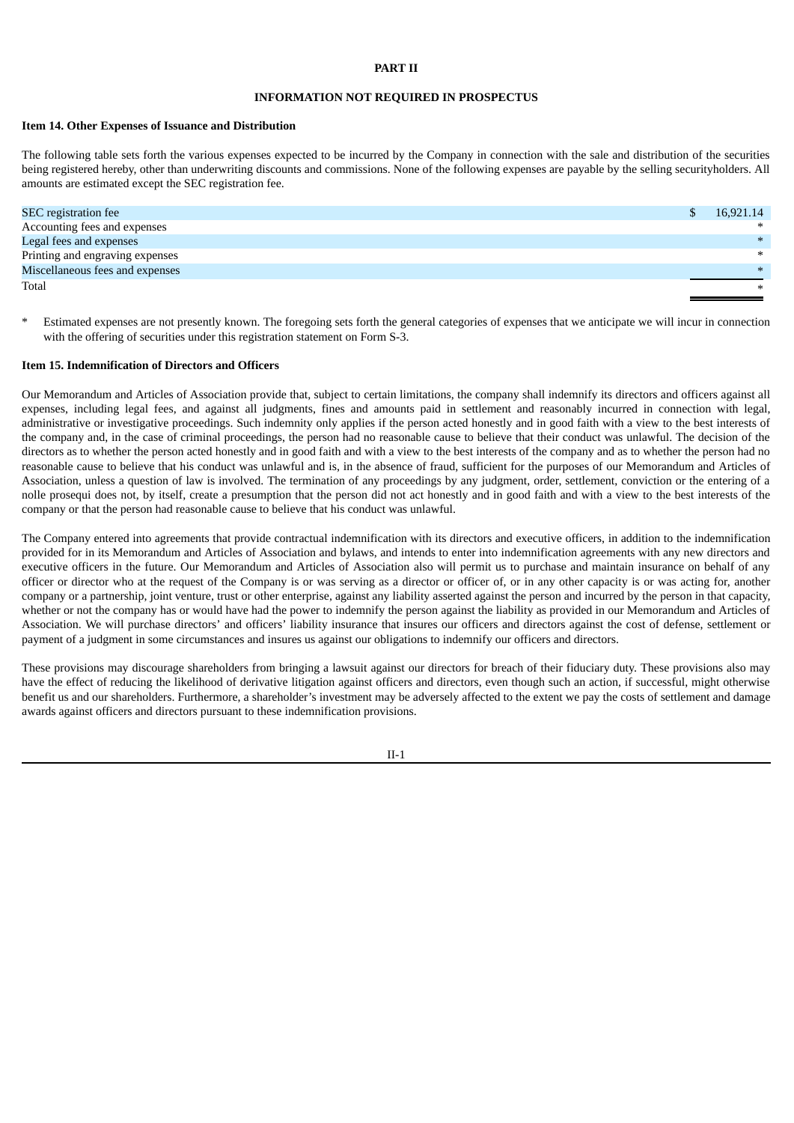#### **PART II**

#### **INFORMATION NOT REQUIRED IN PROSPECTUS**

#### <span id="page-45-0"></span>**Item 14. Other Expenses of Issuance and Distribution**

The following table sets forth the various expenses expected to be incurred by the Company in connection with the sale and distribution of the securities being registered hereby, other than underwriting discounts and commissions. None of the following expenses are payable by the selling securityholders. All amounts are estimated except the SEC registration fee.

| SEC registration fee            | 16,921.14 |
|---------------------------------|-----------|
| Accounting fees and expenses    | $\ast$    |
| Legal fees and expenses         | $\ast$    |
| Printing and engraving expenses | ∗         |
| Miscellaneous fees and expenses | ∗ ∗       |
| Total                           | $*$       |
|                                 |           |

\* Estimated expenses are not presently known. The foregoing sets forth the general categories of expenses that we anticipate we will incur in connection with the offering of securities under this registration statement on Form S-3.

#### **Item 15. Indemnification of Directors and Officers**

Our Memorandum and Articles of Association provide that, subject to certain limitations, the company shall indemnify its directors and officers against all expenses, including legal fees, and against all judgments, fines and amounts paid in settlement and reasonably incurred in connection with legal, administrative or investigative proceedings. Such indemnity only applies if the person acted honestly and in good faith with a view to the best interests of the company and, in the case of criminal proceedings, the person had no reasonable cause to believe that their conduct was unlawful. The decision of the directors as to whether the person acted honestly and in good faith and with a view to the best interests of the company and as to whether the person had no reasonable cause to believe that his conduct was unlawful and is, in the absence of fraud, sufficient for the purposes of our Memorandum and Articles of Association, unless a question of law is involved. The termination of any proceedings by any judgment, order, settlement, conviction or the entering of a nolle prosequi does not, by itself, create a presumption that the person did not act honestly and in good faith and with a view to the best interests of the company or that the person had reasonable cause to believe that his conduct was unlawful.

The Company entered into agreements that provide contractual indemnification with its directors and executive officers, in addition to the indemnification provided for in its Memorandum and Articles of Association and bylaws, and intends to enter into indemnification agreements with any new directors and executive officers in the future. Our Memorandum and Articles of Association also will permit us to purchase and maintain insurance on behalf of any officer or director who at the request of the Company is or was serving as a director or officer of, or in any other capacity is or was acting for, another company or a partnership, joint venture, trust or other enterprise, against any liability asserted against the person and incurred by the person in that capacity, whether or not the company has or would have had the power to indemnify the person against the liability as provided in our Memorandum and Articles of Association. We will purchase directors' and officers' liability insurance that insures our officers and directors against the cost of defense, settlement or payment of a judgment in some circumstances and insures us against our obligations to indemnify our officers and directors.

These provisions may discourage shareholders from bringing a lawsuit against our directors for breach of their fiduciary duty. These provisions also may have the effect of reducing the likelihood of derivative litigation against officers and directors, even though such an action, if successful, might otherwise benefit us and our shareholders. Furthermore, a shareholder's investment may be adversely affected to the extent we pay the costs of settlement and damage awards against officers and directors pursuant to these indemnification provisions.

II-1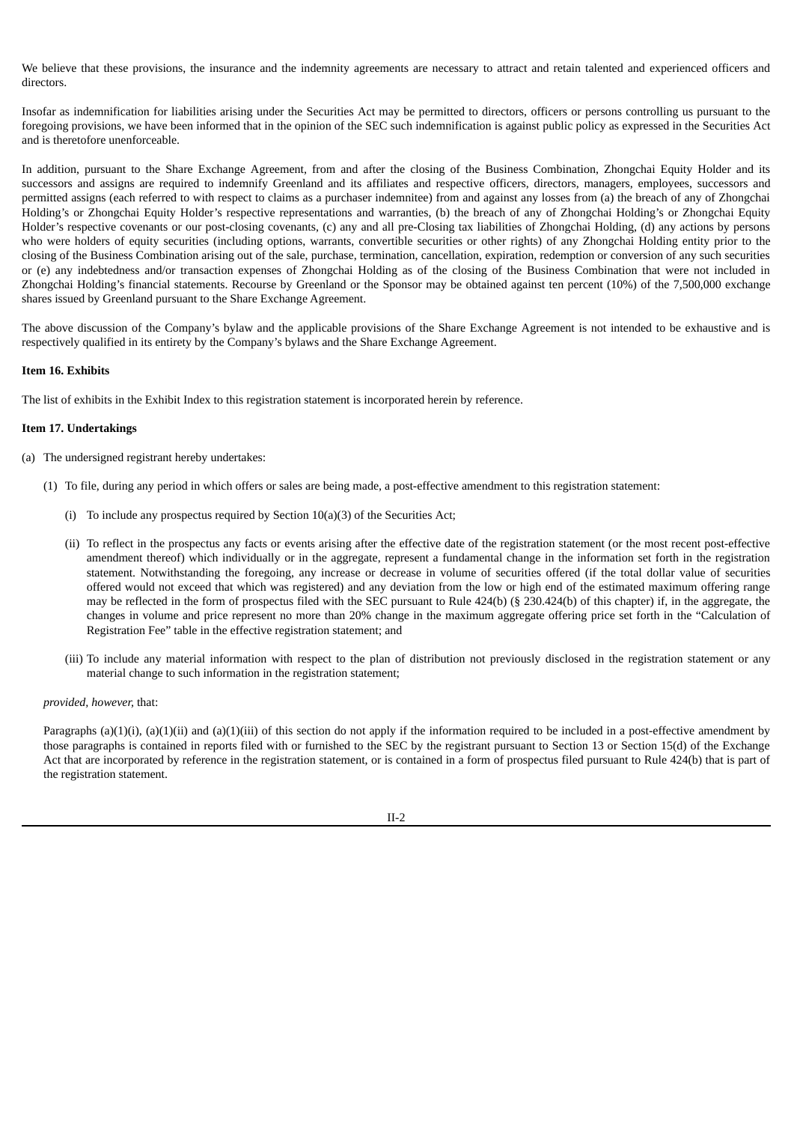We believe that these provisions, the insurance and the indemnity agreements are necessary to attract and retain talented and experienced officers and directors.

Insofar as indemnification for liabilities arising under the Securities Act may be permitted to directors, officers or persons controlling us pursuant to the foregoing provisions, we have been informed that in the opinion of the SEC such indemnification is against public policy as expressed in the Securities Act and is theretofore unenforceable.

In addition, pursuant to the Share Exchange Agreement, from and after the closing of the Business Combination, Zhongchai Equity Holder and its successors and assigns are required to indemnify Greenland and its affiliates and respective officers, directors, managers, employees, successors and permitted assigns (each referred to with respect to claims as a purchaser indemnitee) from and against any losses from (a) the breach of any of Zhongchai Holding's or Zhongchai Equity Holder's respective representations and warranties, (b) the breach of any of Zhongchai Holding's or Zhongchai Equity Holder's respective covenants or our post-closing covenants, (c) any and all pre-Closing tax liabilities of Zhongchai Holding, (d) any actions by persons who were holders of equity securities (including options, warrants, convertible securities or other rights) of any Zhongchai Holding entity prior to the closing of the Business Combination arising out of the sale, purchase, termination, cancellation, expiration, redemption or conversion of any such securities or (e) any indebtedness and/or transaction expenses of Zhongchai Holding as of the closing of the Business Combination that were not included in Zhongchai Holding's financial statements. Recourse by Greenland or the Sponsor may be obtained against ten percent (10%) of the 7,500,000 exchange shares issued by Greenland pursuant to the Share Exchange Agreement.

The above discussion of the Company's bylaw and the applicable provisions of the Share Exchange Agreement is not intended to be exhaustive and is respectively qualified in its entirety by the Company's bylaws and the Share Exchange Agreement.

# **Item 16. Exhibits**

The list of exhibits in the Exhibit Index to this registration statement is incorporated herein by reference.

### **Item 17. Undertakings**

(a) The undersigned registrant hereby undertakes:

- (1) To file, during any period in which offers or sales are being made, a post-effective amendment to this registration statement:
	- (i) To include any prospectus required by Section 10(a)(3) of the Securities Act;
	- (ii) To reflect in the prospectus any facts or events arising after the effective date of the registration statement (or the most recent post-effective amendment thereof) which individually or in the aggregate, represent a fundamental change in the information set forth in the registration statement. Notwithstanding the foregoing, any increase or decrease in volume of securities offered (if the total dollar value of securities offered would not exceed that which was registered) and any deviation from the low or high end of the estimated maximum offering range may be reflected in the form of prospectus filed with the SEC pursuant to Rule 424(b) (§ 230.424(b) of this chapter) if, in the aggregate, the changes in volume and price represent no more than 20% change in the maximum aggregate offering price set forth in the "Calculation of Registration Fee" table in the effective registration statement; and
	- (iii) To include any material information with respect to the plan of distribution not previously disclosed in the registration statement or any material change to such information in the registration statement;

*provided, however,* that:

Paragraphs (a)(1)(i), (a)(1)(ii) and (a)(1)(iii) of this section do not apply if the information required to be included in a post-effective amendment by those paragraphs is contained in reports filed with or furnished to the SEC by the registrant pursuant to Section 13 or Section 15(d) of the Exchange Act that are incorporated by reference in the registration statement, or is contained in a form of prospectus filed pursuant to Rule 424(b) that is part of the registration statement.

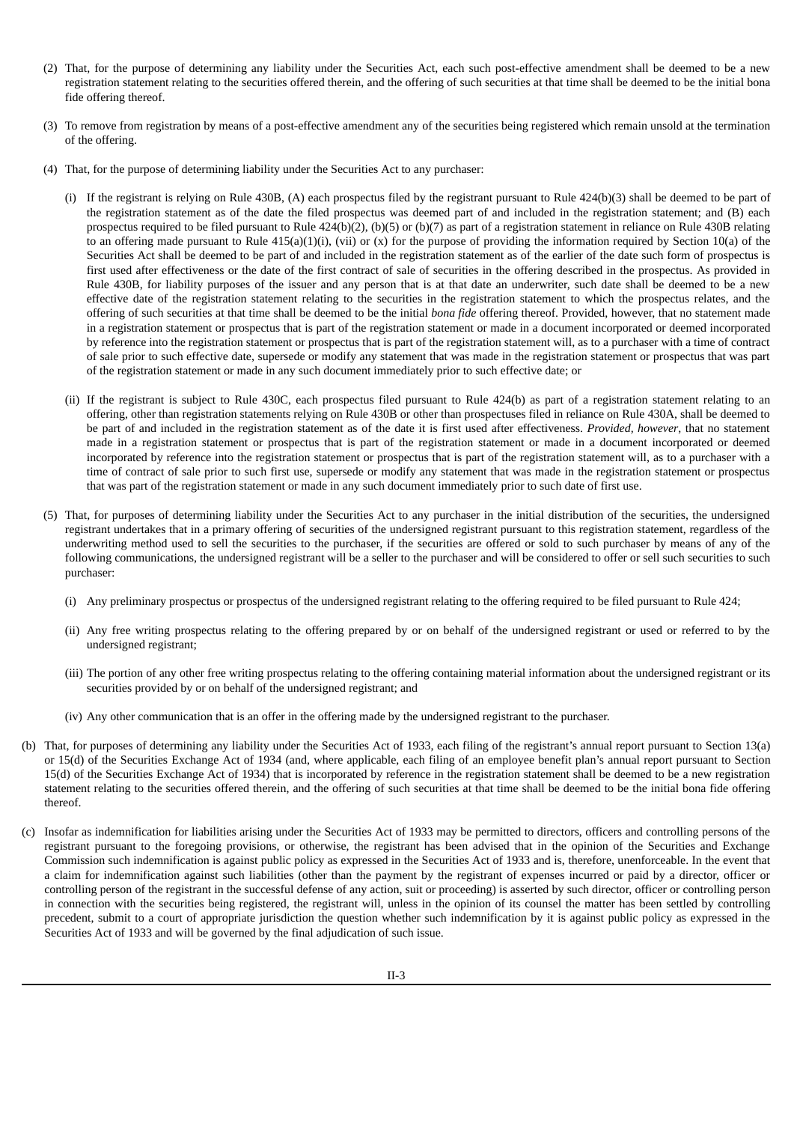- (2) That, for the purpose of determining any liability under the Securities Act, each such post-effective amendment shall be deemed to be a new registration statement relating to the securities offered therein, and the offering of such securities at that time shall be deemed to be the initial bona fide offering thereof.
- (3) To remove from registration by means of a post-effective amendment any of the securities being registered which remain unsold at the termination of the offering.
- (4) That, for the purpose of determining liability under the Securities Act to any purchaser:
	- (i) If the registrant is relying on Rule 430B, (A) each prospectus filed by the registrant pursuant to Rule 424(b)(3) shall be deemed to be part of the registration statement as of the date the filed prospectus was deemed part of and included in the registration statement; and (B) each prospectus required to be filed pursuant to Rule 424(b)(2), (b)(5) or (b)(7) as part of a registration statement in reliance on Rule 430B relating to an offering made pursuant to Rule  $415(a)(1)(i)$ , (vii) or (x) for the purpose of providing the information required by Section 10(a) of the Securities Act shall be deemed to be part of and included in the registration statement as of the earlier of the date such form of prospectus is first used after effectiveness or the date of the first contract of sale of securities in the offering described in the prospectus. As provided in Rule 430B, for liability purposes of the issuer and any person that is at that date an underwriter, such date shall be deemed to be a new effective date of the registration statement relating to the securities in the registration statement to which the prospectus relates, and the offering of such securities at that time shall be deemed to be the initial *bona fide* offering thereof. Provided, however, that no statement made in a registration statement or prospectus that is part of the registration statement or made in a document incorporated or deemed incorporated by reference into the registration statement or prospectus that is part of the registration statement will, as to a purchaser with a time of contract of sale prior to such effective date, supersede or modify any statement that was made in the registration statement or prospectus that was part of the registration statement or made in any such document immediately prior to such effective date; or
	- (ii) If the registrant is subject to Rule 430C, each prospectus filed pursuant to Rule 424(b) as part of a registration statement relating to an offering, other than registration statements relying on Rule 430B or other than prospectuses filed in reliance on Rule 430A, shall be deemed to be part of and included in the registration statement as of the date it is first used after effectiveness. *Provided, however*, that no statement made in a registration statement or prospectus that is part of the registration statement or made in a document incorporated or deemed incorporated by reference into the registration statement or prospectus that is part of the registration statement will, as to a purchaser with a time of contract of sale prior to such first use, supersede or modify any statement that was made in the registration statement or prospectus that was part of the registration statement or made in any such document immediately prior to such date of first use.
- (5) That, for purposes of determining liability under the Securities Act to any purchaser in the initial distribution of the securities, the undersigned registrant undertakes that in a primary offering of securities of the undersigned registrant pursuant to this registration statement, regardless of the underwriting method used to sell the securities to the purchaser, if the securities are offered or sold to such purchaser by means of any of the following communications, the undersigned registrant will be a seller to the purchaser and will be considered to offer or sell such securities to such purchaser:
	- (i) Any preliminary prospectus or prospectus of the undersigned registrant relating to the offering required to be filed pursuant to Rule 424;
	- (ii) Any free writing prospectus relating to the offering prepared by or on behalf of the undersigned registrant or used or referred to by the undersigned registrant;
	- (iii) The portion of any other free writing prospectus relating to the offering containing material information about the undersigned registrant or its securities provided by or on behalf of the undersigned registrant; and
	- (iv) Any other communication that is an offer in the offering made by the undersigned registrant to the purchaser.
- (b) That, for purposes of determining any liability under the Securities Act of 1933, each filing of the registrant's annual report pursuant to Section 13(a) or 15(d) of the Securities Exchange Act of 1934 (and, where applicable, each filing of an employee benefit plan's annual report pursuant to Section 15(d) of the Securities Exchange Act of 1934) that is incorporated by reference in the registration statement shall be deemed to be a new registration statement relating to the securities offered therein, and the offering of such securities at that time shall be deemed to be the initial bona fide offering thereof.
- (c) Insofar as indemnification for liabilities arising under the Securities Act of 1933 may be permitted to directors, officers and controlling persons of the registrant pursuant to the foregoing provisions, or otherwise, the registrant has been advised that in the opinion of the Securities and Exchange Commission such indemnification is against public policy as expressed in the Securities Act of 1933 and is, therefore, unenforceable. In the event that a claim for indemnification against such liabilities (other than the payment by the registrant of expenses incurred or paid by a director, officer or controlling person of the registrant in the successful defense of any action, suit or proceeding) is asserted by such director, officer or controlling person in connection with the securities being registered, the registrant will, unless in the opinion of its counsel the matter has been settled by controlling precedent, submit to a court of appropriate jurisdiction the question whether such indemnification by it is against public policy as expressed in the Securities Act of 1933 and will be governed by the final adjudication of such issue.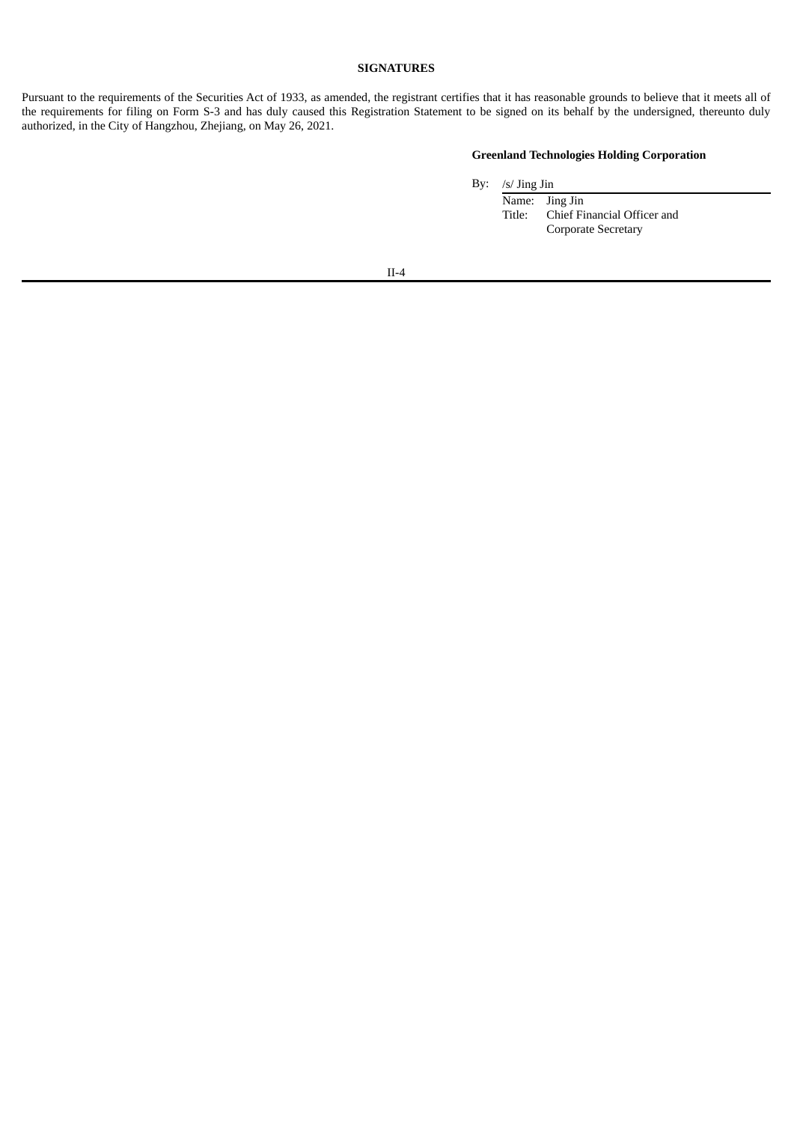## **SIGNATURES**

<span id="page-48-0"></span>Pursuant to the requirements of the Securities Act of 1933, as amended, the registrant certifies that it has reasonable grounds to believe that it meets all of the requirements for filing on Form S-3 and has duly caused this Registration Statement to be signed on its behalf by the undersigned, thereunto duly authorized, in the City of Hangzhou, Zhejiang, on May 26, 2021.

# **Greenland Technologies Holding Corporation**

By: /s/ Jing Jin

Name: Jing Jin<br>Title: Chief Fi Chief Financial Officer and Corporate Secretary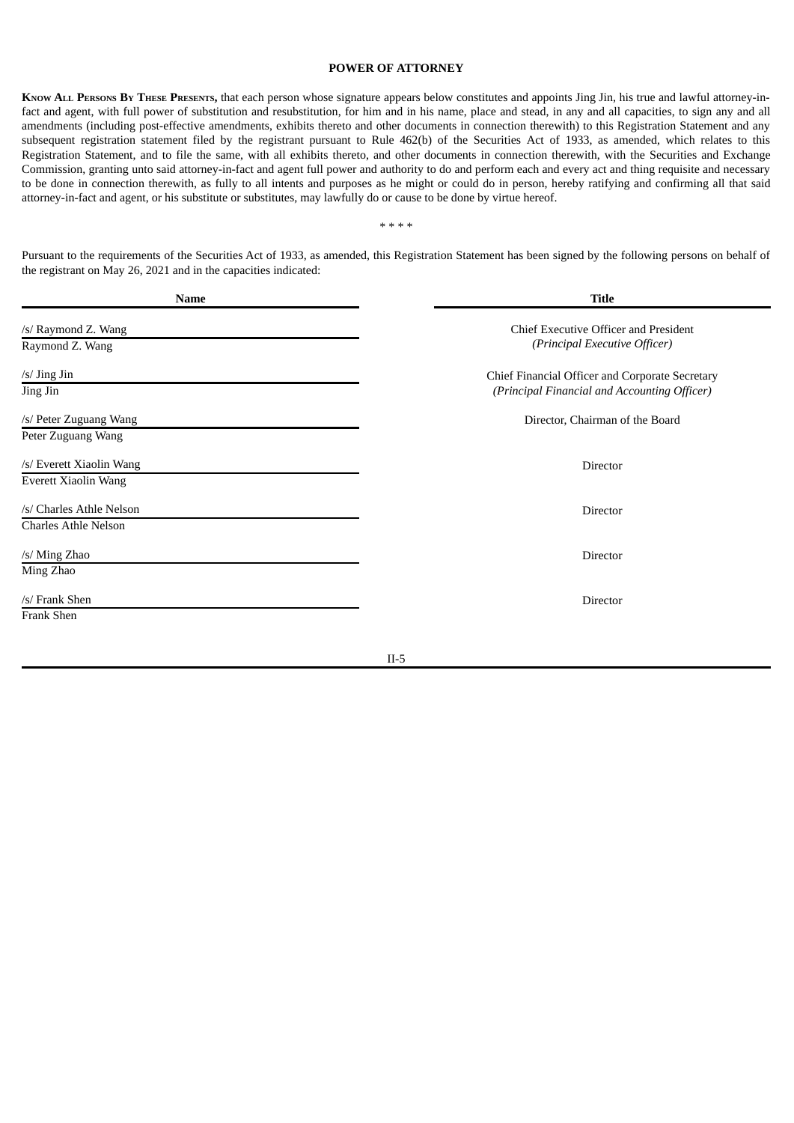## **POWER OF ATTORNEY**

<span id="page-49-0"></span>KNOW ALL PERSONS BY THESE PRESENTS, that each person whose signature appears below constitutes and appoints Jing Jin, his true and lawful attorney-infact and agent, with full power of substitution and resubstitution, for him and in his name, place and stead, in any and all capacities, to sign any and all amendments (including post-effective amendments, exhibits thereto and other documents in connection therewith) to this Registration Statement and any subsequent registration statement filed by the registrant pursuant to Rule 462(b) of the Securities Act of 1933, as amended, which relates to this Registration Statement, and to file the same, with all exhibits thereto, and other documents in connection therewith, with the Securities and Exchange Commission, granting unto said attorney-in-fact and agent full power and authority to do and perform each and every act and thing requisite and necessary to be done in connection therewith, as fully to all intents and purposes as he might or could do in person, hereby ratifying and confirming all that said attorney-in-fact and agent, or his substitute or substitutes, may lawfully do or cause to be done by virtue hereof.

\* \* \* \*

Pursuant to the requirements of the Securities Act of 1933, as amended, this Registration Statement has been signed by the following persons on behalf of the registrant on May 26, 2021 and in the capacities indicated:

| <b>Name</b>                 | <b>Title</b>                                    |
|-----------------------------|-------------------------------------------------|
| /s/ Raymond Z. Wang         | Chief Executive Officer and President           |
| Raymond Z. Wang             | (Principal Executive Officer)                   |
| /s/ Jing Jin                | Chief Financial Officer and Corporate Secretary |
| Jing Jin                    | (Principal Financial and Accounting Officer)    |
| /s/ Peter Zuguang Wang      | Director, Chairman of the Board                 |
| Peter Zuguang Wang          |                                                 |
| /s/ Everett Xiaolin Wang    | Director                                        |
| <b>Everett Xiaolin Wang</b> |                                                 |
| /s/ Charles Athle Nelson    | Director                                        |
| <b>Charles Athle Nelson</b> |                                                 |
| /s/ Ming Zhao               | Director                                        |
| Ming Zhao                   |                                                 |
| /s/ Frank Shen              | Director                                        |
| Frank Shen                  |                                                 |
|                             |                                                 |
|                             |                                                 |

II-5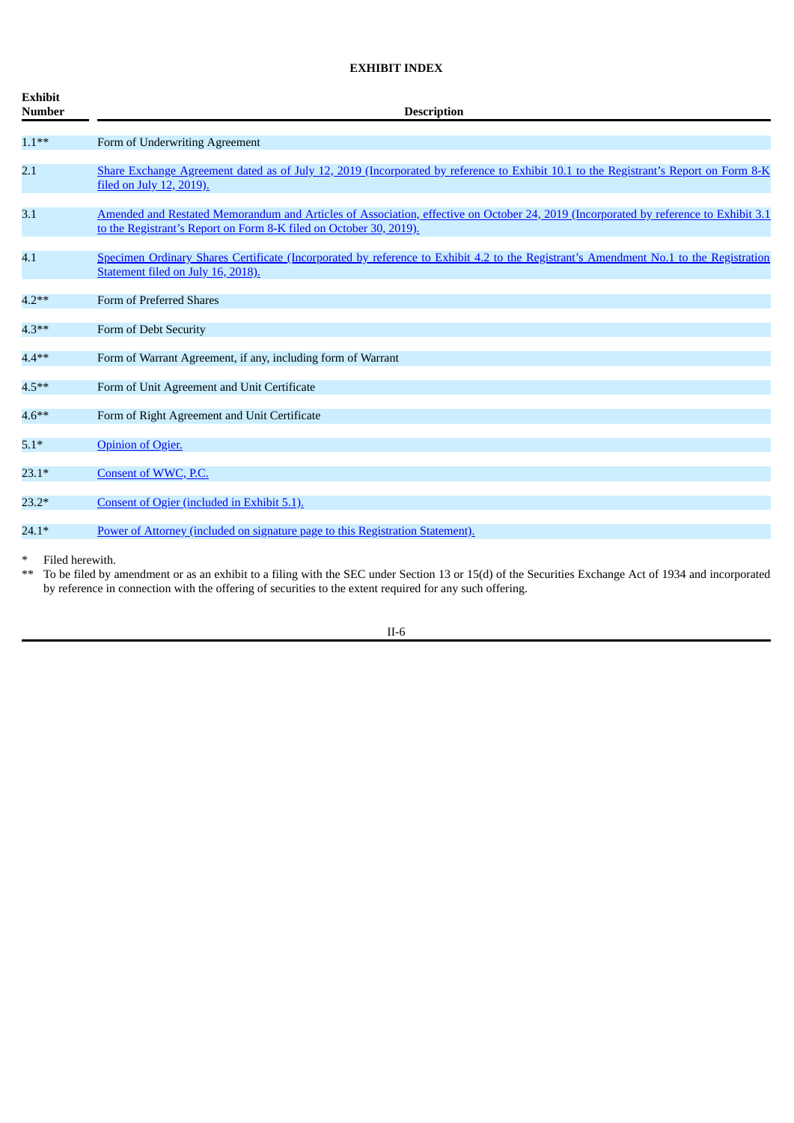# **EXHIBIT INDEX**

| <b>Exhibit</b><br><b>Number</b> | <b>Description</b>                                                                                                                                                                                         |
|---------------------------------|------------------------------------------------------------------------------------------------------------------------------------------------------------------------------------------------------------|
| $1.1***$                        | Form of Underwriting Agreement                                                                                                                                                                             |
| 2.1                             | Share Exchange Agreement dated as of July 12, 2019 (Incorporated by reference to Exhibit 10.1 to the Registrant's Report on Form 8-K<br>filed on July 12, 2019).                                           |
| 3.1                             | Amended and Restated Memorandum and Articles of Association, effective on October 24, 2019 (Incorporated by reference to Exhibit 3.1<br>to the Registrant's Report on Form 8-K filed on October 30, 2019). |
| 4.1                             | Specimen Ordinary Shares Certificate (Incorporated by reference to Exhibit 4.2 to the Registrant's Amendment No.1 to the Registration<br>Statement filed on July 16, 2018).                                |
| $4.2**$                         | Form of Preferred Shares                                                                                                                                                                                   |
| $4.3**$                         | Form of Debt Security                                                                                                                                                                                      |
| $4.4***$                        | Form of Warrant Agreement, if any, including form of Warrant                                                                                                                                               |
| $4.5***$                        | Form of Unit Agreement and Unit Certificate                                                                                                                                                                |
| $4.6***$                        | Form of Right Agreement and Unit Certificate                                                                                                                                                               |
| $5.1*$                          | Opinion of Ogier.                                                                                                                                                                                          |
| $23.1*$                         | Consent of WWC, P.C.                                                                                                                                                                                       |
| $23.2*$                         | Consent of Ogier (included in Exhibit 5.1).                                                                                                                                                                |
| $24.1*$                         | Power of Attorney (included on signature page to this Registration Statement).                                                                                                                             |

\* Filed herewith.

\*\* To be filed by amendment or as an exhibit to a filing with the SEC under Section 13 or 15(d) of the Securities Exchange Act of 1934 and incorporated by reference in connection with the offering of securities to the extent required for any such offering.

II-6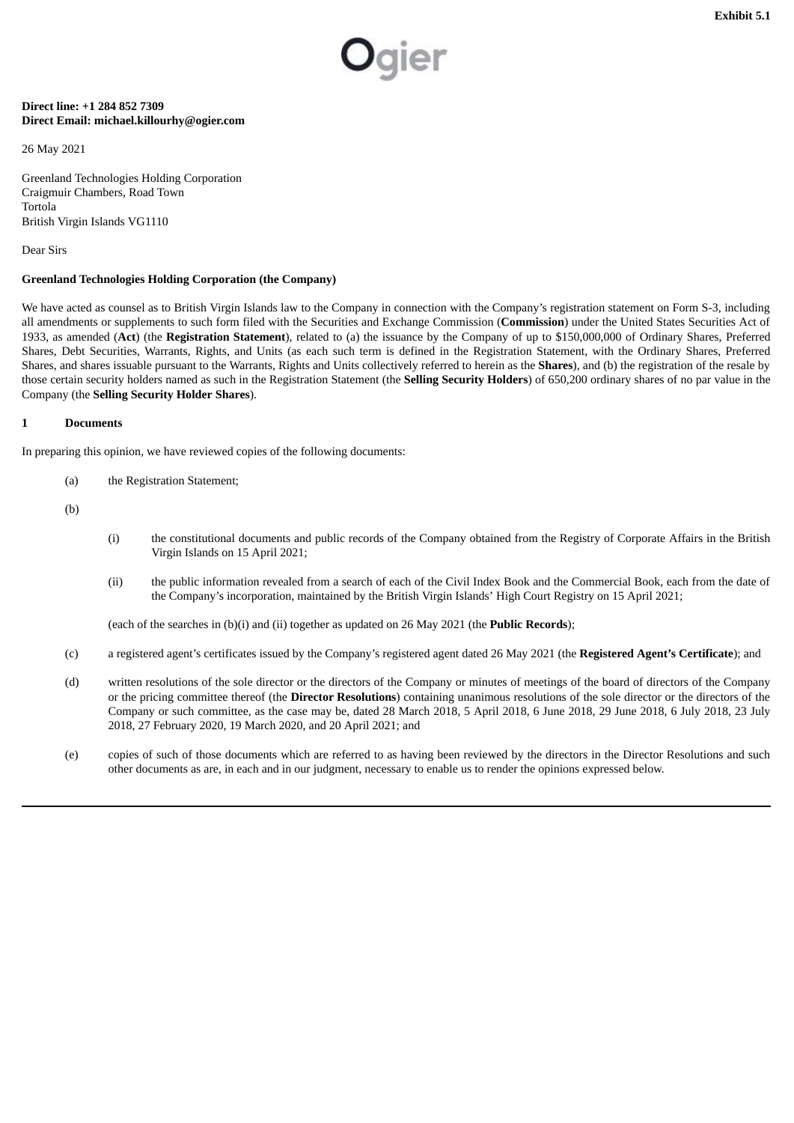

## <span id="page-51-0"></span>**Direct line: +1 284 852 7309 Direct Email: michael.killourhy@ogier.com**

26 May 2021

Greenland Technologies Holding Corporation Craigmuir Chambers, Road Town Tortola British Virgin Islands VG1110

Dear Sirs

### **Greenland Technologies Holding Corporation (the Company)**

We have acted as counsel as to British Virgin Islands law to the Company in connection with the Company's registration statement on Form S-3, including all amendments or supplements to such form filed with the Securities and Exchange Commission (**Commission**) under the United States Securities Act of 1933, as amended (**Act**) (the **Registration Statement**), related to (a) the issuance by the Company of up to \$150,000,000 of Ordinary Shares, Preferred Shares, Debt Securities, Warrants, Rights, and Units (as each such term is defined in the Registration Statement, with the Ordinary Shares, Preferred Shares, and shares issuable pursuant to the Warrants, Rights and Units collectively referred to herein as the **Shares**), and (b) the registration of the resale by those certain security holders named as such in the Registration Statement (the **Selling Security Holders**) of 650,200 ordinary shares of no par value in the Company (the **Selling Security Holder Shares**).

### **1 Documents**

In preparing this opinion, we have reviewed copies of the following documents:

- (a) the Registration Statement;
- (b)
- (i) the constitutional documents and public records of the Company obtained from the Registry of Corporate Affairs in the British Virgin Islands on 15 April 2021;
- (ii) the public information revealed from a search of each of the Civil Index Book and the Commercial Book, each from the date of the Company's incorporation, maintained by the British Virgin Islands' High Court Registry on 15 April 2021;

(each of the searches in (b)(i) and (ii) together as updated on 26 May 2021 (the **Public Records**);

- (c) a registered agent's certificates issued by the Company's registered agent dated 26 May 2021 (the **Registered Agent's Certificate**); and
- (d) written resolutions of the sole director or the directors of the Company or minutes of meetings of the board of directors of the Company or the pricing committee thereof (the **Director Resolutions**) containing unanimous resolutions of the sole director or the directors of the Company or such committee, as the case may be, dated 28 March 2018, 5 April 2018, 6 June 2018, 29 June 2018, 6 July 2018, 23 July 2018, 27 February 2020, 19 March 2020, and 20 April 2021; and
- (e) copies of such of those documents which are referred to as having been reviewed by the directors in the Director Resolutions and such other documents as are, in each and in our judgment, necessary to enable us to render the opinions expressed below.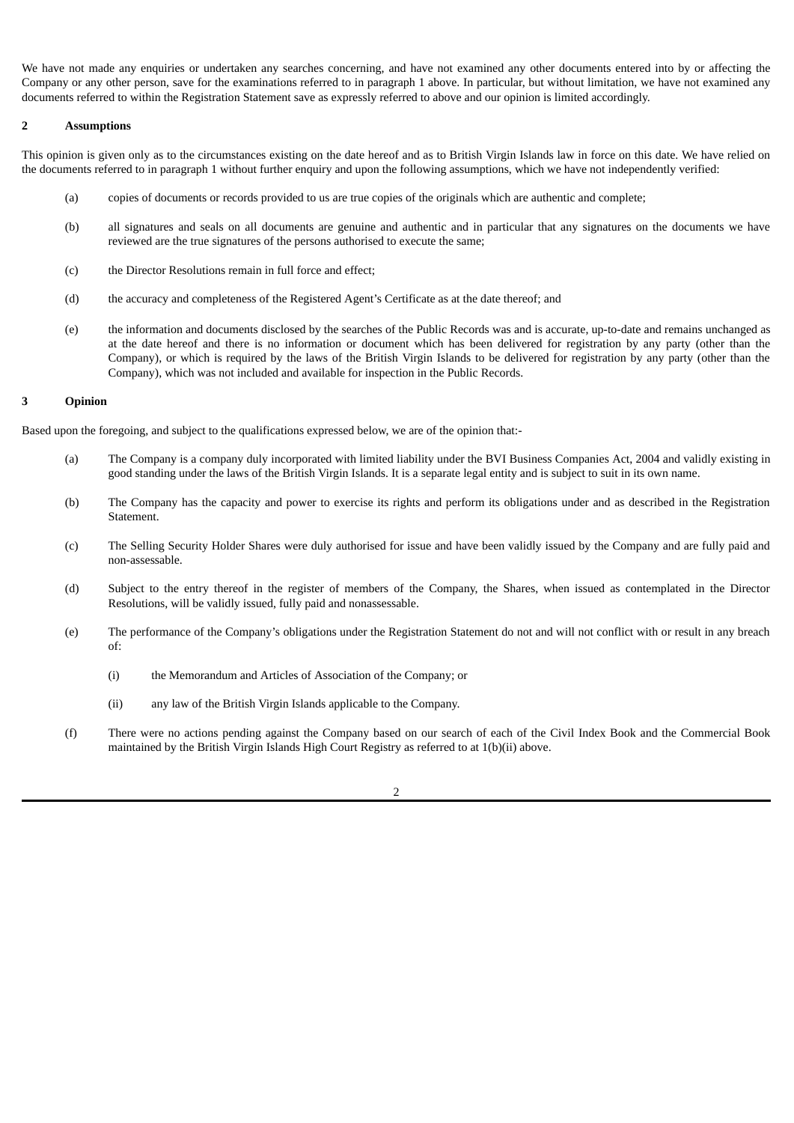We have not made any enquiries or undertaken any searches concerning, and have not examined any other documents entered into by or affecting the Company or any other person, save for the examinations referred to in paragraph 1 above. In particular, but without limitation, we have not examined any documents referred to within the Registration Statement save as expressly referred to above and our opinion is limited accordingly.

## **2 Assumptions**

This opinion is given only as to the circumstances existing on the date hereof and as to British Virgin Islands law in force on this date. We have relied on the documents referred to in paragraph 1 without further enquiry and upon the following assumptions, which we have not independently verified:

- (a) copies of documents or records provided to us are true copies of the originals which are authentic and complete;
- (b) all signatures and seals on all documents are genuine and authentic and in particular that any signatures on the documents we have reviewed are the true signatures of the persons authorised to execute the same;
- (c) the Director Resolutions remain in full force and effect;
- (d) the accuracy and completeness of the Registered Agent's Certificate as at the date thereof; and
- (e) the information and documents disclosed by the searches of the Public Records was and is accurate, up-to-date and remains unchanged as at the date hereof and there is no information or document which has been delivered for registration by any party (other than the Company), or which is required by the laws of the British Virgin Islands to be delivered for registration by any party (other than the Company), which was not included and available for inspection in the Public Records.

## **3 Opinion**

Based upon the foregoing, and subject to the qualifications expressed below, we are of the opinion that:-

- (a) The Company is a company duly incorporated with limited liability under the BVI Business Companies Act, 2004 and validly existing in good standing under the laws of the British Virgin Islands. It is a separate legal entity and is subject to suit in its own name.
- (b) The Company has the capacity and power to exercise its rights and perform its obligations under and as described in the Registration Statement.
- (c) The Selling Security Holder Shares were duly authorised for issue and have been validly issued by the Company and are fully paid and non-assessable.
- (d) Subject to the entry thereof in the register of members of the Company, the Shares, when issued as contemplated in the Director Resolutions, will be validly issued, fully paid and nonassessable.
- (e) The performance of the Company's obligations under the Registration Statement do not and will not conflict with or result in any breach of:
	- (i) the Memorandum and Articles of Association of the Company; or
	- (ii) any law of the British Virgin Islands applicable to the Company.
- (f) There were no actions pending against the Company based on our search of each of the Civil Index Book and the Commercial Book maintained by the British Virgin Islands High Court Registry as referred to at 1(b)(ii) above.

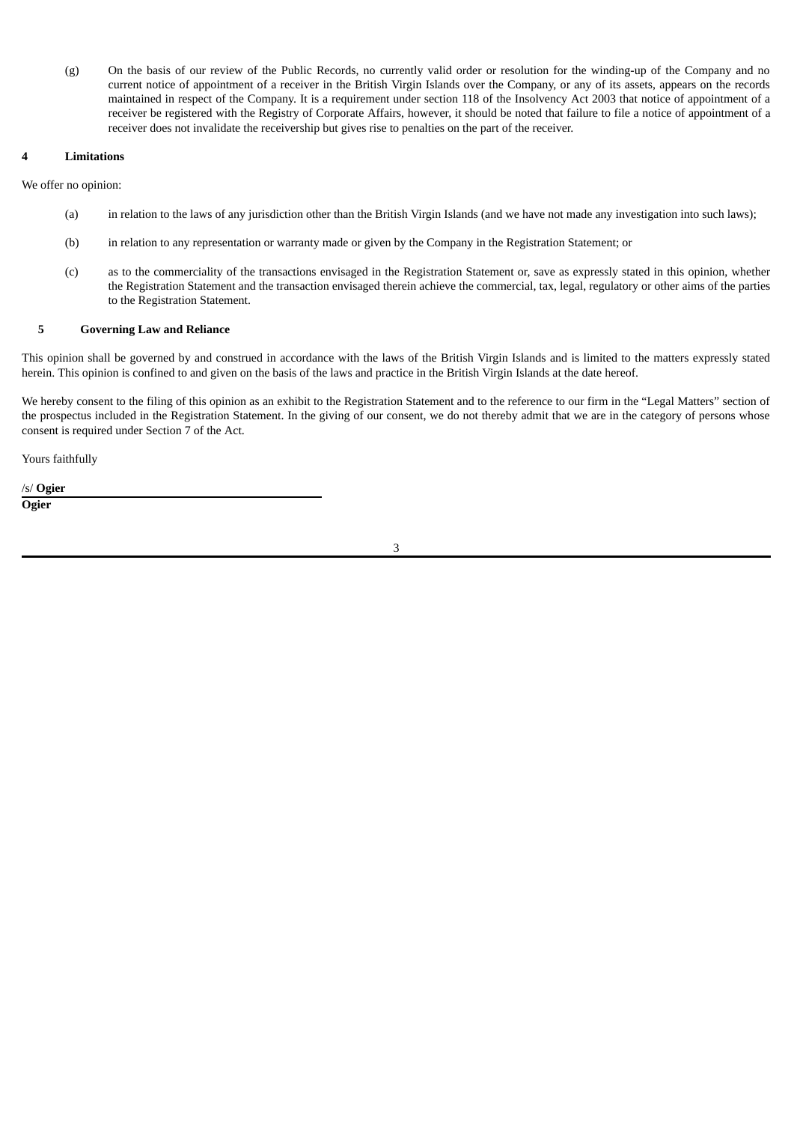(g) On the basis of our review of the Public Records, no currently valid order or resolution for the winding-up of the Company and no current notice of appointment of a receiver in the British Virgin Islands over the Company, or any of its assets, appears on the records maintained in respect of the Company. It is a requirement under section 118 of the Insolvency Act 2003 that notice of appointment of a receiver be registered with the Registry of Corporate Affairs, however, it should be noted that failure to file a notice of appointment of a receiver does not invalidate the receivership but gives rise to penalties on the part of the receiver.

### **4 Limitations**

We offer no opinion:

- (a) in relation to the laws of any jurisdiction other than the British Virgin Islands (and we have not made any investigation into such laws);
- (b) in relation to any representation or warranty made or given by the Company in the Registration Statement; or
- (c) as to the commerciality of the transactions envisaged in the Registration Statement or, save as expressly stated in this opinion, whether the Registration Statement and the transaction envisaged therein achieve the commercial, tax, legal, regulatory or other aims of the parties to the Registration Statement.

## **5 Governing Law and Reliance**

This opinion shall be governed by and construed in accordance with the laws of the British Virgin Islands and is limited to the matters expressly stated herein. This opinion is confined to and given on the basis of the laws and practice in the British Virgin Islands at the date hereof.

We hereby consent to the filing of this opinion as an exhibit to the Registration Statement and to the reference to our firm in the "Legal Matters" section of the prospectus included in the Registration Statement. In the giving of our consent, we do not thereby admit that we are in the category of persons whose consent is required under Section 7 of the Act.

Yours faithfully

/s/ **Ogier Ogier**